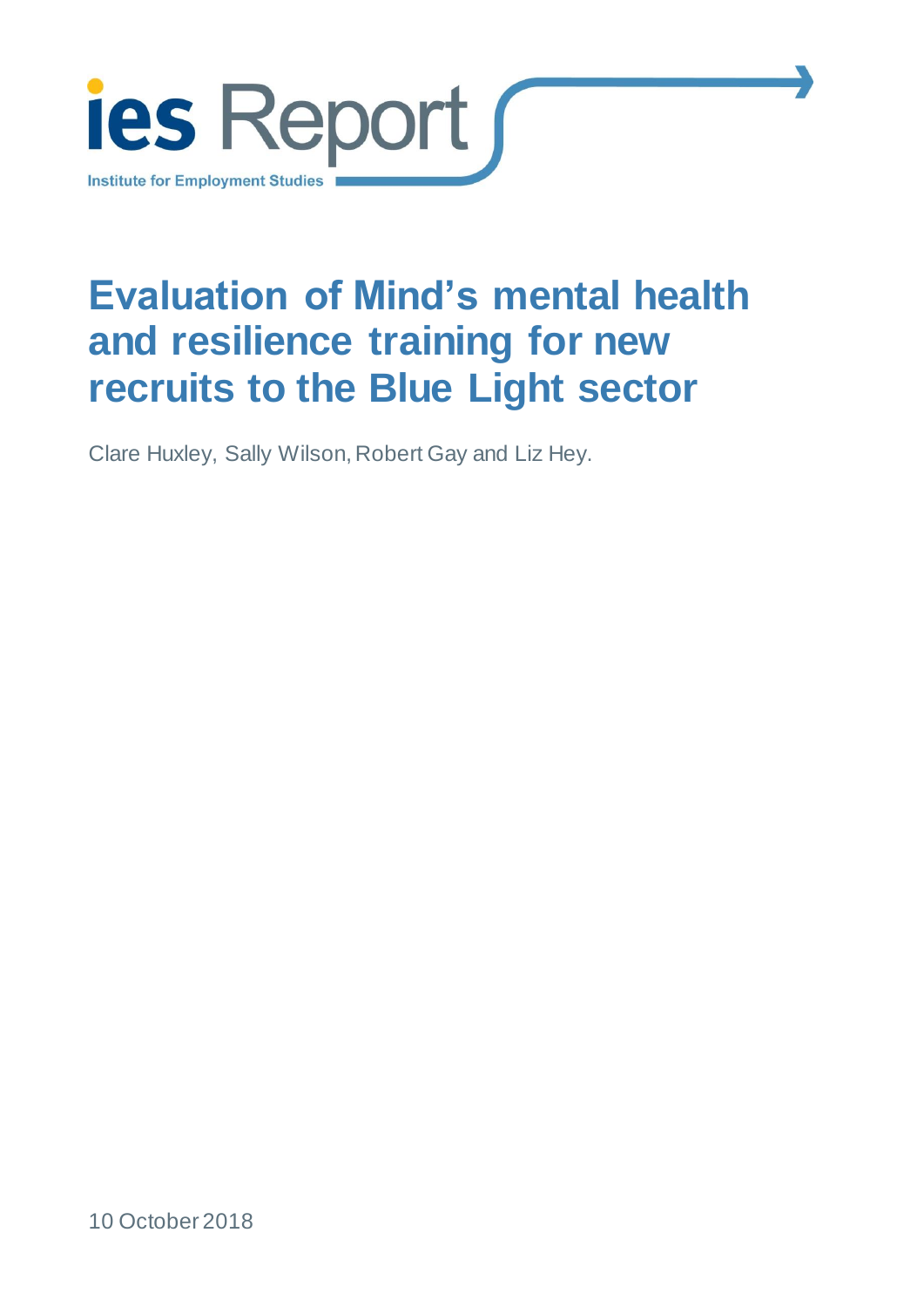

# **Evaluation of Mind's mental health and resilience training for new recruits to the Blue Light sector**

Clare Huxley, Sally Wilson, Robert Gay and Liz Hey.

10 October 2018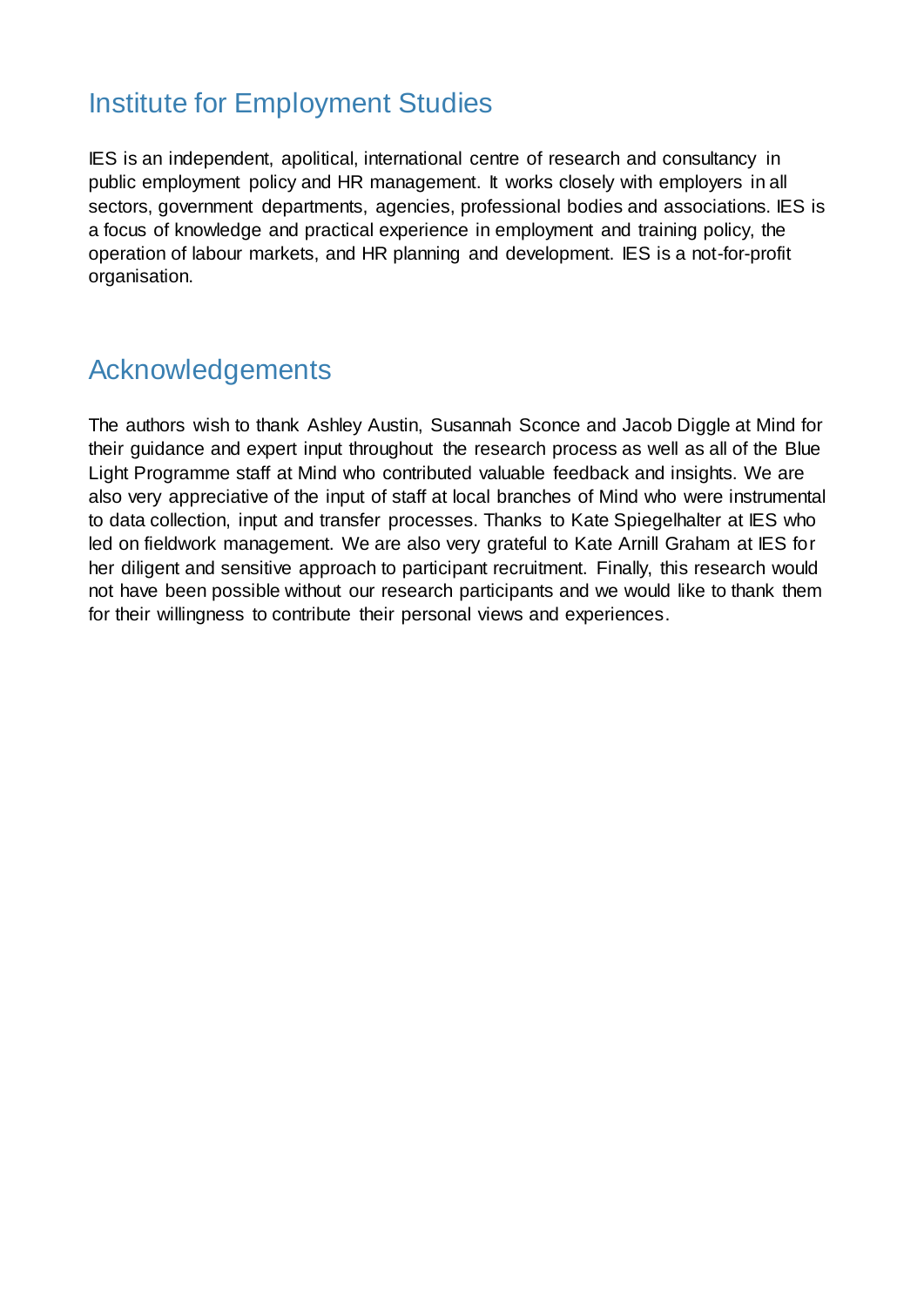## Institute for Employment Studies

IES is an independent, apolitical, international centre of research and consultancy in public employment policy and HR management. It works closely with employers in all sectors, government departments, agencies, professional bodies and associations. IES is a focus of knowledge and practical experience in employment and training policy, the operation of labour markets, and HR planning and development. IES is a not-for-profit organisation.

## Acknowledgements

The authors wish to thank Ashley Austin, Susannah Sconce and Jacob Diggle at Mind for their guidance and expert input throughout the research process as well as all of the Blue Light Programme staff at Mind who contributed valuable feedback and insights. We are also very appreciative of the input of staff at local branches of Mind who were instrumental to data collection, input and transfer processes. Thanks to Kate Spiegelhalter at IES who led on fieldwork management. We are also very grateful to Kate Arnill Graham at IES for her diligent and sensitive approach to participant recruitment. Finally, this research would not have been possible without our research participants and we would like to thank them for their willingness to contribute their personal views and experiences.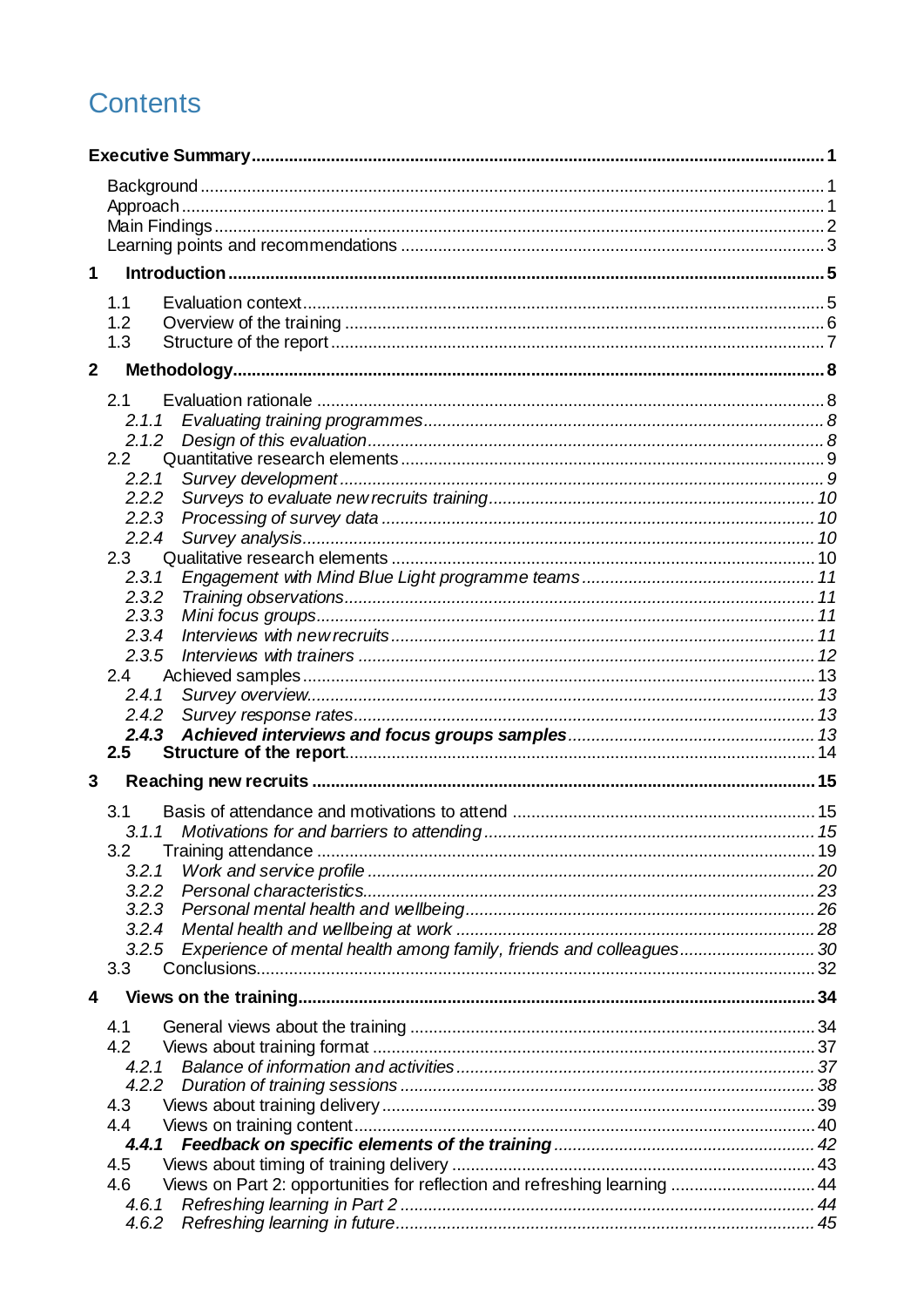## **Contents**

| 1              |                                                                                  |  |
|----------------|----------------------------------------------------------------------------------|--|
|                | 1.1                                                                              |  |
|                | 1.2                                                                              |  |
|                | 1.3                                                                              |  |
| 2 <sup>1</sup> |                                                                                  |  |
|                | 2.1                                                                              |  |
|                |                                                                                  |  |
|                |                                                                                  |  |
|                | 2.2                                                                              |  |
|                | 2.2.1                                                                            |  |
|                | 2.2.2                                                                            |  |
|                | 2.2.3                                                                            |  |
|                | 2.2.4                                                                            |  |
|                | 2.3                                                                              |  |
|                | 2.3.1                                                                            |  |
|                | 2.3.2                                                                            |  |
|                | 2.3.3                                                                            |  |
|                | 2.3.4                                                                            |  |
|                | 2.3.5                                                                            |  |
|                | 2.4                                                                              |  |
|                | 2.4.1                                                                            |  |
|                | 2.4.2                                                                            |  |
|                | 2.4.3                                                                            |  |
|                | 2.5                                                                              |  |
| 3              |                                                                                  |  |
|                | 3.1                                                                              |  |
|                |                                                                                  |  |
|                | 3.2                                                                              |  |
|                | 3.2.1                                                                            |  |
|                | 3.2.2                                                                            |  |
|                | 3.2.3                                                                            |  |
|                | 3.2.4                                                                            |  |
|                | Experience of mental health among family, friends and colleagues30<br>3.2.5      |  |
|                | 3.3                                                                              |  |
| 4              |                                                                                  |  |
|                | 4.1                                                                              |  |
|                | 4.2                                                                              |  |
|                | 4.2.1                                                                            |  |
|                |                                                                                  |  |
|                | 4.3                                                                              |  |
|                | 4.4                                                                              |  |
|                |                                                                                  |  |
|                | 4.5                                                                              |  |
|                | Views on Part 2: opportunities for reflection and refreshing learning  44<br>4.6 |  |
|                | 4.6.1                                                                            |  |
|                | 4.6.2                                                                            |  |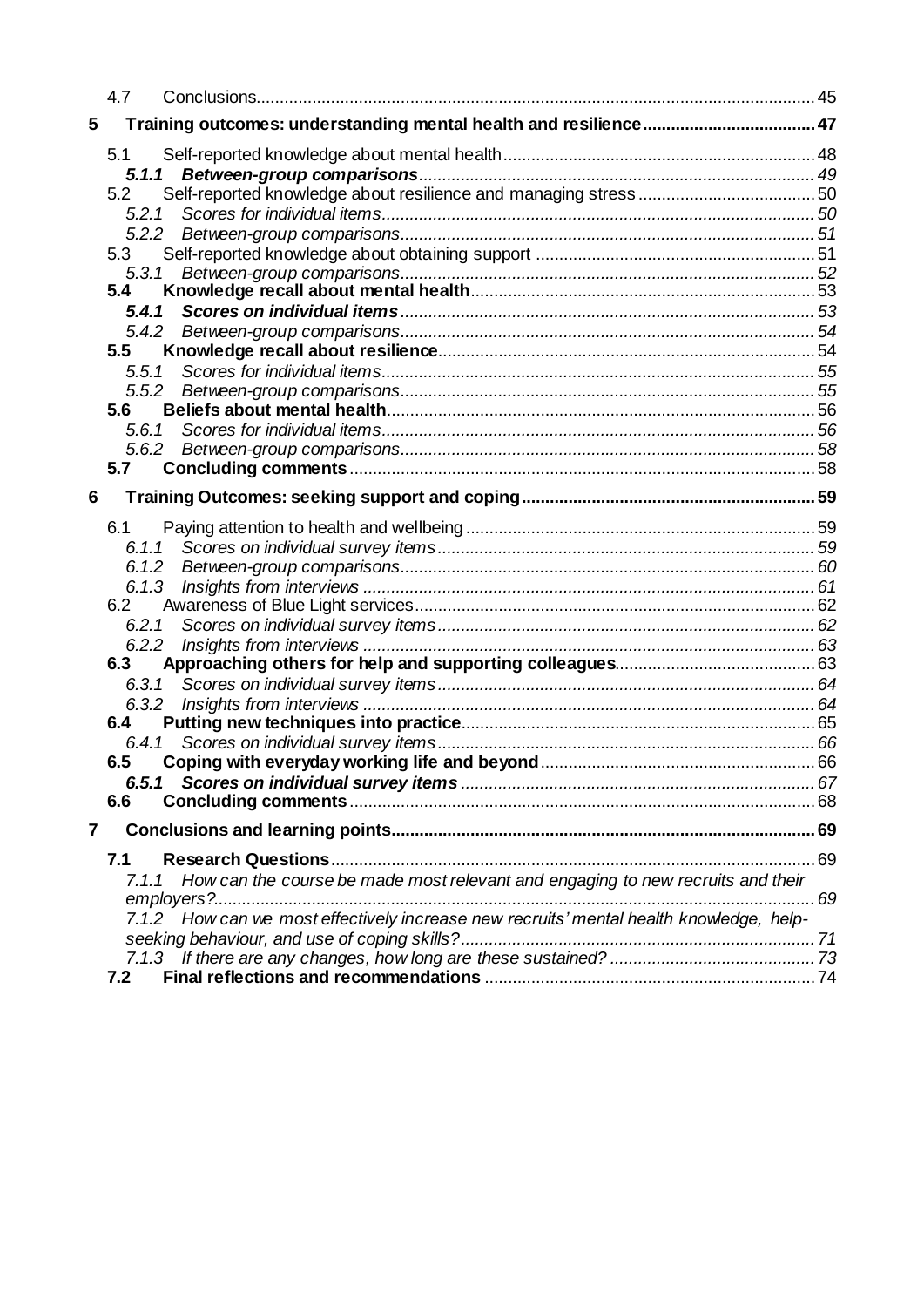|   | 4.7                                                                                      |      |
|---|------------------------------------------------------------------------------------------|------|
| 5 |                                                                                          |      |
|   | 5.1                                                                                      |      |
|   |                                                                                          |      |
|   | 5.2                                                                                      |      |
|   | 5.2.1                                                                                    |      |
|   |                                                                                          |      |
|   | 5.3                                                                                      |      |
|   | 5.3.1                                                                                    |      |
|   | 5.4                                                                                      |      |
|   |                                                                                          |      |
|   |                                                                                          |      |
|   | 5.5                                                                                      |      |
|   |                                                                                          |      |
|   | 5.5.2                                                                                    |      |
|   | 5.6                                                                                      |      |
|   | 5.6.1                                                                                    |      |
|   | 5.7                                                                                      |      |
|   |                                                                                          |      |
| 6 |                                                                                          |      |
|   | 6.1                                                                                      |      |
|   | 6.1.1                                                                                    |      |
|   |                                                                                          |      |
|   | 6.1.3                                                                                    |      |
|   | 6.2                                                                                      |      |
|   |                                                                                          |      |
|   |                                                                                          |      |
|   | 6.3                                                                                      |      |
|   | 6.3.1                                                                                    |      |
|   |                                                                                          |      |
|   | 6.4                                                                                      |      |
|   |                                                                                          |      |
|   | 6.5                                                                                      |      |
|   |                                                                                          |      |
|   | 6.6                                                                                      |      |
| 7 |                                                                                          |      |
|   | 7.1                                                                                      |      |
|   | How can the course be made most relevant and engaging to new recruits and their<br>7.1.1 |      |
|   |                                                                                          | . 69 |
|   | 7.1.2 How can we most effectively increase new recruits' mental health knowledge, help-  |      |
|   |                                                                                          |      |
|   |                                                                                          |      |
|   | 7.2                                                                                      |      |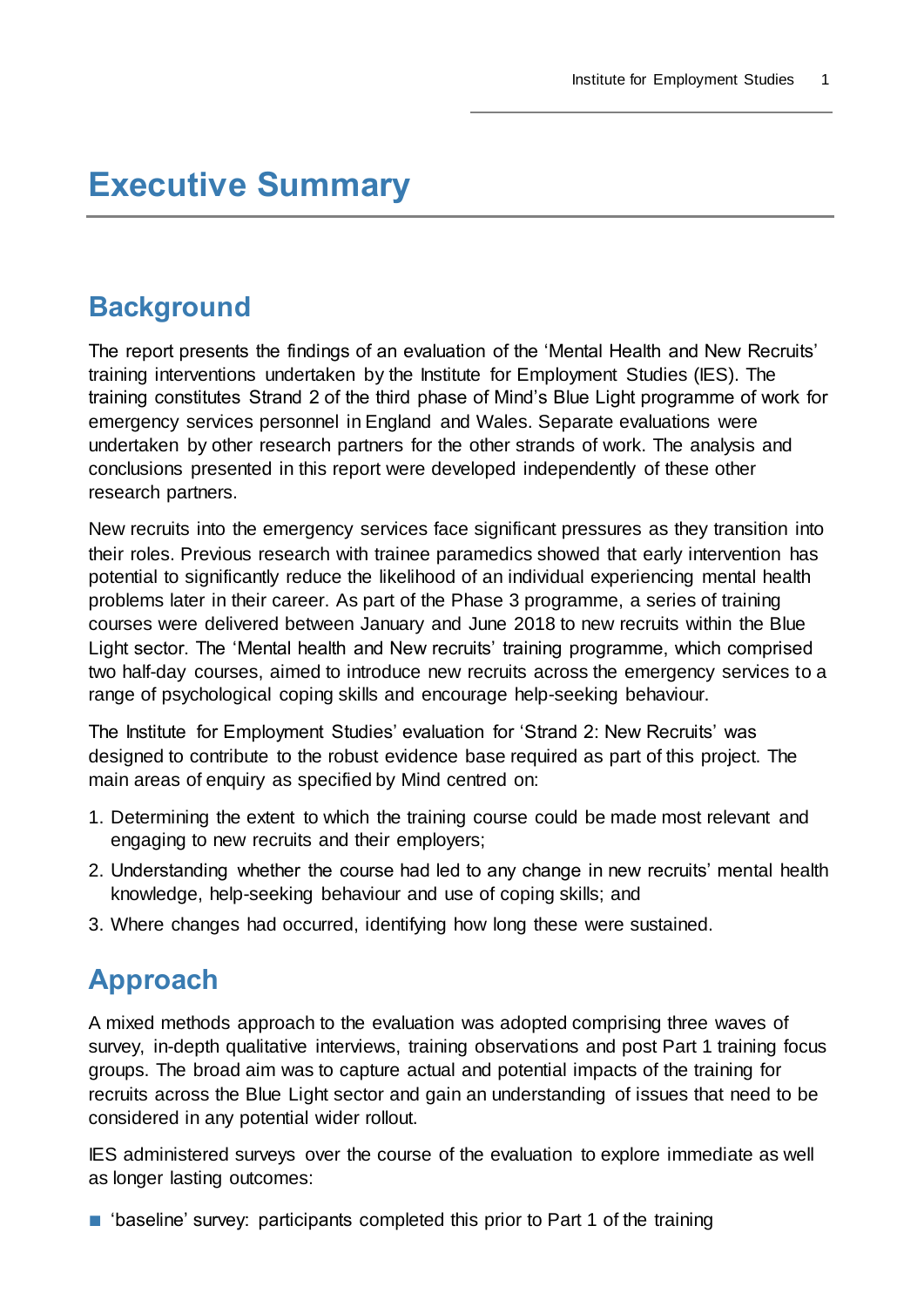## <span id="page-4-0"></span>**Executive Summary**

## <span id="page-4-1"></span>**Background**

The report presents the findings of an evaluation of the 'Mental Health and New Recruits' training interventions undertaken by the Institute for Employment Studies (IES). The training constitutes Strand 2 of the third phase of Mind's Blue Light programme of work for emergency services personnel in England and Wales. Separate evaluations were undertaken by other research partners for the other strands of work. The analysis and conclusions presented in this report were developed independently of these other research partners.

New recruits into the emergency services face significant pressures as they transition into their roles. Previous research with trainee paramedics showed that early intervention has potential to significantly reduce the likelihood of an individual experiencing mental health problems later in their career. As part of the Phase 3 programme, a series of training courses were delivered between January and June 2018 to new recruits within the Blue Light sector. The 'Mental health and New recruits' training programme, which comprised two half-day courses, aimed to introduce new recruits across the emergency services to a range of psychological coping skills and encourage help-seeking behaviour.

The Institute for Employment Studies' evaluation for 'Strand 2: New Recruits' was designed to contribute to the robust evidence base required as part of this project. The main areas of enquiry as specified by Mind centred on:

- 1. Determining the extent to which the training course could be made most relevant and engaging to new recruits and their employers;
- 2. Understanding whether the course had led to any change in new recruits' mental health knowledge, help-seeking behaviour and use of coping skills; and
- 3. Where changes had occurred, identifying how long these were sustained.

## <span id="page-4-2"></span>**Approach**

A mixed methods approach to the evaluation was adopted comprising three waves of survey, in-depth qualitative interviews, training observations and post Part 1 training focus groups. The broad aim was to capture actual and potential impacts of the training for recruits across the Blue Light sector and gain an understanding of issues that need to be considered in any potential wider rollout.

IES administered surveys over the course of the evaluation to explore immediate as well as longer lasting outcomes:

■ 'baseline' survey: participants completed this prior to Part 1 of the training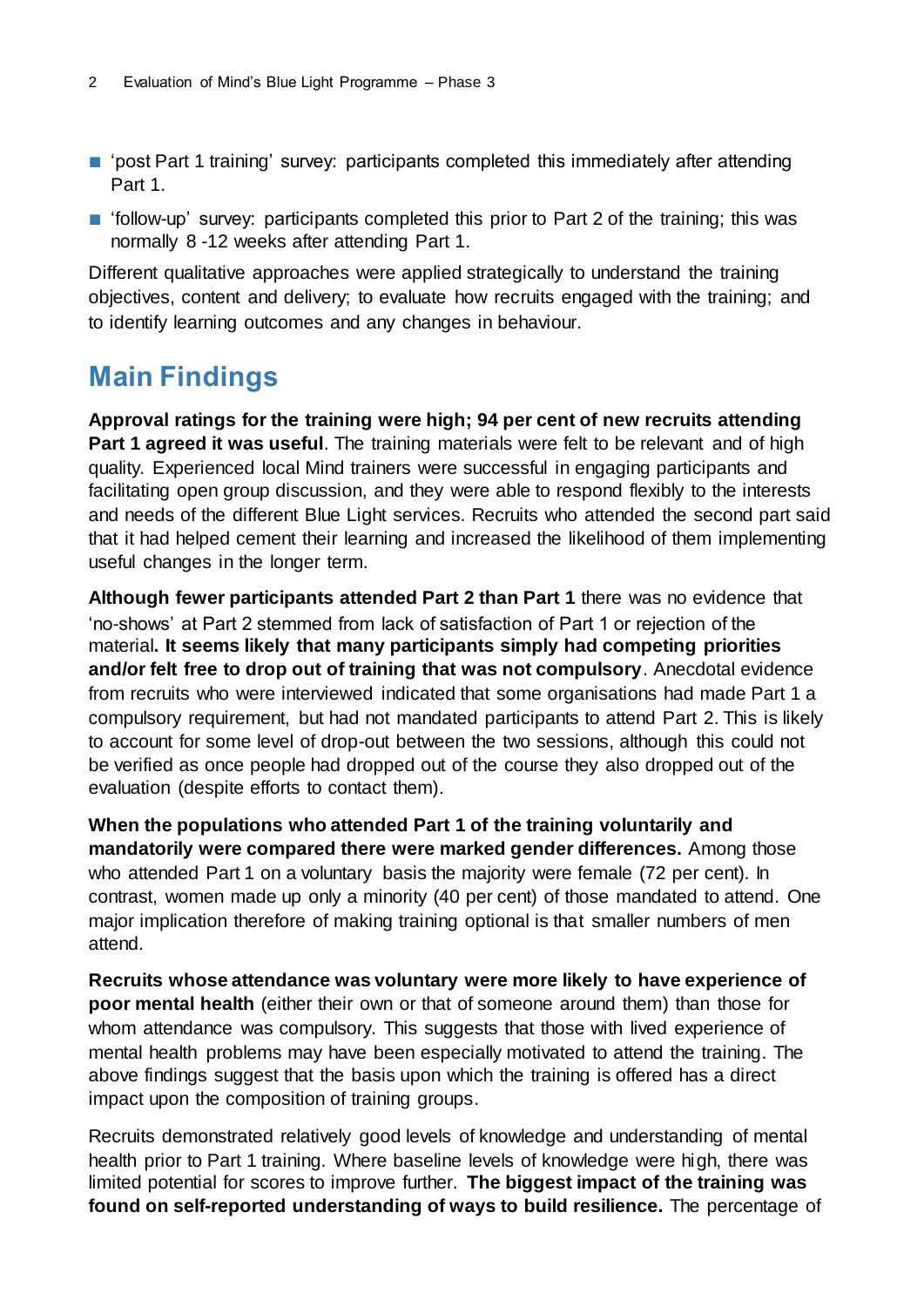- 'post Part 1 training' survey: participants completed this immediately after attending Part 1.
- 'follow-up' survey: participants completed this prior to Part 2 of the training; this was normally 8 -12 weeks after attending Part 1.

Different qualitative approaches were applied strategically to understand the training objectives, content and delivery; to evaluate how recruits engaged with the training; and to identify learning outcomes and any changes in behaviour.

## <span id="page-5-0"></span>**Main Findings**

**Approval ratings for the training were high; 94 per cent of new recruits attending Part 1 agreed it was useful**. The training materials were felt to be relevant and of high quality. Experienced local Mind trainers were successful in engaging participants and facilitating open group discussion, and they were able to respond flexibly to the interests and needs of the different Blue Light services. Recruits who attended the second part said that it had helped cement their learning and increased the likelihood of them implementing useful changes in the longer term.

**Although fewer participants attended Part 2 than Part 1** there was no evidence that 'no-shows' at Part 2 stemmed from lack of satisfaction of Part 1 or rejection of the material**. It seems likely that many participants simply had competing priorities and/or felt free to drop out of training that was not compulsory**. Anecdotal evidence from recruits who were interviewed indicated that some organisations had made Part 1 a compulsory requirement, but had not mandated participants to attend Part 2. This is likely to account for some level of drop-out between the two sessions, although this could not be verified as once people had dropped out of the course they also dropped out of the evaluation (despite efforts to contact them).

**When the populations who attended Part 1 of the training voluntarily and mandatorily were compared there were marked gender differences.** Among those who attended Part 1 on a voluntary basis the majority were female (72 per cent). In contrast, women made up only a minority (40 per cent) of those mandated to attend. One major implication therefore of making training optional is that smaller numbers of men attend.

**Recruits whose attendance was voluntary were more likely to have experience of poor mental health** (either their own or that of someone around them) than those for whom attendance was compulsory. This suggests that those with lived experience of mental health problems may have been especially motivated to attend the training. The above findings suggest that the basis upon which the training is offered has a direct impact upon the composition of training groups.

Recruits demonstrated relatively good levels of knowledge and understanding of mental health prior to Part 1 training. Where baseline levels of knowledge were high, there was limited potential for scores to improve further. **The biggest impact of the training was found on self-reported understanding of ways to build resilience.** The percentage of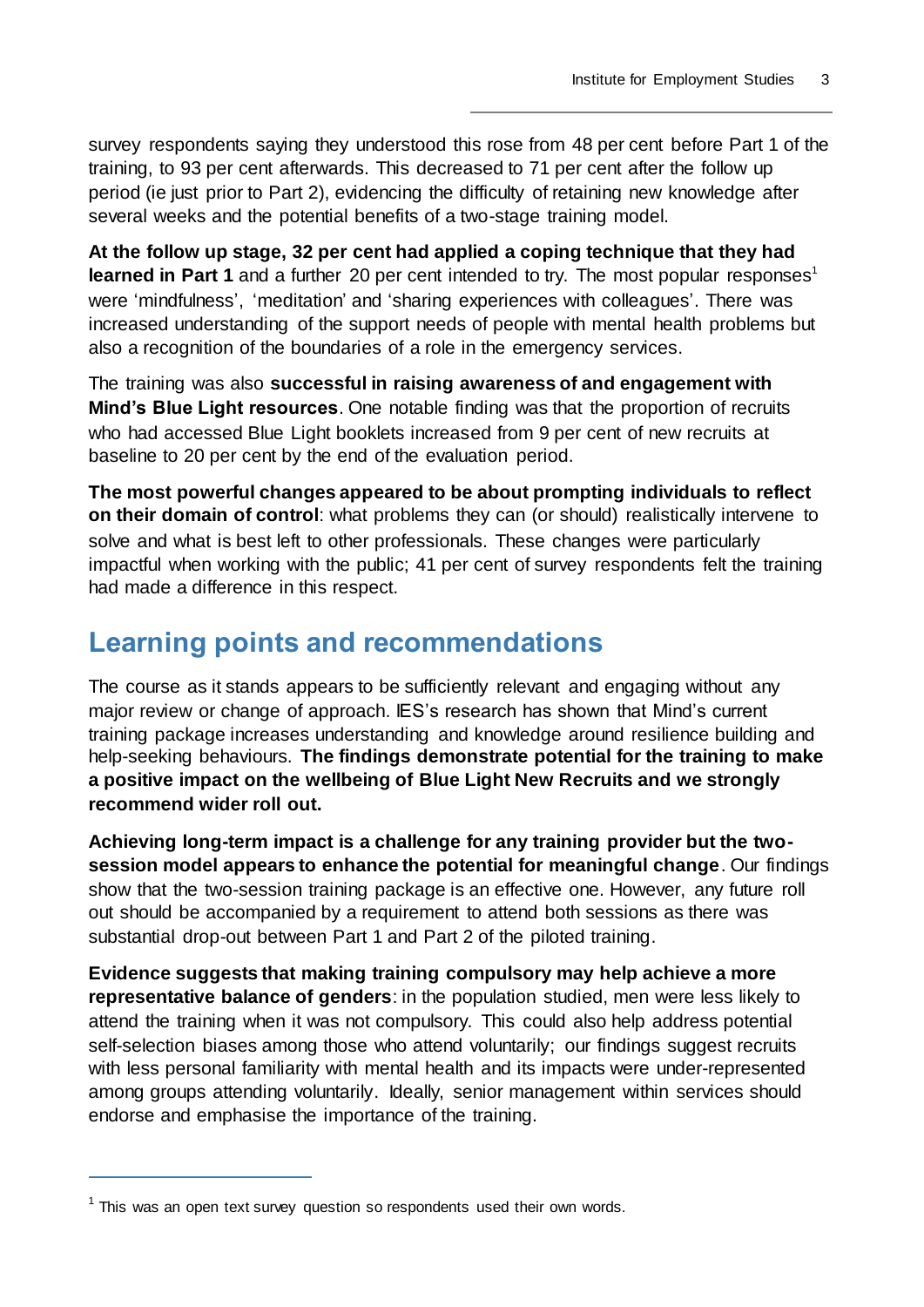survey respondents saying they understood this rose from 48 per cent before Part 1 of the training, to 93 per cent afterwards. This decreased to 71 per cent after the follow up period (ie just prior to Part 2), evidencing the difficulty of retaining new knowledge after several weeks and the potential benefits of a two-stage training model.

**At the follow up stage, 32 per cent had applied a coping technique that they had learned in Part 1** and a further 20 per cent intended to try. The most popular responses<sup>1</sup> were 'mindfulness', 'meditation' and 'sharing experiences with colleagues'. There was increased understanding of the support needs of people with mental health problems but also a recognition of the boundaries of a role in the emergency services.

The training was also **successful in raising awareness of and engagement with Mind's Blue Light resources**. One notable finding was that the proportion of recruits who had accessed Blue Light booklets increased from 9 per cent of new recruits at baseline to 20 per cent by the end of the evaluation period.

**The most powerful changes appeared to be about prompting individuals to reflect on their domain of control**: what problems they can (or should) realistically intervene to solve and what is best left to other professionals. These changes were particularly impactful when working with the public; 41 per cent of survey respondents felt the training had made a difference in this respect.

## <span id="page-6-0"></span>**Learning points and recommendations**

The course as it stands appears to be sufficiently relevant and engaging without any major review or change of approach. IES's research has shown that Mind's current training package increases understanding and knowledge around resilience building and help-seeking behaviours. **The findings demonstrate potential for the training to make a positive impact on the wellbeing of Blue Light New Recruits and we strongly recommend wider roll out.**

**Achieving long-term impact is a challenge for any training provider but the twosession model appears to enhance the potential for meaningful change**. Our findings show that the two-session training package is an effective one. However, any future roll out should be accompanied by a requirement to attend both sessions as there was substantial drop-out between Part 1 and Part 2 of the piloted training.

**Evidence suggests that making training compulsory may help achieve a more representative balance of genders**: in the population studied, men were less likely to attend the training when it was not compulsory. This could also help address potential self-selection biases among those who attend voluntarily; our findings suggest recruits with less personal familiarity with mental health and its impacts were under-represented among groups attending voluntarily. Ideally, senior management within services should endorse and emphasise the importance of the training.

 $\overline{a}$ 

 $1$  This was an open text survey question so respondents used their own words.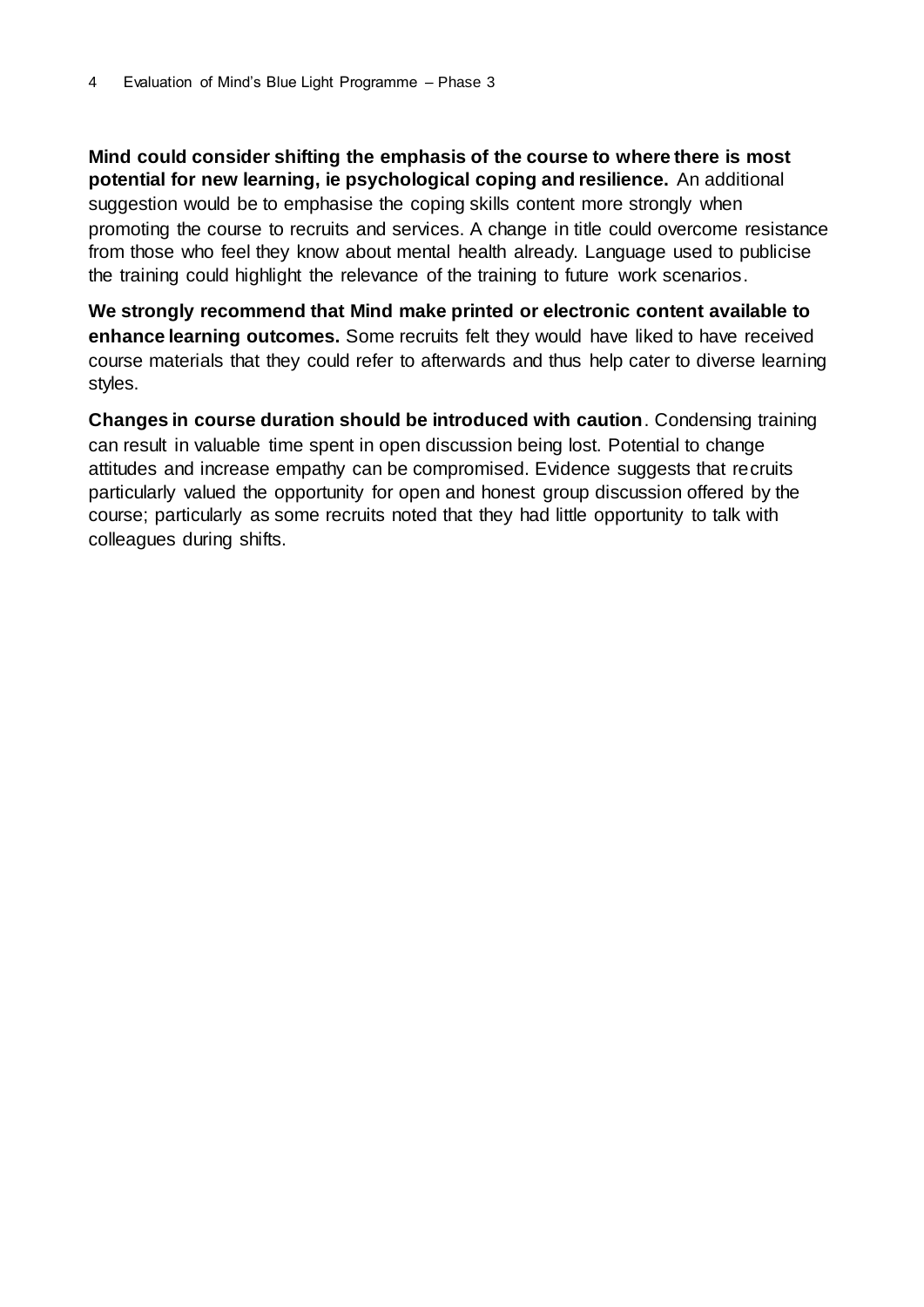**Mind could consider shifting the emphasis of the course to where there is most potential for new learning, ie psychological coping and resilience.** An additional suggestion would be to emphasise the coping skills content more strongly when promoting the course to recruits and services. A change in title could overcome resistance from those who feel they know about mental health already. Language used to publicise the training could highlight the relevance of the training to future work scenarios.

**We strongly recommend that Mind make printed or electronic content available to enhance learning outcomes.** Some recruits felt they would have liked to have received course materials that they could refer to afterwards and thus help cater to diverse learning styles.

**Changes in course duration should be introduced with caution**. Condensing training can result in valuable time spent in open discussion being lost. Potential to change attitudes and increase empathy can be compromised. Evidence suggests that recruits particularly valued the opportunity for open and honest group discussion offered by the course; particularly as some recruits noted that they had little opportunity to talk with colleagues during shifts.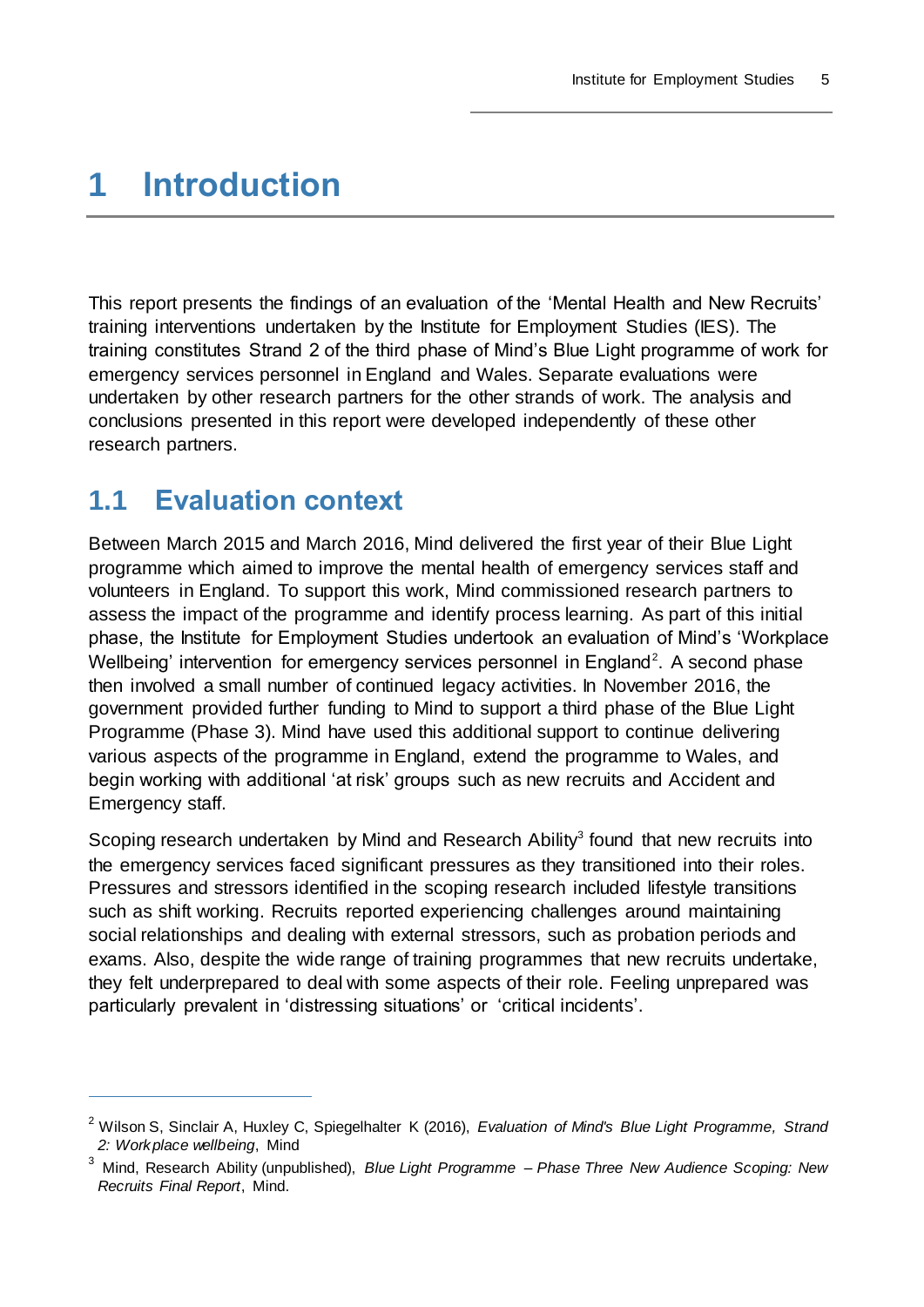## <span id="page-8-0"></span>**1 Introduction**

This report presents the findings of an evaluation of the 'Mental Health and New Recruits' training interventions undertaken by the Institute for Employment Studies (IES). The training constitutes Strand 2 of the third phase of Mind's Blue Light programme of work for emergency services personnel in England and Wales. Separate evaluations were undertaken by other research partners for the other strands of work. The analysis and conclusions presented in this report were developed independently of these other research partners.

## <span id="page-8-1"></span>**1.1 Evaluation context**

 $\overline{a}$ 

Between March 2015 and March 2016, Mind delivered the first year of their Blue Light programme which aimed to improve the mental health of emergency services staff and volunteers in England. To support this work, Mind commissioned research partners to assess the impact of the programme and identify process learning. As part of this initial phase, the Institute for Employment Studies undertook an evaluation of Mind's 'Workplace Wellbeing' intervention for emergency services personnel in England<sup>2</sup>. A second phase then involved a small number of continued legacy activities. In November 2016, the government provided further funding to Mind to support a third phase of the Blue Light Programme (Phase 3). Mind have used this additional support to continue delivering various aspects of the programme in England, extend the programme to Wales, and begin working with additional 'at risk' groups such as new recruits and Accident and Emergency staff.

Scoping research undertaken by Mind and Research Ability<sup>3</sup> found that new recruits into the emergency services faced significant pressures as they transitioned into their roles. Pressures and stressors identified in the scoping research included lifestyle transitions such as shift working. Recruits reported experiencing challenges around maintaining social relationships and dealing with external stressors, such as probation periods and exams. Also, despite the wide range of training programmes that new recruits undertake, they felt underprepared to deal with some aspects of their role. Feeling unprepared was particularly prevalent in 'distressing situations' or 'critical incidents'.

<sup>2</sup> Wilson S, Sinclair A, Huxley C, Spiegelhalter K (2016), *Evaluation of Mind's Blue Light Programme, Strand 2: Workplace wellbeing*, Mind

<sup>3</sup> Mind, Research Ability (unpublished), *Blue Light Programme – Phase Three New Audience Scoping: New Recruits Final Report*, Mind.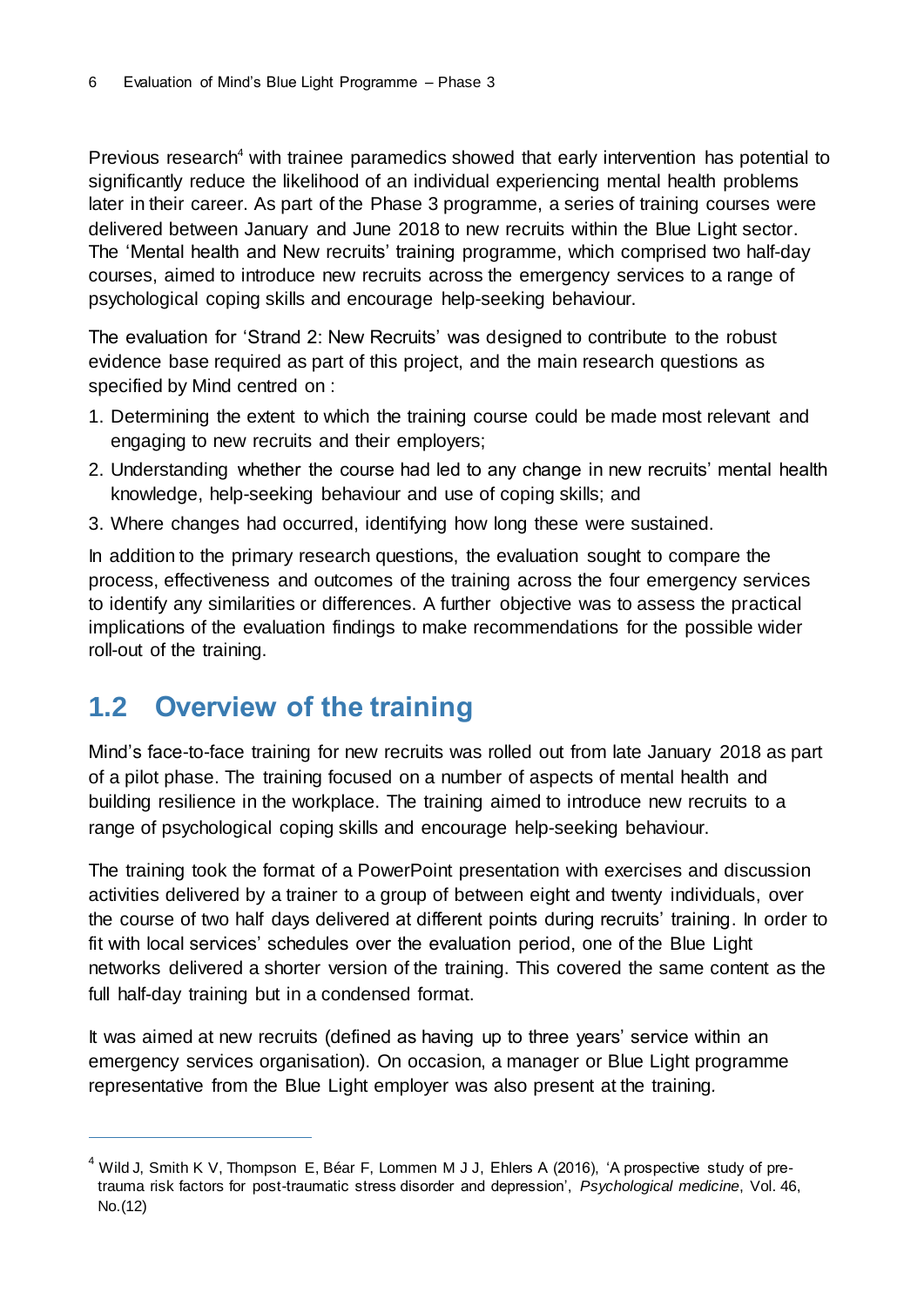Previous research<sup>4</sup> with trainee paramedics showed that early intervention has potential to significantly reduce the likelihood of an individual experiencing mental health problems later in their career. As part of the Phase 3 programme, a series of training courses were delivered between January and June 2018 to new recruits within the Blue Light sector. The 'Mental health and New recruits' training programme, which comprised two half-day courses, aimed to introduce new recruits across the emergency services to a range of psychological coping skills and encourage help-seeking behaviour.

The evaluation for 'Strand 2: New Recruits' was designed to contribute to the robust evidence base required as part of this project, and the main research questions as specified by Mind centred on :

- 1. Determining the extent to which the training course could be made most relevant and engaging to new recruits and their employers;
- 2. Understanding whether the course had led to any change in new recruits' mental health knowledge, help-seeking behaviour and use of coping skills; and
- 3. Where changes had occurred, identifying how long these were sustained.

In addition to the primary research questions, the evaluation sought to compare the process, effectiveness and outcomes of the training across the four emergency services to identify any similarities or differences. A further objective was to assess the practical implications of the evaluation findings to make recommendations for the possible wider roll-out of the training.

## <span id="page-9-0"></span>**1.2 Overview of the training**

 $\overline{a}$ 

Mind's face-to-face training for new recruits was rolled out from late January 2018 as part of a pilot phase. The training focused on a number of aspects of mental health and building resilience in the workplace. The training aimed to introduce new recruits to a range of psychological coping skills and encourage help-seeking behaviour.

The training took the format of a PowerPoint presentation with exercises and discussion activities delivered by a trainer to a group of between eight and twenty individuals, over the course of two half days delivered at different points during recruits' training. In order to fit with local services' schedules over the evaluation period, one of the Blue Light networks delivered a shorter version of the training. This covered the same content as the full half-day training but in a condensed format.

It was aimed at new recruits (defined as having up to three years' service within an emergency services organisation). On occasion, a manager or Blue Light programme representative from the Blue Light employer was also present at the training*.*

 $4$  Wild J, Smith K V, Thompson E, Béar F, Lommen M J J, Ehlers A (2016), 'A prospective study of pretrauma risk factors for post-traumatic stress disorder and depression', *Psychological medicine*, Vol. 46, No.(12)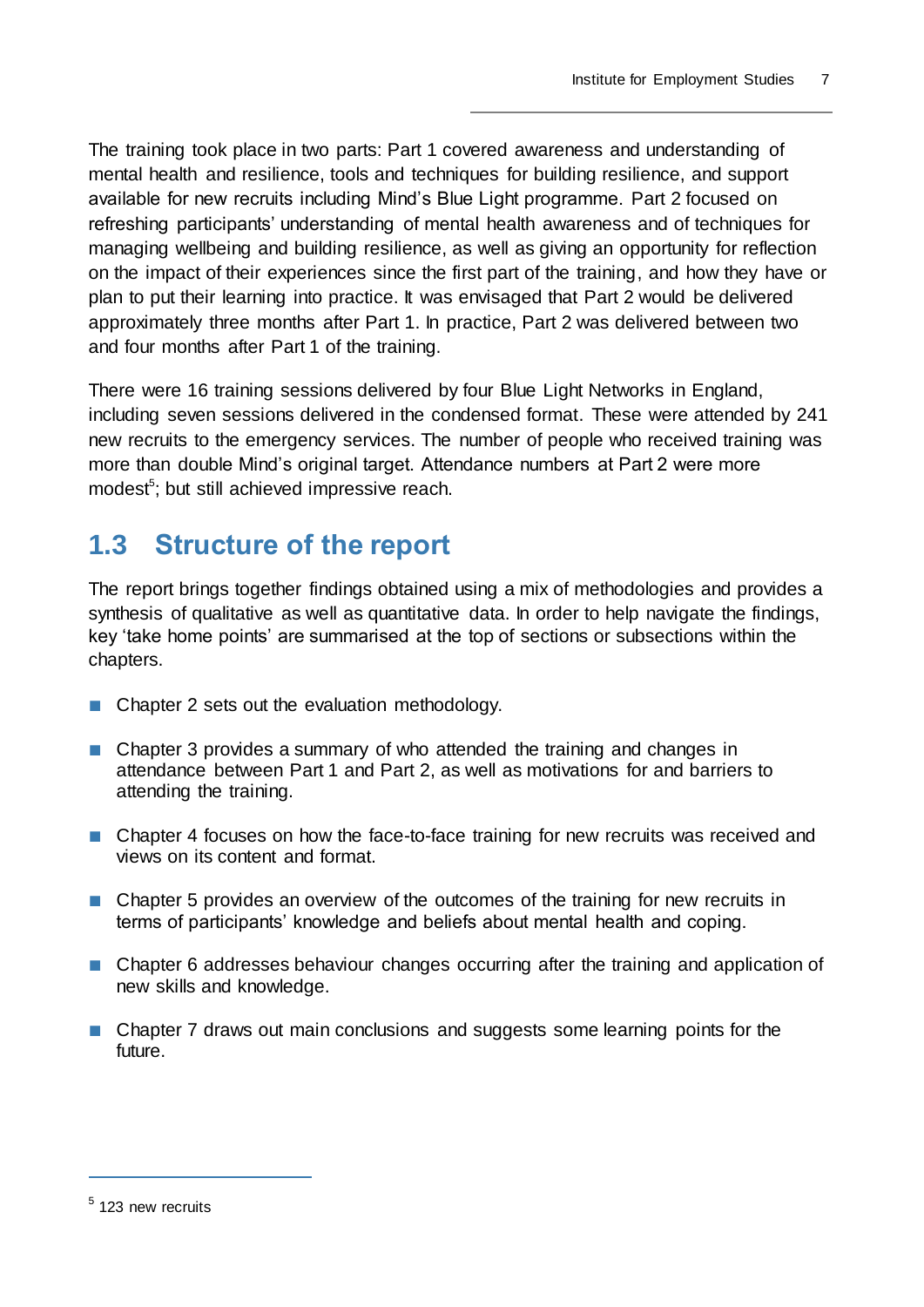The training took place in two parts: Part 1 covered awareness and understanding of mental health and resilience, tools and techniques for building resilience, and support available for new recruits including Mind's Blue Light programme. Part 2 focused on refreshing participants' understanding of mental health awareness and of techniques for managing wellbeing and building resilience, as well as giving an opportunity for reflection on the impact of their experiences since the first part of the training, and how they have or plan to put their learning into practice. It was envisaged that Part 2 would be delivered approximately three months after Part 1. In practice, Part 2 was delivered between two and four months after Part 1 of the training.

There were 16 training sessions delivered by four Blue Light Networks in England, including seven sessions delivered in the condensed format. These were attended by 241 new recruits to the emergency services. The number of people who received training was more than double Mind's original target. Attendance numbers at Part 2 were more modest<sup>5</sup>; but still achieved impressive reach.

## <span id="page-10-0"></span>**1.3 Structure of the report**

The report brings together findings obtained using a mix of methodologies and provides a synthesis of qualitative as well as quantitative data. In order to help navigate the findings, key 'take home points' are summarised at the top of sections or subsections within the chapters.

- Chapter 2 sets out the evaluation methodology.
- Chapter 3 provides a summary of who attended the training and changes in attendance between Part 1 and Part 2, as well as motivations for and barriers to attending the training.
- Chapter 4 focuses on how the face-to-face training for new recruits was received and views on its content and format.
- Chapter 5 provides an overview of the outcomes of the training for new recruits in terms of participants' knowledge and beliefs about mental health and coping.
- Chapter 6 addresses behaviour changes occurring after the training and application of new skills and knowledge.
- Chapter 7 draws out main conclusions and suggests some learning points for the future.

 $\overline{a}$ 

<sup>&</sup>lt;sup>5</sup> 123 new recruits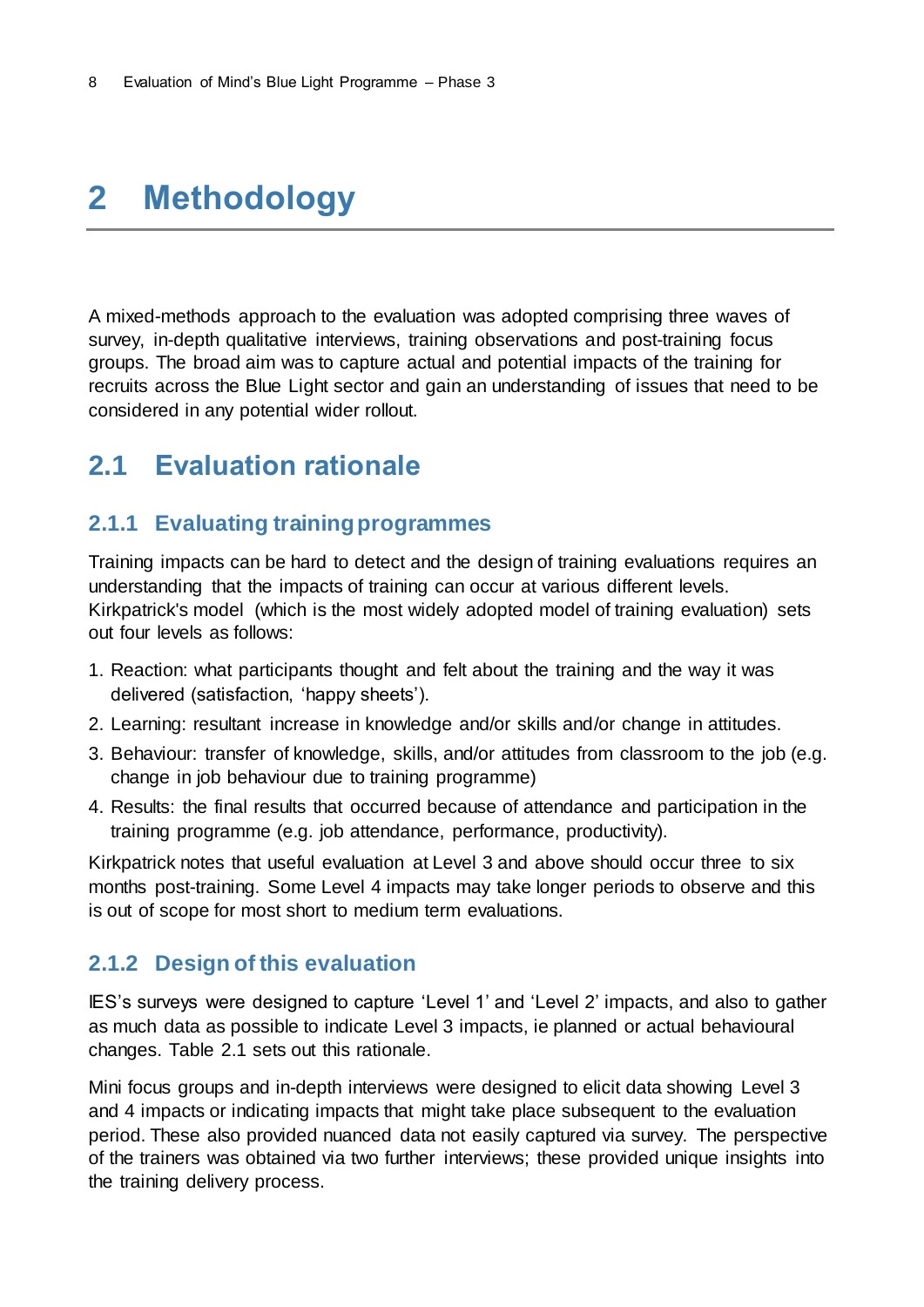## <span id="page-11-0"></span>**2 Methodology**

A mixed-methods approach to the evaluation was adopted comprising three waves of survey, in-depth qualitative interviews, training observations and post-training focus groups. The broad aim was to capture actual and potential impacts of the training for recruits across the Blue Light sector and gain an understanding of issues that need to be considered in any potential wider rollout.

## <span id="page-11-1"></span>**2.1 Evaluation rationale**

### <span id="page-11-2"></span>**2.1.1 Evaluating training programmes**

Training impacts can be hard to detect and the design of training evaluations requires an understanding that the impacts of training can occur at various different levels. Kirkpatrick's model (which is the most widely adopted model of training evaluation) sets out four levels as follows:

- 1. Reaction: what participants thought and felt about the training and the way it was delivered (satisfaction, 'happy sheets').
- 2. Learning: resultant increase in knowledge and/or skills and/or change in attitudes.
- 3. Behaviour: transfer of knowledge, skills, and/or attitudes from classroom to the job (e.g. change in job behaviour due to training programme)
- 4. Results: the final results that occurred because of attendance and participation in the training programme (e.g. job attendance, performance, productivity).

Kirkpatrick notes that useful evaluation at Level 3 and above should occur three to six months post-training. Some Level 4 impacts may take longer periods to observe and this is out of scope for most short to medium term evaluations.

### <span id="page-11-3"></span>**2.1.2 Design of this evaluation**

IES's surveys were designed to capture 'Level 1' and 'Level 2' impacts, and also to gather as much data as possible to indicate Level 3 impacts, ie planned or actual behavioural changes. Table 2.1 sets out this rationale.

Mini focus groups and in-depth interviews were designed to elicit data showing Level 3 and 4 impacts or indicating impacts that might take place subsequent to the evaluation period. These also provided nuanced data not easily captured via survey. The perspective of the trainers was obtained via two further interviews; these provided unique insights into the training delivery process.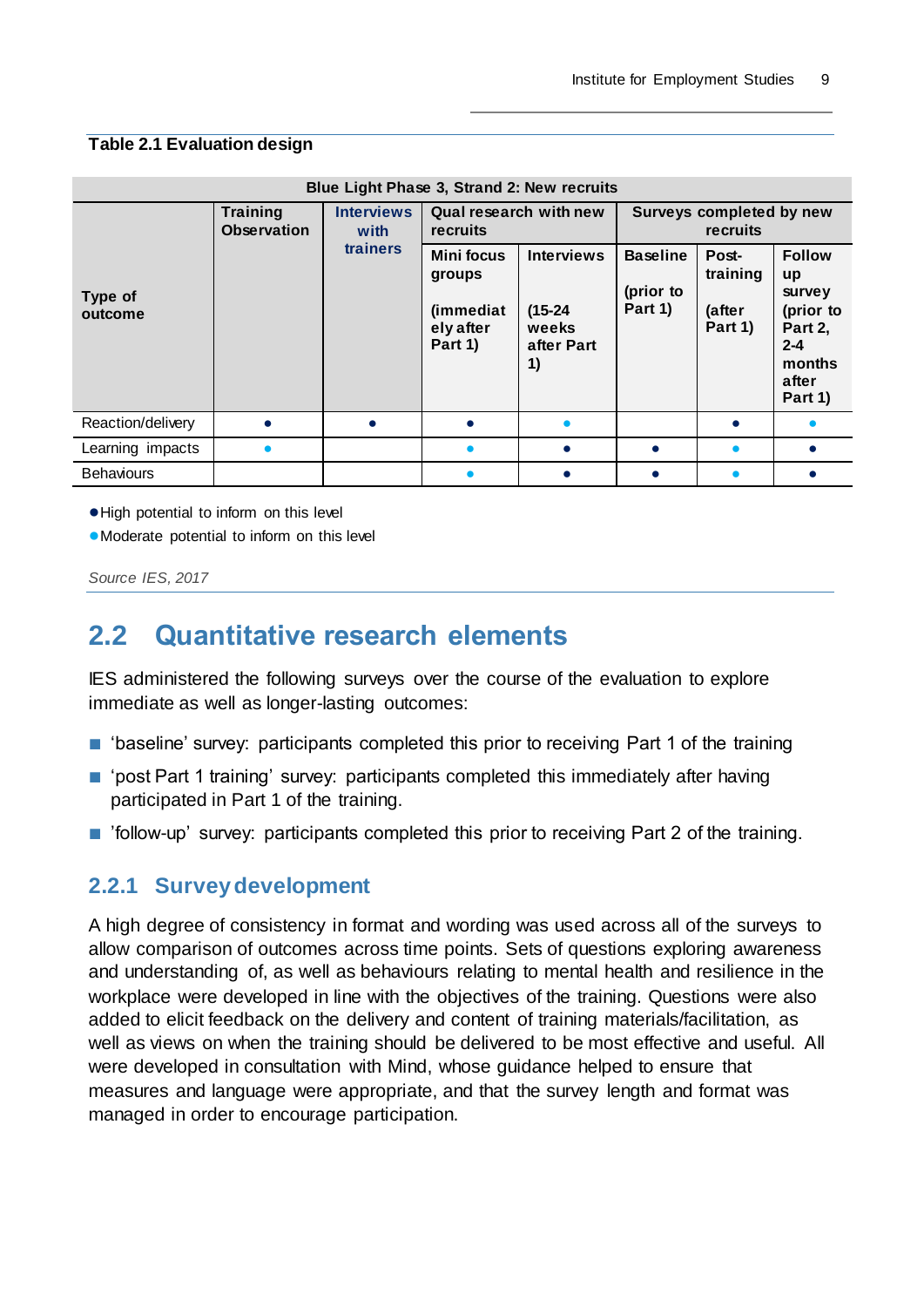#### **Table 2.1 Evaluation design**

| Blue Light Phase 3, Strand 2: New recruits |                                |                           |                                                                  |                                                             |                                             |                                        |                                                                                                |  |  |  |  |  |
|--------------------------------------------|--------------------------------|---------------------------|------------------------------------------------------------------|-------------------------------------------------------------|---------------------------------------------|----------------------------------------|------------------------------------------------------------------------------------------------|--|--|--|--|--|
|                                            | Training<br><b>Observation</b> | <b>Interviews</b><br>with | recruits                                                         | Qual research with new                                      | Surveys completed by new<br><b>recruits</b> |                                        |                                                                                                |  |  |  |  |  |
| Type of<br>outcome                         |                                | trainers                  | <b>Mini focus</b><br>groups<br>(immediat<br>ely after<br>Part 1) | <b>Interviews</b><br>$(15-24)$<br>weeks<br>after Part<br>1) | <b>Baseline</b><br>(prior to<br>Part 1)     | Post-<br>training<br>(after<br>Part 1) | <b>Follow</b><br>up<br>survey<br>(prior to<br>Part 2,<br>$2 - 4$<br>months<br>after<br>Part 1) |  |  |  |  |  |
| Reaction/delivery                          |                                |                           |                                                                  |                                                             |                                             |                                        |                                                                                                |  |  |  |  |  |
| Learning impacts                           |                                |                           |                                                                  | $\bullet$                                                   | $\bullet$                                   |                                        |                                                                                                |  |  |  |  |  |
| <b>Behaviours</b>                          |                                |                           |                                                                  |                                                             |                                             |                                        |                                                                                                |  |  |  |  |  |

●High potential to inform on this level

●Moderate potential to inform on this level

*Source IES, 2017*

## <span id="page-12-0"></span>**2.2 Quantitative research elements**

IES administered the following surveys over the course of the evaluation to explore immediate as well as longer-lasting outcomes:

- 'baseline' survey: participants completed this prior to receiving Part 1 of the training
- 'post Part 1 training' survey: participants completed this immediately after having participated in Part 1 of the training.
- 'follow-up' survey: participants completed this prior to receiving Part 2 of the training.

### <span id="page-12-1"></span>**2.2.1 Survey development**

A high degree of consistency in format and wording was used across all of the surveys to allow comparison of outcomes across time points. Sets of questions exploring awareness and understanding of, as well as behaviours relating to mental health and resilience in the workplace were developed in line with the objectives of the training. Questions were also added to elicit feedback on the delivery and content of training materials/facilitation, as well as views on when the training should be delivered to be most effective and useful. All were developed in consultation with Mind, whose guidance helped to ensure that measures and language were appropriate, and that the survey length and format was managed in order to encourage participation.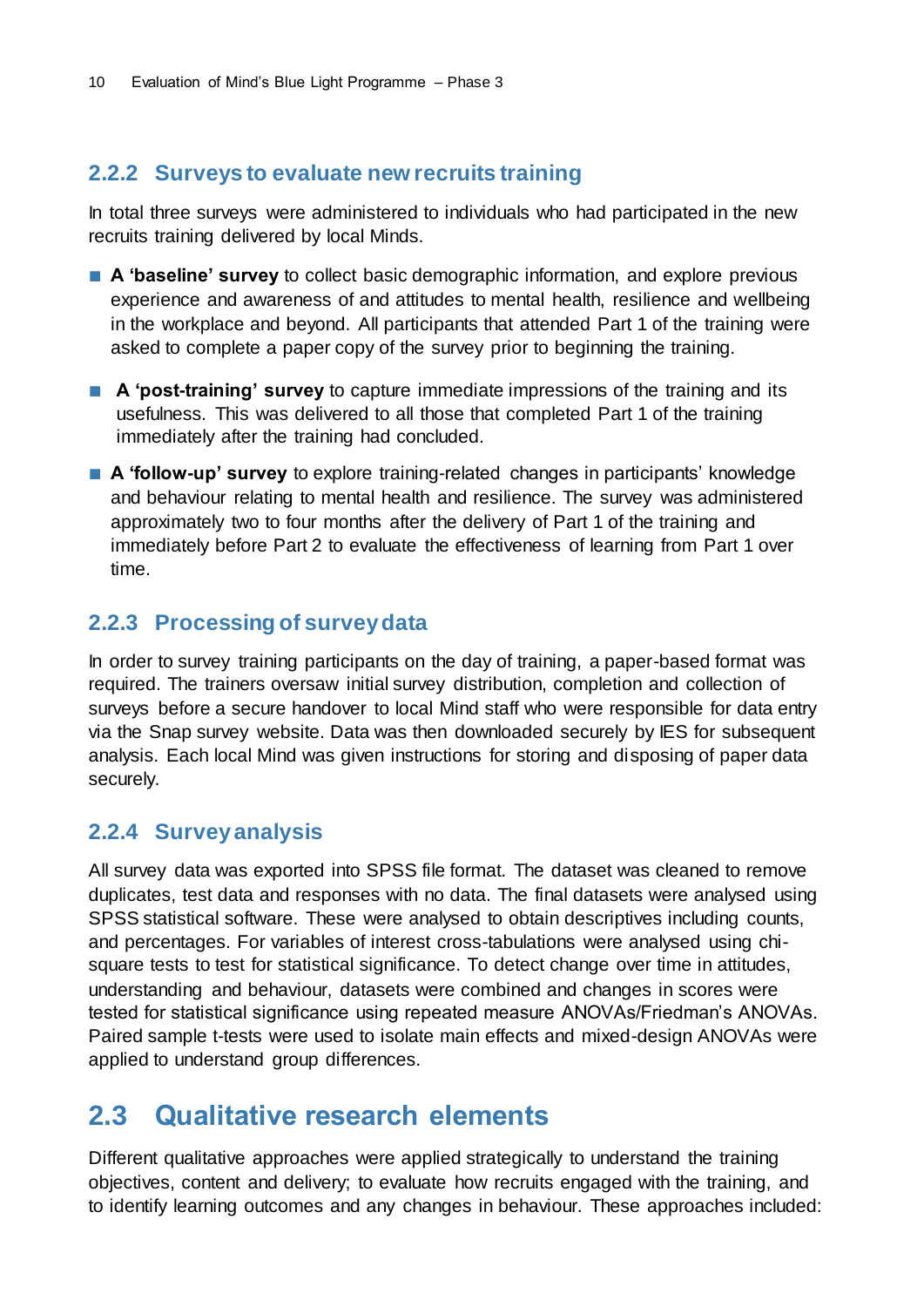### <span id="page-13-0"></span>**2.2.2 Surveys to evaluate new recruits training**

In total three surveys were administered to individuals who had participated in the new recruits training delivered by local Minds.

- **A 'baseline' survey** to collect basic demographic information, and explore previous experience and awareness of and attitudes to mental health, resilience and wellbeing in the workplace and beyond. All participants that attended Part 1 of the training were asked to complete a paper copy of the survey prior to beginning the training.
- **A** 'post-training' survey to capture immediate impressions of the training and its usefulness. This was delivered to all those that completed Part 1 of the training immediately after the training had concluded.
- **A 'follow-up' survey** to explore training-related changes in participants' knowledge and behaviour relating to mental health and resilience. The survey was administered approximately two to four months after the delivery of Part 1 of the training and immediately before Part 2 to evaluate the effectiveness of learning from Part 1 over time.

### <span id="page-13-1"></span>**2.2.3 Processing of survey data**

In order to survey training participants on the day of training, a paper-based format was required. The trainers oversaw initial survey distribution, completion and collection of surveys before a secure handover to local Mind staff who were responsible for data entry via the Snap survey website. Data was then downloaded securely by IES for subsequent analysis. Each local Mind was given instructions for storing and disposing of paper data securely.

### <span id="page-13-2"></span>**2.2.4 Survey analysis**

All survey data was exported into SPSS file format. The dataset was cleaned to remove duplicates, test data and responses with no data. The final datasets were analysed using SPSS statistical software. These were analysed to obtain descriptives including counts, and percentages. For variables of interest cross-tabulations were analysed using chisquare tests to test for statistical significance. To detect change over time in attitudes, understanding and behaviour, datasets were combined and changes in scores were tested for statistical significance using repeated measure ANOVAs/Friedman's ANOVAs. Paired sample t-tests were used to isolate main effects and mixed-design ANOVAs were applied to understand group differences.

## <span id="page-13-3"></span>**2.3 Qualitative research elements**

Different qualitative approaches were applied strategically to understand the training objectives, content and delivery; to evaluate how recruits engaged with the training, and to identify learning outcomes and any changes in behaviour. These approaches included: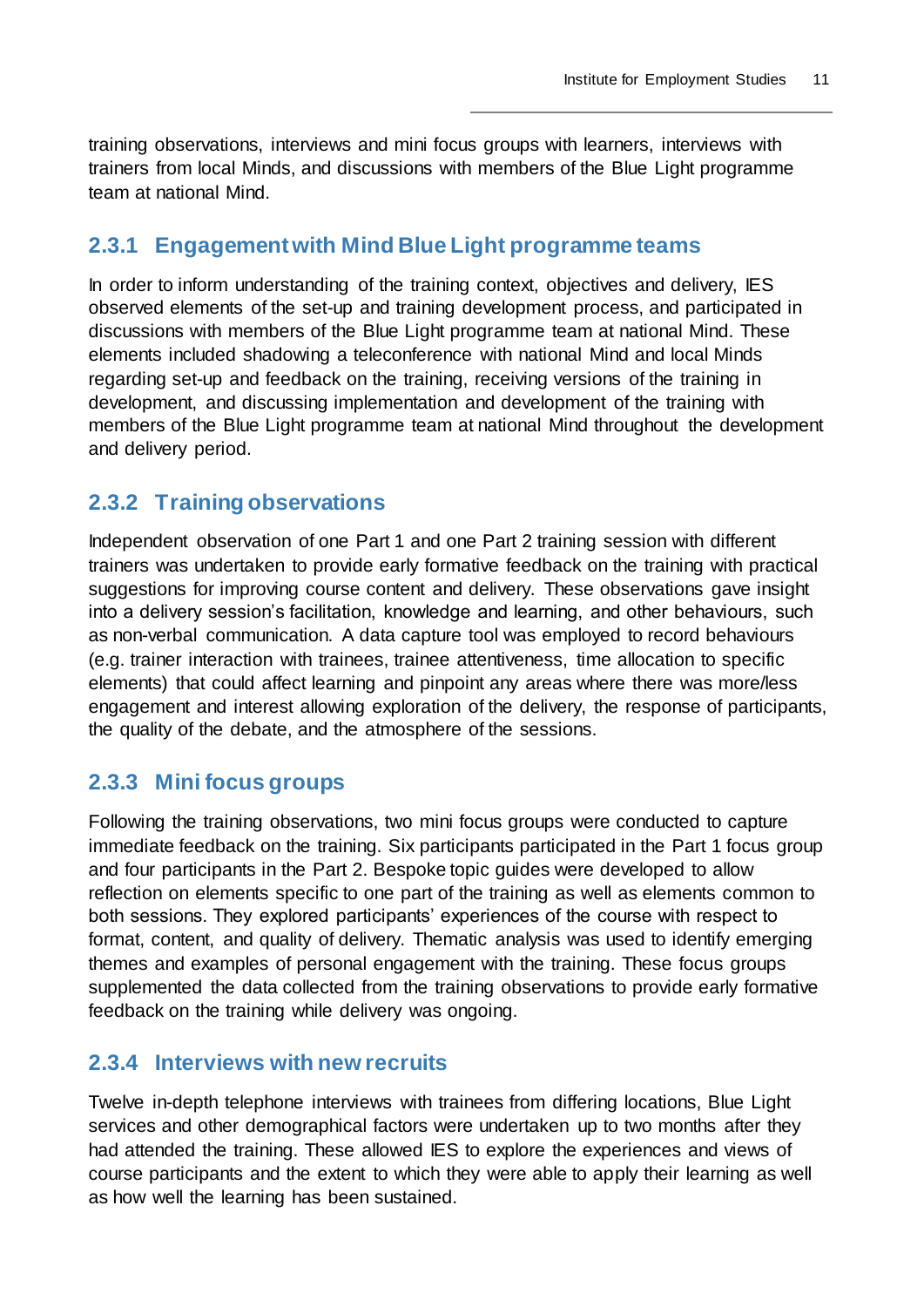training observations, interviews and mini focus groups with learners, interviews with trainers from local Minds, and discussions with members of the Blue Light programme team at national Mind.

### <span id="page-14-0"></span>**2.3.1 Engagement with Mind Blue Light programme teams**

In order to inform understanding of the training context, objectives and delivery, IES observed elements of the set-up and training development process, and participated in discussions with members of the Blue Light programme team at national Mind. These elements included shadowing a teleconference with national Mind and local Minds regarding set-up and feedback on the training, receiving versions of the training in development, and discussing implementation and development of the training with members of the Blue Light programme team at national Mind throughout the development and delivery period.

### <span id="page-14-1"></span>**2.3.2 Training observations**

Independent observation of one Part 1 and one Part 2 training session with different trainers was undertaken to provide early formative feedback on the training with practical suggestions for improving course content and delivery. These observations gave insight into a delivery session's facilitation, knowledge and learning, and other behaviours, such as non-verbal communication. A data capture tool was employed to record behaviours (e.g. trainer interaction with trainees, trainee attentiveness, time allocation to specific elements) that could affect learning and pinpoint any areas where there was more/less engagement and interest allowing exploration of the delivery, the response of participants, the quality of the debate, and the atmosphere of the sessions.

### <span id="page-14-2"></span>**2.3.3 Mini focus groups**

Following the training observations, two mini focus groups were conducted to capture immediate feedback on the training. Six participants participated in the Part 1 focus group and four participants in the Part 2. Bespoke topic guides were developed to allow reflection on elements specific to one part of the training as well as elements common to both sessions. They explored participants' experiences of the course with respect to format, content, and quality of delivery. Thematic analysis was used to identify emerging themes and examples of personal engagement with the training. These focus groups supplemented the data collected from the training observations to provide early formative feedback on the training while delivery was ongoing.

### <span id="page-14-3"></span>**2.3.4 Interviews with new recruits**

Twelve in-depth telephone interviews with trainees from differing locations, Blue Light services and other demographical factors were undertaken up to two months after they had attended the training. These allowed IES to explore the experiences and views of course participants and the extent to which they were able to apply their learning as well as how well the learning has been sustained.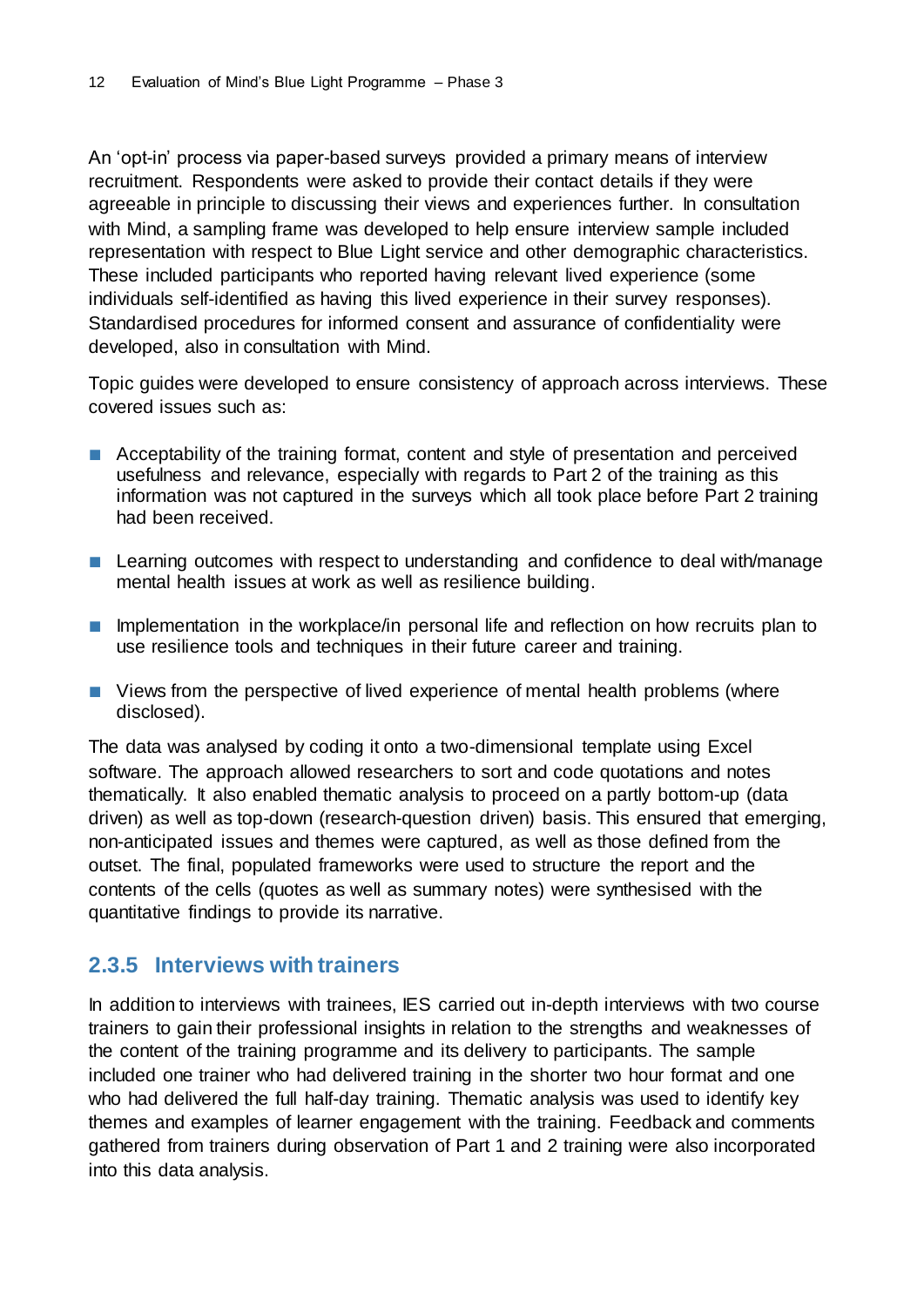An 'opt-in' process via paper-based surveys provided a primary means of interview recruitment. Respondents were asked to provide their contact details if they were agreeable in principle to discussing their views and experiences further. In consultation with Mind, a sampling frame was developed to help ensure interview sample included representation with respect to Blue Light service and other demographic characteristics. These included participants who reported having relevant lived experience (some individuals self-identified as having this lived experience in their survey responses). Standardised procedures for informed consent and assurance of confidentiality were developed, also in consultation with Mind.

Topic guides were developed to ensure consistency of approach across interviews. These covered issues such as:

- Acceptability of the training format, content and style of presentation and perceived usefulness and relevance, especially with regards to Part 2 of the training as this information was not captured in the surveys which all took place before Part 2 training had been received.
- Learning outcomes with respect to understanding and confidence to deal with/manage mental health issues at work as well as resilience building.
- Implementation in the workplace/in personal life and reflection on how recruits plan to use resilience tools and techniques in their future career and training.
- Views from the perspective of lived experience of mental health problems (where disclosed).

The data was analysed by coding it onto a two-dimensional template using Excel software. The approach allowed researchers to sort and code quotations and notes thematically. It also enabled thematic analysis to proceed on a partly bottom-up (data driven) as well as top-down (research-question driven) basis. This ensured that emerging, non-anticipated issues and themes were captured, as well as those defined from the outset. The final, populated frameworks were used to structure the report and the contents of the cells (quotes as well as summary notes) were synthesised with the quantitative findings to provide its narrative.

### <span id="page-15-0"></span>**2.3.5 Interviews with trainers**

In addition to interviews with trainees, IES carried out in-depth interviews with two course trainers to gain their professional insights in relation to the strengths and weaknesses of the content of the training programme and its delivery to participants. The sample included one trainer who had delivered training in the shorter two hour format and one who had delivered the full half-day training. Thematic analysis was used to identify key themes and examples of learner engagement with the training. Feedback and comments gathered from trainers during observation of Part 1 and 2 training were also incorporated into this data analysis.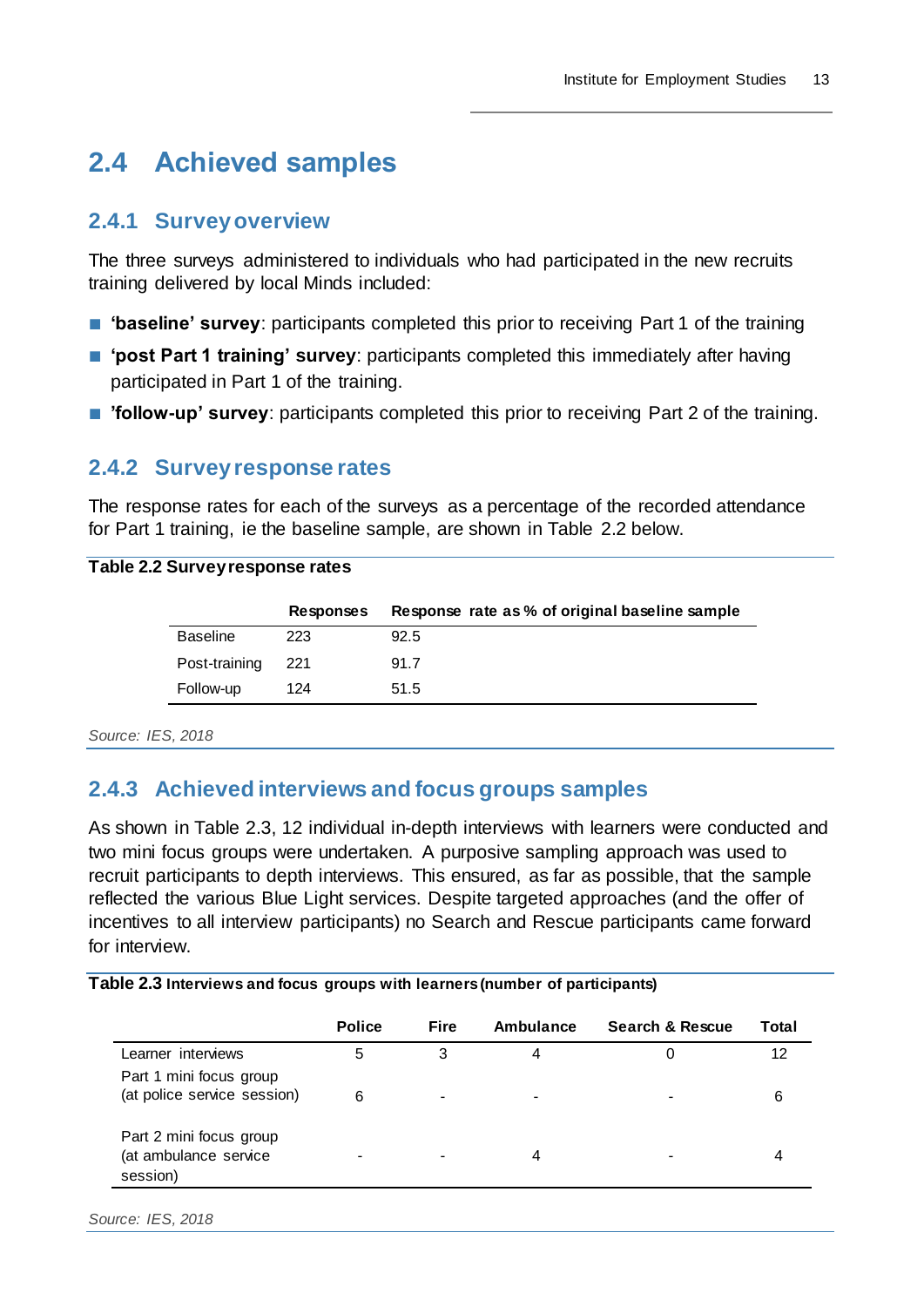## <span id="page-16-0"></span>**2.4 Achieved samples**

### <span id="page-16-1"></span>**2.4.1 Survey overview**

The three surveys administered to individuals who had participated in the new recruits training delivered by local Minds included:

- **'baseline' survey**: participants completed this prior to receiving Part 1 of the training
- 'post Part 1 training' survey: participants completed this immediately after having participated in Part 1 of the training.
- **'follow-up' survey**: participants completed this prior to receiving Part 2 of the training.

### <span id="page-16-2"></span>**2.4.2 Survey response rates**

The response rates for each of the surveys as a percentage of the recorded attendance for Part 1 training, ie the baseline sample, are shown in Table 2.2 below.

#### **Table 2.2 Survey response rates**

|                 | Responses | Response rate as % of original baseline sample |
|-----------------|-----------|------------------------------------------------|
| <b>Baseline</b> | 223       | 92.5                                           |
| Post-training   | 221       | 91.7                                           |
| Follow-up       | 124       | 51.5                                           |

*Source: IES, 2018*

### <span id="page-16-3"></span>**2.4.3 Achieved interviews and focus groups samples**

As shown in Table 2.3, 12 individual in-depth interviews with learners were conducted and two mini focus groups were undertaken. A purposive sampling approach was used to recruit participants to depth interviews. This ensured, as far as possible, that the sample reflected the various Blue Light services. Despite targeted approaches (and the offer of incentives to all interview participants) no Search and Rescue participants came forward for interview.

#### **Table 2.3 Interviews and focus groups with learners (number of participants)**

|                                                              | <b>Police</b> | <b>Fire</b> | Ambulance      | <b>Search &amp; Rescue</b> | Total |
|--------------------------------------------------------------|---------------|-------------|----------------|----------------------------|-------|
| Learner interviews                                           | 5             | 3           | 4              |                            | 12    |
| Part 1 mini focus group<br>(at police service session)       | 6             | -           | $\blacksquare$ |                            | 6     |
| Part 2 mini focus group<br>(at ambulance service<br>session) |               |             | 4              |                            |       |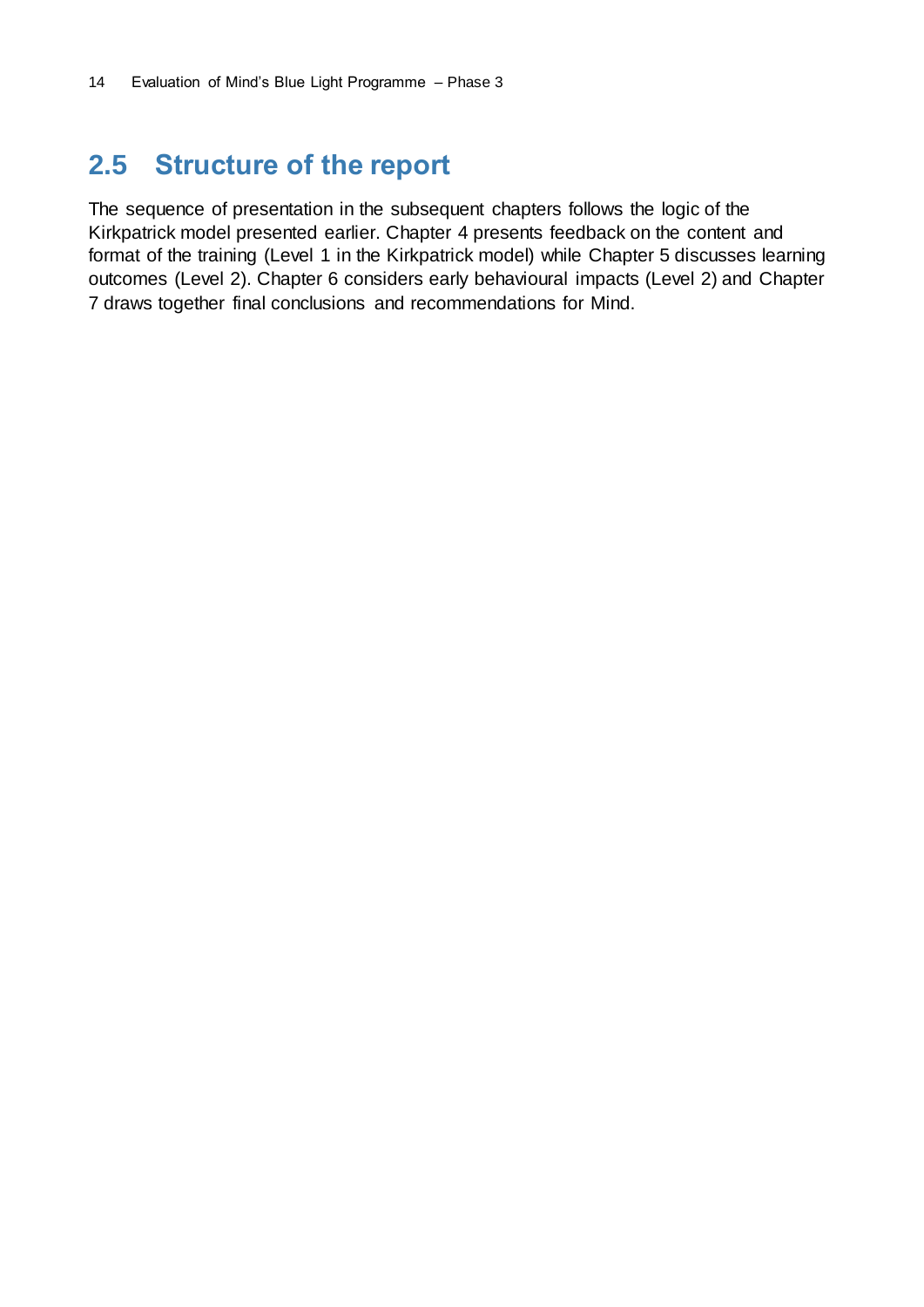## <span id="page-17-0"></span>**2.5 Structure of the report**

The sequence of presentation in the subsequent chapters follows the logic of the Kirkpatrick model presented earlier. Chapter 4 presents feedback on the content and format of the training (Level 1 in the Kirkpatrick model) while Chapter 5 discusses learning outcomes (Level 2). Chapter 6 considers early behavioural impacts (Level 2) and Chapter 7 draws together final conclusions and recommendations for Mind.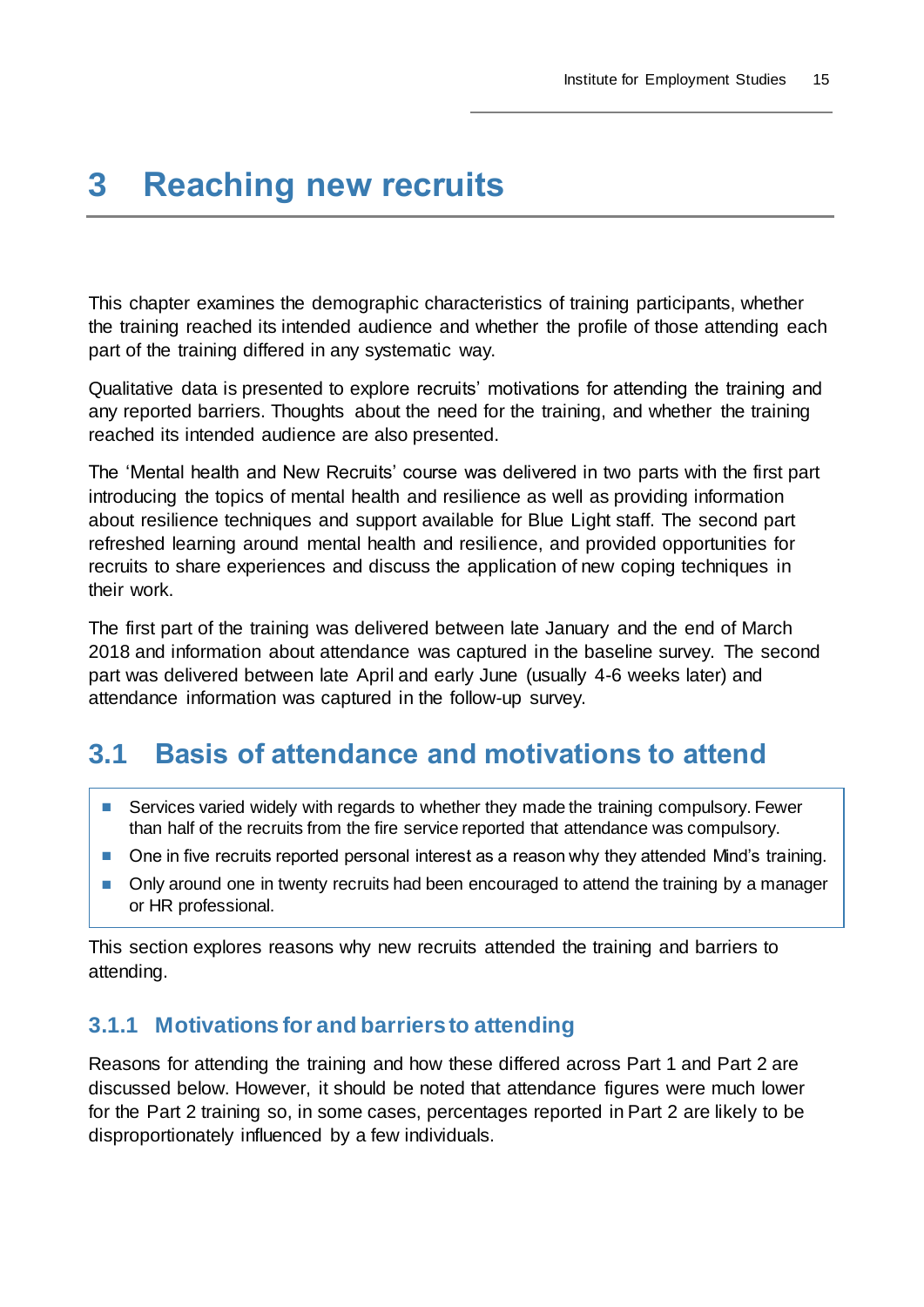## <span id="page-18-0"></span>**3 Reaching new recruits**

This chapter examines the demographic characteristics of training participants, whether the training reached its intended audience and whether the profile of those attending each part of the training differed in any systematic way.

Qualitative data is presented to explore recruits' motivations for attending the training and any reported barriers. Thoughts about the need for the training, and whether the training reached its intended audience are also presented.

The 'Mental health and New Recruits' course was delivered in two parts with the first part introducing the topics of mental health and resilience as well as providing information about resilience techniques and support available for Blue Light staff. The second part refreshed learning around mental health and resilience, and provided opportunities for recruits to share experiences and discuss the application of new coping techniques in their work.

The first part of the training was delivered between late January and the end of March 2018 and information about attendance was captured in the baseline survey. The second part was delivered between late April and early June (usually 4-6 weeks later) and attendance information was captured in the follow-up survey.

## <span id="page-18-1"></span>**3.1 Basis of attendance and motivations to attend**

- Services varied widely with regards to whether they made the training compulsory. Fewer than half of the recruits from the fire service reported that attendance was compulsory.
- One in five recruits reported personal interest as a reason why they attended Mind's training.
- Only around one in twenty recruits had been encouraged to attend the training by a manager or HR professional.

This section explores reasons why new recruits attended the training and barriers to attending.

### <span id="page-18-2"></span>**3.1.1 Motivations for and barriers to attending**

Reasons for attending the training and how these differed across Part 1 and Part 2 are discussed below. However, it should be noted that attendance figures were much lower for the Part 2 training so, in some cases, percentages reported in Part 2 are likely to be disproportionately influenced by a few individuals.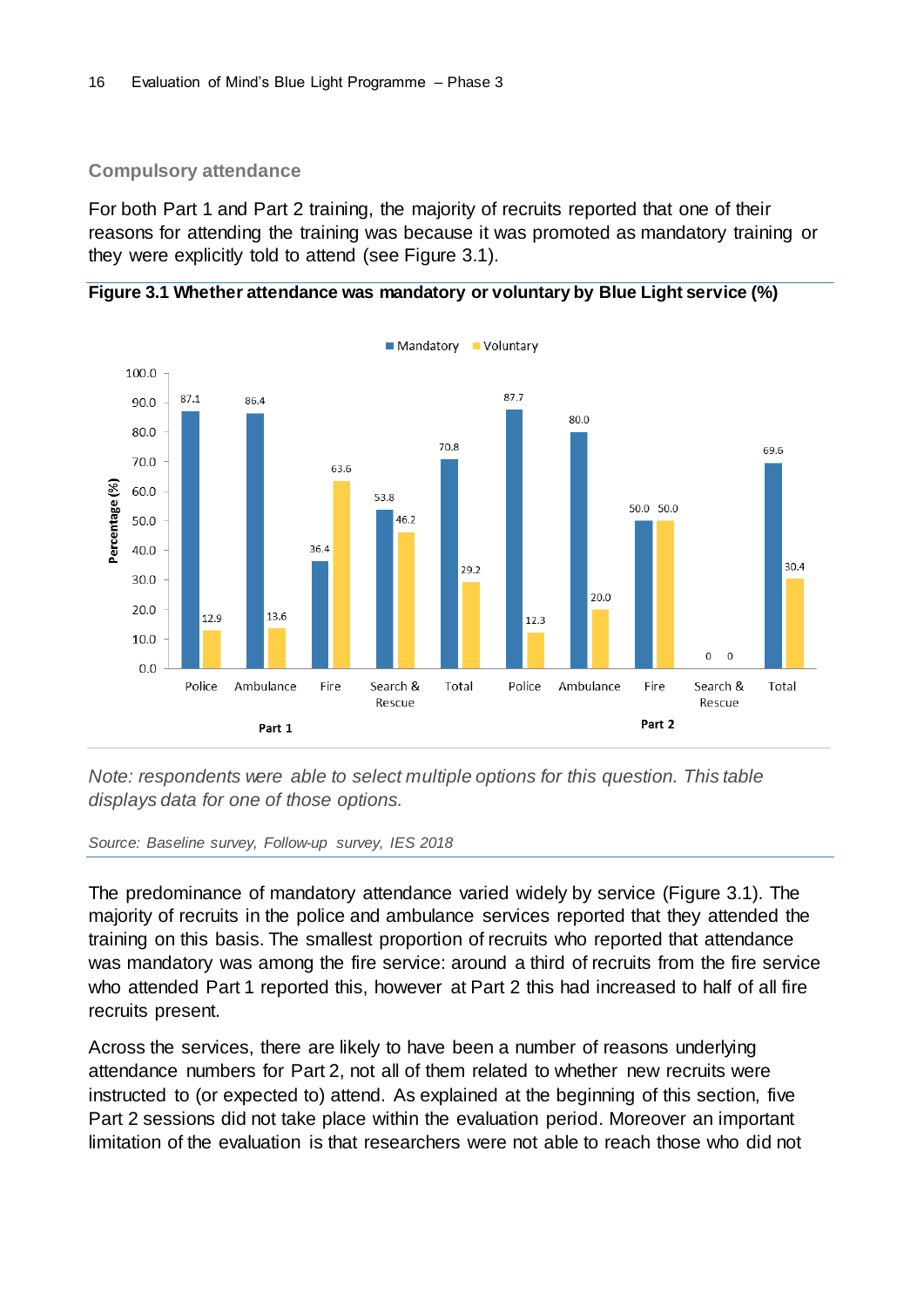#### **Compulsory attendance**

For both Part 1 and Part 2 training, the majority of recruits reported that one of their reasons for attending the training was because it was promoted as mandatory training or they were explicitly told to attend (see Figure 3.1).





*Note: respondents were able to select multiple options for this question. This table displays data for one of those options.*

#### *Source: Baseline survey, Follow-up survey, IES 2018*

The predominance of mandatory attendance varied widely by service (Figure 3.1). The majority of recruits in the police and ambulance services reported that they attended the training on this basis. The smallest proportion of recruits who reported that attendance was mandatory was among the fire service: around a third of recruits from the fire service who attended Part 1 reported this, however at Part 2 this had increased to half of all fire recruits present.

Across the services, there are likely to have been a number of reasons underlying attendance numbers for Part 2, not all of them related to whether new recruits were instructed to (or expected to) attend. As explained at the beginning of this section, five Part 2 sessions did not take place within the evaluation period. Moreover an important limitation of the evaluation is that researchers were not able to reach those who did not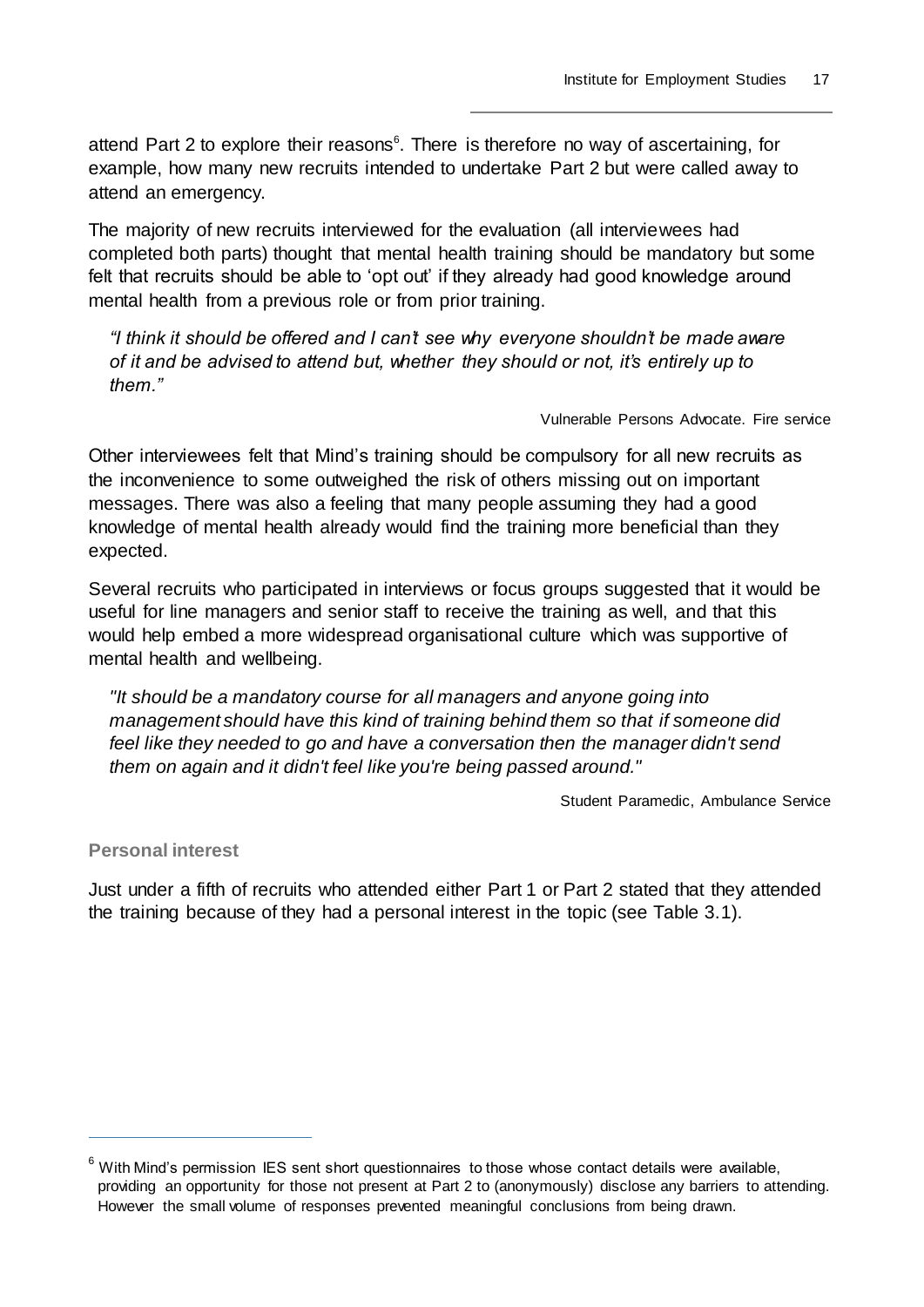attend Part 2 to explore their reasons<sup>6</sup>. There is therefore no way of ascertaining, for example, how many new recruits intended to undertake Part 2 but were called away to attend an emergency.

The majority of new recruits interviewed for the evaluation (all interviewees had completed both parts) thought that mental health training should be mandatory but some felt that recruits should be able to 'opt out' if they already had good knowledge around mental health from a previous role or from prior training.

*"I think it should be offered and I can't see why everyone shouldn't be made aware of it and be advised to attend but, whether they should or not, it's entirely up to them."*

#### Vulnerable Persons Advocate. Fire service

Other interviewees felt that Mind's training should be compulsory for all new recruits as the inconvenience to some outweighed the risk of others missing out on important messages. There was also a feeling that many people assuming they had a good knowledge of mental health already would find the training more beneficial than they expected.

Several recruits who participated in interviews or focus groups suggested that it would be useful for line managers and senior staff to receive the training as well, and that this would help embed a more widespread organisational culture which was supportive of mental health and wellbeing.

*"It should be a mandatory course for all managers and anyone going into management should have this kind of training behind them so that if someone did*  feel like they needed to go and have a conversation then the manager didn't send *them on again and it didn't feel like you're being passed around."*

Student Paramedic, Ambulance Service

#### **Personal interest**

 $\overline{a}$ 

Just under a fifth of recruits who attended either Part 1 or Part 2 stated that they attended the training because of they had a personal interest in the topic (see Table 3.1).

 $6$  With Mind's permission IES sent short questionnaires to those whose contact details were available, providing an opportunity for those not present at Part 2 to (anonymously) disclose any barriers to attending. However the small volume of responses prevented meaningful conclusions from being drawn.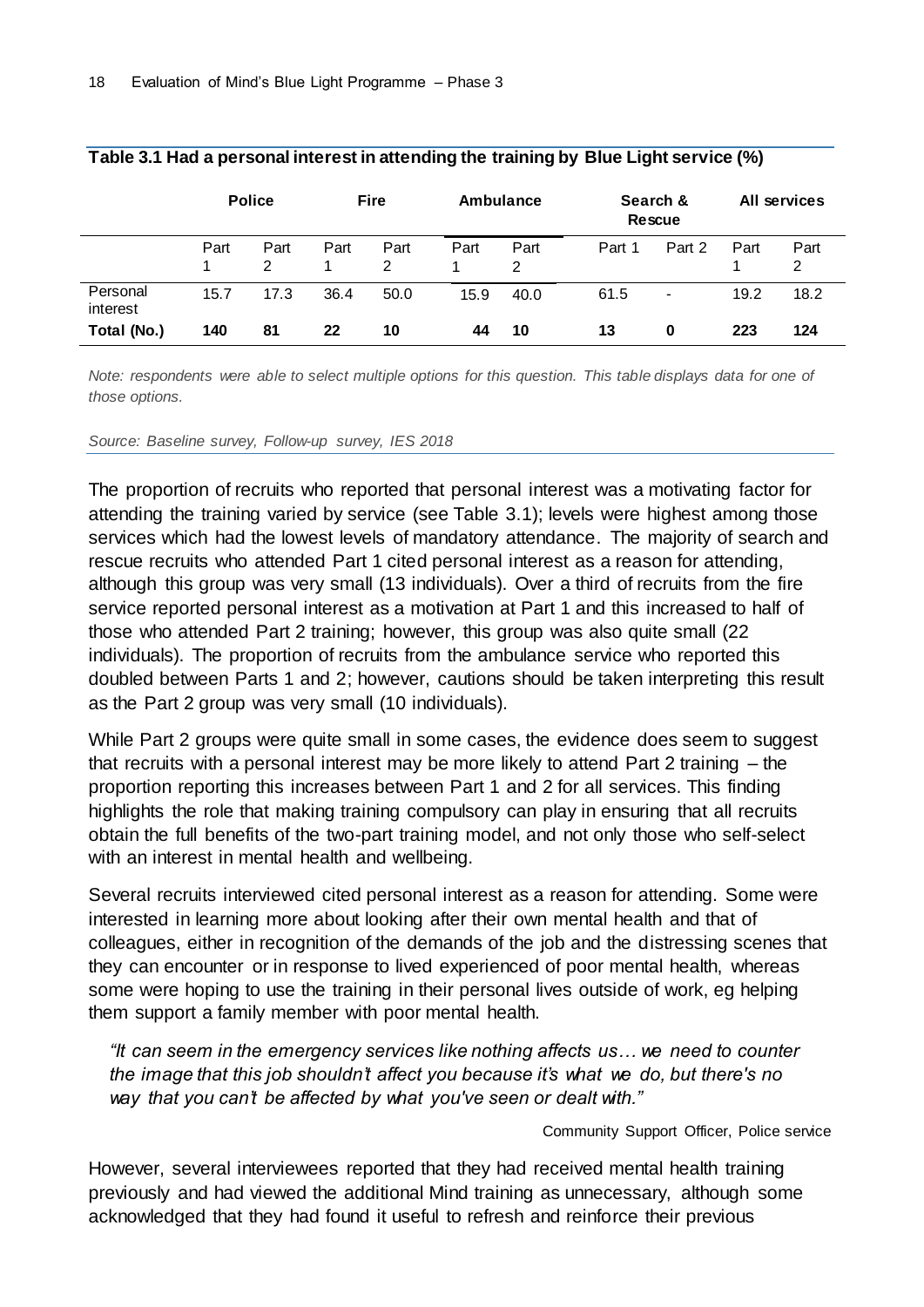|                      | <b>Police</b> |           | <b>Fire</b> |           | Ambulance |           | Search &<br><b>Rescue</b> |                          | All services |           |
|----------------------|---------------|-----------|-------------|-----------|-----------|-----------|---------------------------|--------------------------|--------------|-----------|
|                      | Part          | Part<br>2 | Part        | Part<br>2 | Part      | Part<br>2 | Part 1                    | Part 2                   | Part         | Part<br>2 |
| Personal<br>interest | 15.7          | 17.3      | 36.4        | 50.0      | 15.9      | 40.0      | 61.5                      | $\overline{\phantom{a}}$ | 19.2         | 18.2      |
| Total (No.)          | 140           | 81        | 22          | 10        | 44        | 10        | 13                        | 0                        | 223          | 124       |

#### **Table 3.1 Had a personal interest in attending the training by Blue Light service (%)**

*Note: respondents were able to select multiple options for this question. This table displays data for one of those options.*

*Source: Baseline survey, Follow-up survey, IES 2018*

The proportion of recruits who reported that personal interest was a motivating factor for attending the training varied by service (see Table 3.1); levels were highest among those services which had the lowest levels of mandatory attendance. The majority of search and rescue recruits who attended Part 1 cited personal interest as a reason for attending, although this group was very small (13 individuals). Over a third of recruits from the fire service reported personal interest as a motivation at Part 1 and this increased to half of those who attended Part 2 training; however, this group was also quite small (22 individuals). The proportion of recruits from the ambulance service who reported this doubled between Parts 1 and 2; however, cautions should be taken interpreting this result as the Part 2 group was very small (10 individuals).

While Part 2 groups were quite small in some cases, the evidence does seem to suggest that recruits with a personal interest may be more likely to attend Part 2 training – the proportion reporting this increases between Part 1 and 2 for all services. This finding highlights the role that making training compulsory can play in ensuring that all recruits obtain the full benefits of the two-part training model, and not only those who self-select with an interest in mental health and wellbeing.

Several recruits interviewed cited personal interest as a reason for attending. Some were interested in learning more about looking after their own mental health and that of colleagues, either in recognition of the demands of the job and the distressing scenes that they can encounter or in response to lived experienced of poor mental health, whereas some were hoping to use the training in their personal lives outside of work, eg helping them support a family member with poor mental health.

*"It can seem in the emergency services like nothing affects us… we need to counter the image that this job shouldn't affect you because it's what we do, but there's no way that you can't be affected by what you've seen or dealt with."* 

Community Support Officer, Police service

However, several interviewees reported that they had received mental health training previously and had viewed the additional Mind training as unnecessary, although some acknowledged that they had found it useful to refresh and reinforce their previous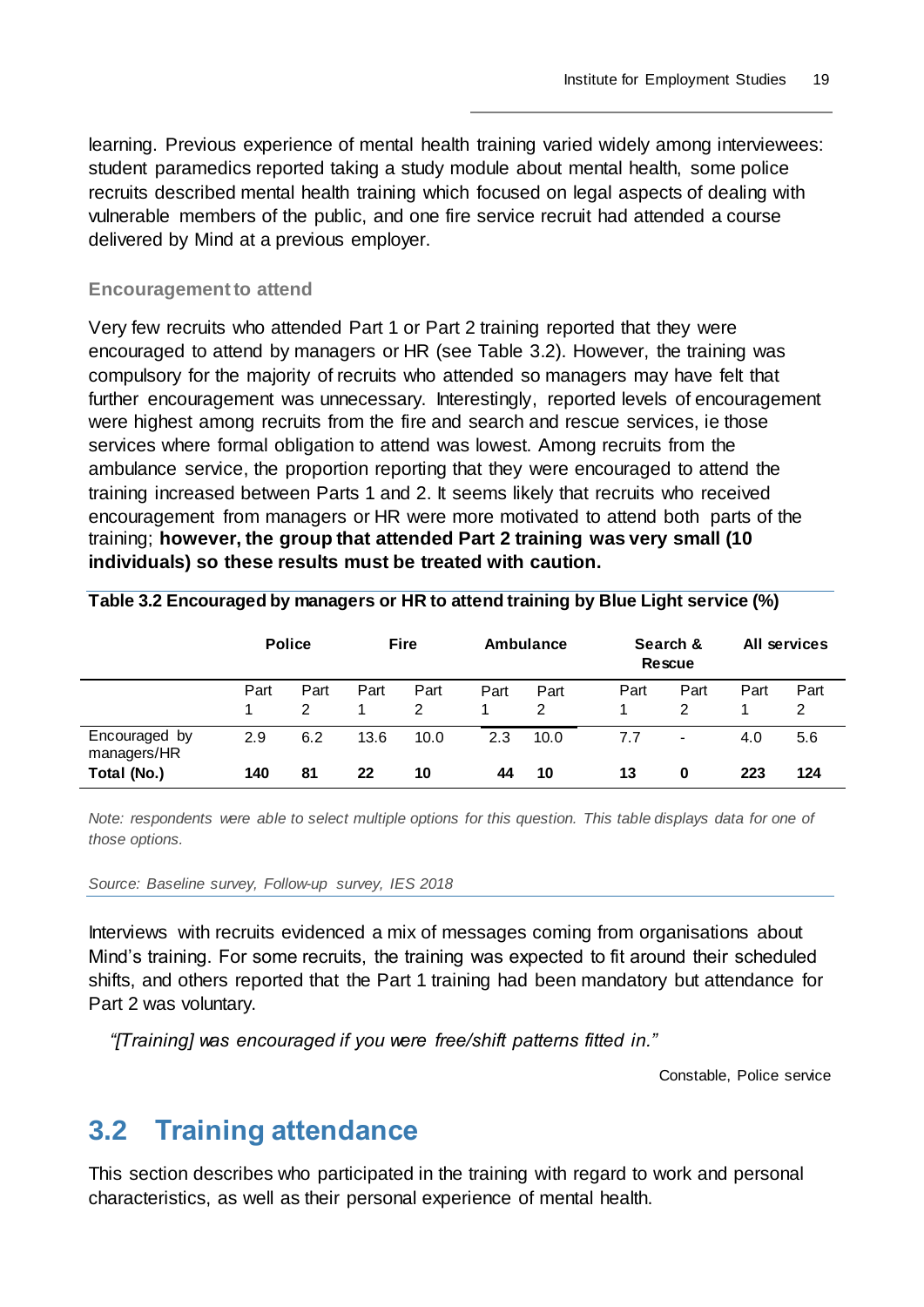learning. Previous experience of mental health training varied widely among interviewees: student paramedics reported taking a study module about mental health, some police recruits described mental health training which focused on legal aspects of dealing with vulnerable members of the public, and one fire service recruit had attended a course delivered by Mind at a previous employer.

#### **Encouragement to attend**

Very few recruits who attended Part 1 or Part 2 training reported that they were encouraged to attend by managers or HR (see Table 3.2). However, the training was compulsory for the majority of recruits who attended so managers may have felt that further encouragement was unnecessary. Interestingly, reported levels of encouragement were highest among recruits from the fire and search and rescue services, ie those services where formal obligation to attend was lowest. Among recruits from the ambulance service, the proportion reporting that they were encouraged to attend the training increased between Parts 1 and 2. It seems likely that recruits who received encouragement from managers or HR were more motivated to attend both parts of the training; **however, the group that attended Part 2 training was very small (10 individuals) so these results must be treated with caution.**

|                                             | <b>Police</b> |           | <b>Fire</b> |            | Ambulance |            | Search &<br><b>Rescue</b> |                     | All services |            |
|---------------------------------------------|---------------|-----------|-------------|------------|-----------|------------|---------------------------|---------------------|--------------|------------|
|                                             | Part          | Part      | Part        | Part<br>2  | Part      | Part<br>2  | Part                      | Part<br>2           | Part         | Part<br>2  |
| Encouraged by<br>managers/HR<br>Total (No.) | 2.9<br>140    | 6.2<br>81 | 13.6<br>22  | 10.0<br>10 | 2.3<br>44 | 10.0<br>10 | 7.7<br>13                 | $\blacksquare$<br>0 | 4.0<br>223   | 5.6<br>124 |

**Table 3.2 Encouraged by managers or HR to attend training by Blue Light service (%)**

*Note: respondents were able to select multiple options for this question. This table displays data for one of those options.*

#### *Source: Baseline survey, Follow-up survey, IES 2018*

Interviews with recruits evidenced a mix of messages coming from organisations about Mind's training. For some recruits, the training was expected to fit around their scheduled shifts, and others reported that the Part 1 training had been mandatory but attendance for Part 2 was voluntary.

*"[Training] was encouraged if you were free/shift patterns fitted in."* 

Constable, Police service

## <span id="page-22-0"></span>**3.2 Training attendance**

This section describes who participated in the training with regard to work and personal characteristics, as well as their personal experience of mental health.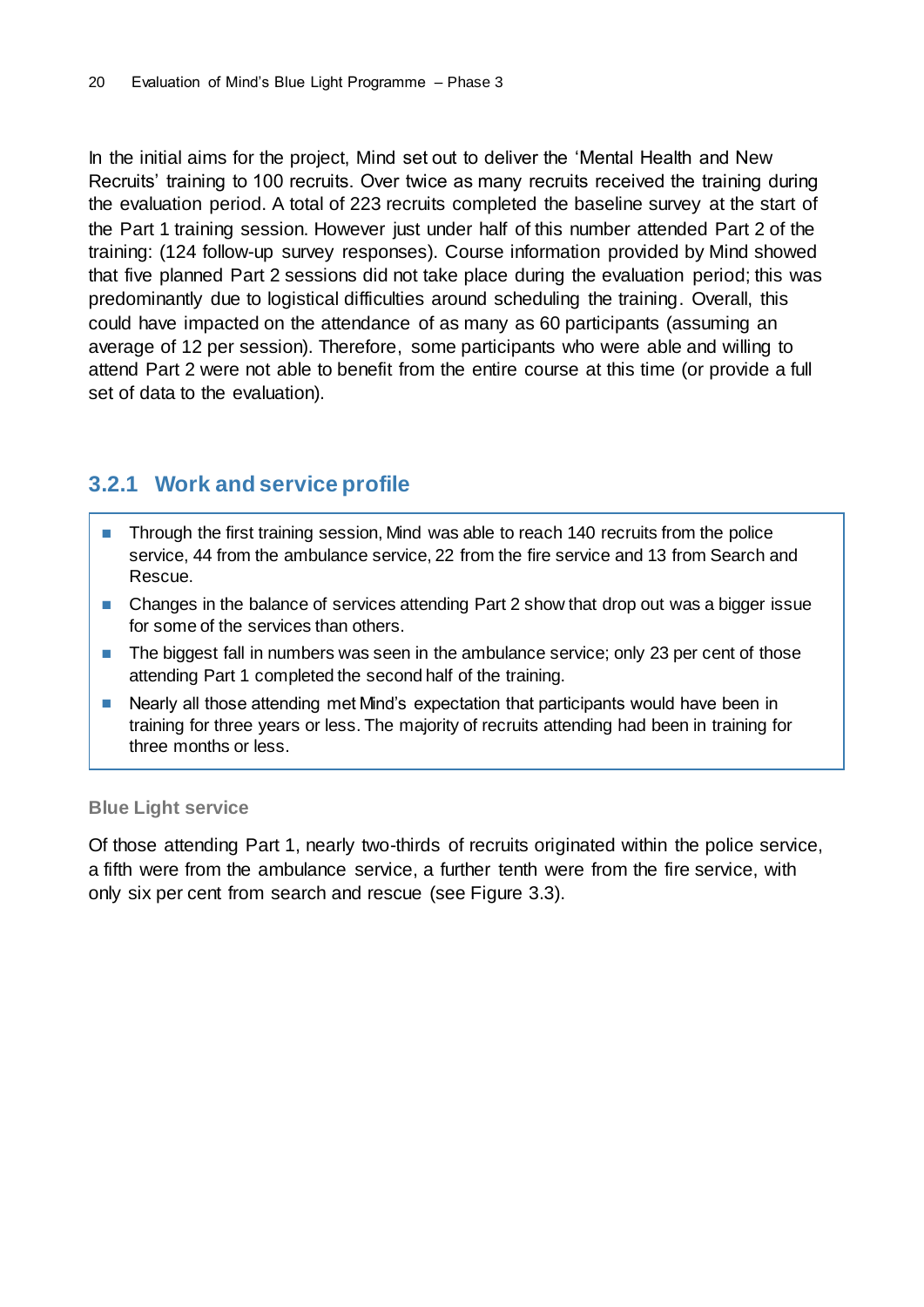In the initial aims for the project, Mind set out to deliver the 'Mental Health and New Recruits' training to 100 recruits. Over twice as many recruits received the training during the evaluation period. A total of 223 recruits completed the baseline survey at the start of the Part 1 training session. However just under half of this number attended Part 2 of the training: (124 follow-up survey responses). Course information provided by Mind showed that five planned Part 2 sessions did not take place during the evaluation period; this was predominantly due to logistical difficulties around scheduling the training. Overall, this could have impacted on the attendance of as many as 60 participants (assuming an average of 12 per session). Therefore, some participants who were able and willing to attend Part 2 were not able to benefit from the entire course at this time (or provide a full set of data to the evaluation).

### <span id="page-23-0"></span>**3.2.1 Work and service profile**

- Through the first training session, Mind was able to reach 140 recruits from the police service, 44 from the ambulance service, 22 from the fire service and 13 from Search and Rescue.
- Changes in the balance of services attending Part 2 show that drop out was a bigger issue for some of the services than others.
- The biggest fall in numbers was seen in the ambulance service; only 23 per cent of those attending Part 1 completed the second half of the training.
- Nearly all those attending met Mind's expectation that participants would have been in training for three years or less. The majority of recruits attending had been in training for three months or less.

#### **Blue Light service**

Of those attending Part 1, nearly two-thirds of recruits originated within the police service, a fifth were from the ambulance service, a further tenth were from the fire service, with only six per cent from search and rescue (see Figure 3.3).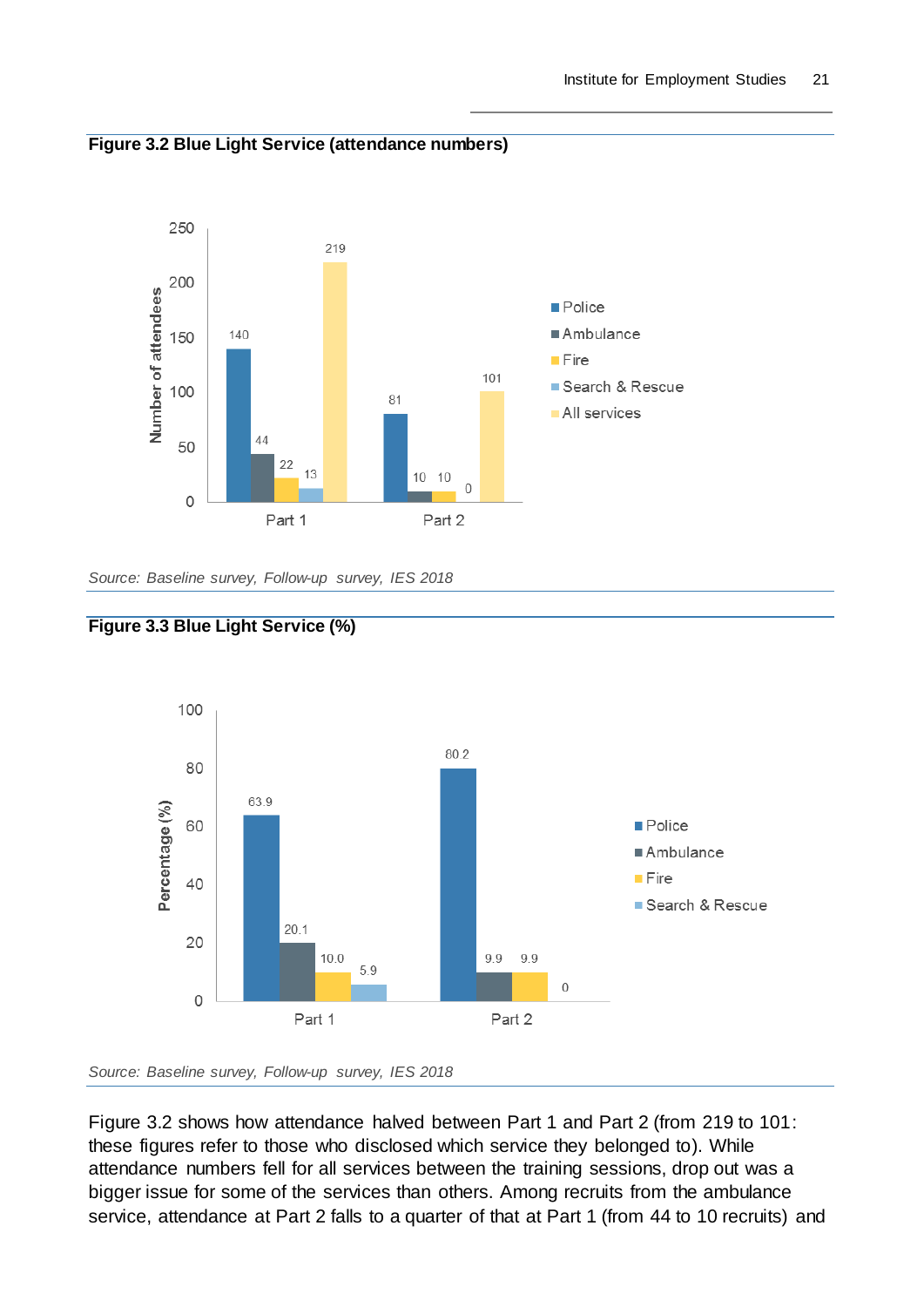



*Source: Baseline survey, Follow-up survey, IES 2018*





Figure 3.2 shows how attendance halved between Part 1 and Part 2 (from 219 to 101: these figures refer to those who disclosed which service they belonged to). While attendance numbers fell for all services between the training sessions, drop out was a bigger issue for some of the services than others. Among recruits from the ambulance service, attendance at Part 2 falls to a quarter of that at Part 1 (from 44 to 10 recruits) and

*Source: Baseline survey, Follow-up survey, IES 2018*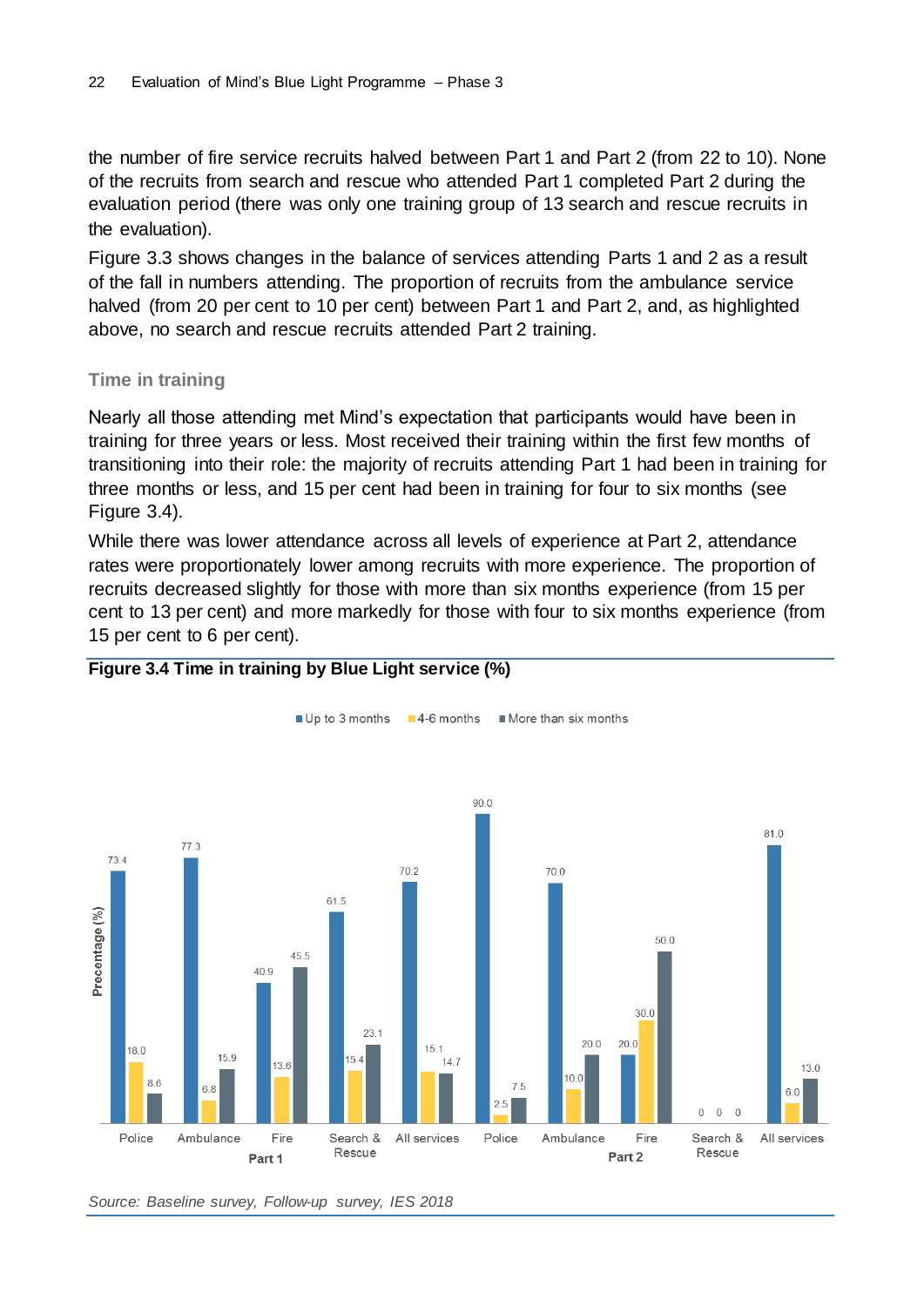the number of fire service recruits halved between Part 1 and Part 2 (from 22 to 10). None of the recruits from search and rescue who attended Part 1 completed Part 2 during the evaluation period (there was only one training group of 13 search and rescue recruits in the evaluation).

Figure 3.3 shows changes in the balance of services attending Parts 1 and 2 as a result of the fall in numbers attending. The proportion of recruits from the ambulance service halved (from 20 per cent to 10 per cent) between Part 1 and Part 2, and, as highlighted above, no search and rescue recruits attended Part 2 training.

#### **Time in training**

Nearly all those attending met Mind's expectation that participants would have been in training for three years or less. Most received their training within the first few months of transitioning into their role: the majority of recruits attending Part 1 had been in training for three months or less, and 15 per cent had been in training for four to six months (see Figure 3.4).

While there was lower attendance across all levels of experience at Part 2, attendance rates were proportionately lower among recruits with more experience. The proportion of recruits decreased slightly for those with more than six months experience (from 15 per cent to 13 per cent) and more markedly for those with four to six months experience (from 15 per cent to 6 per cent).



#### **Figure 3.4 Time in training by Blue Light service (%)**

*Source: Baseline survey, Follow-up survey, IES 2018*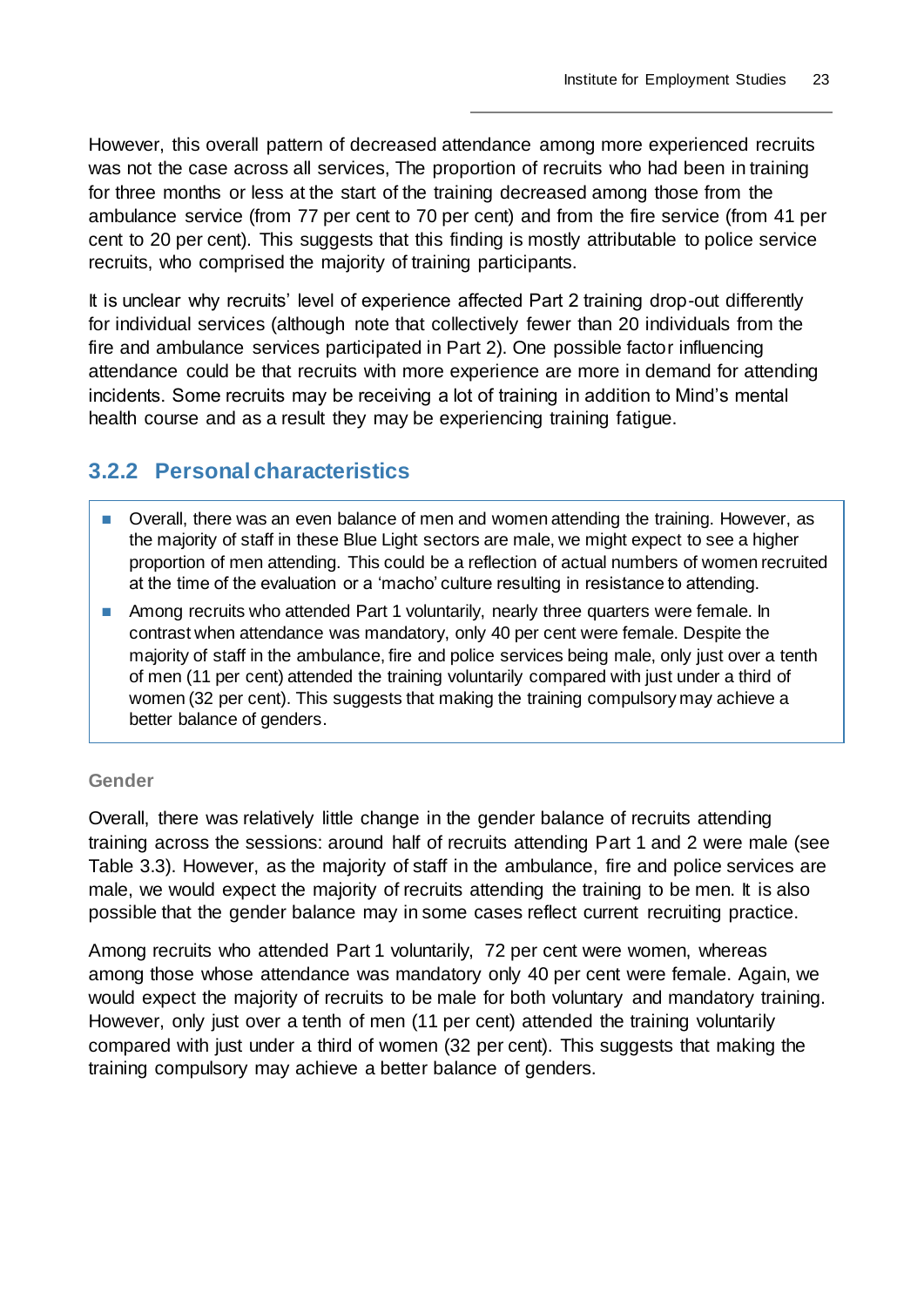However, this overall pattern of decreased attendance among more experienced recruits was not the case across all services, The proportion of recruits who had been in training for three months or less at the start of the training decreased among those from the ambulance service (from 77 per cent to 70 per cent) and from the fire service (from 41 per cent to 20 per cent). This suggests that this finding is mostly attributable to police service recruits, who comprised the majority of training participants.

It is unclear why recruits' level of experience affected Part 2 training drop-out differently for individual services (although note that collectively fewer than 20 individuals from the fire and ambulance services participated in Part 2). One possible factor influencing attendance could be that recruits with more experience are more in demand for attending incidents. Some recruits may be receiving a lot of training in addition to Mind's mental health course and as a result they may be experiencing training fatigue.

### <span id="page-26-0"></span>**3.2.2 Personal characteristics**

- Overall, there was an even balance of men and women attending the training. However, as the majority of staff in these Blue Light sectors are male, we might expect to see a higher proportion of men attending. This could be a reflection of actual numbers of women recruited at the time of the evaluation or a 'macho' culture resulting in resistance to attending.
- Among recruits who attended Part 1 voluntarily, nearly three quarters were female. In contrast when attendance was mandatory, only 40 per cent were female. Despite the majority of staff in the ambulance, fire and police services being male, only just over a tenth of men (11 per cent) attended the training voluntarily compared with just under a third of women (32 per cent). This suggests that making the training compulsory may achieve a better balance of genders.

#### **Gender**

Overall, there was relatively little change in the gender balance of recruits attending training across the sessions: around half of recruits attending Part 1 and 2 were male (see Table 3.3). However, as the majority of staff in the ambulance, fire and police services are male, we would expect the majority of recruits attending the training to be men. It is also possible that the gender balance may in some cases reflect current recruiting practice.

Among recruits who attended Part 1 voluntarily, 72 per cent were women, whereas among those whose attendance was mandatory only 40 per cent were female. Again, we would expect the majority of recruits to be male for both voluntary and mandatory training. However, only just over a tenth of men (11 per cent) attended the training voluntarily compared with just under a third of women (32 per cent). This suggests that making the training compulsory may achieve a better balance of genders.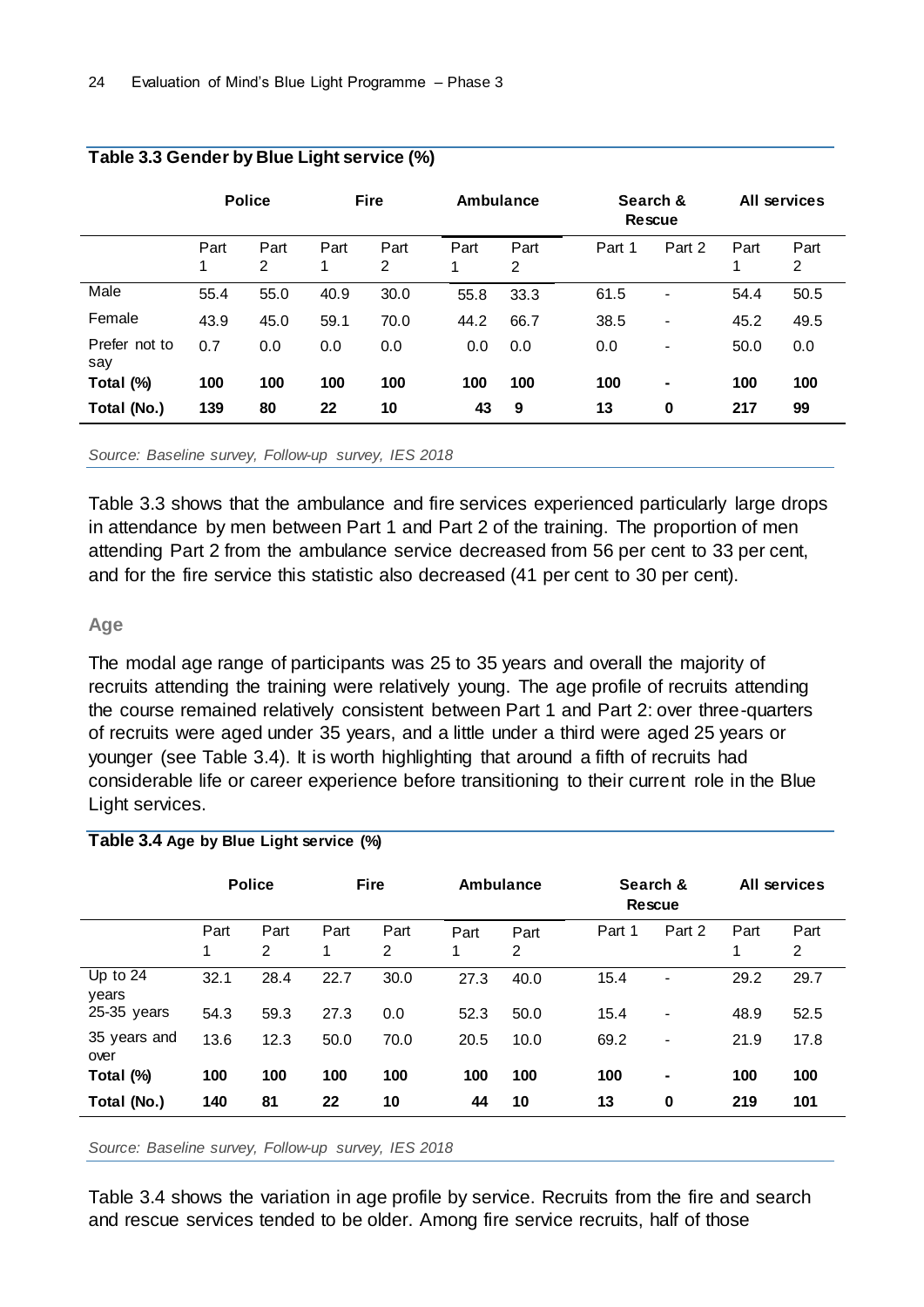|                      | <b>Police</b> |           | <b>Fire</b> |                        | Ambulance |           |        | Search &<br><b>Rescue</b> |           | All services           |  |
|----------------------|---------------|-----------|-------------|------------------------|-----------|-----------|--------|---------------------------|-----------|------------------------|--|
|                      | Part<br>1     | Part<br>2 | Part<br>1   | Part<br>$\overline{2}$ | Part<br>1 | Part<br>2 | Part 1 | Part 2                    | Part<br>1 | Part<br>$\overline{2}$ |  |
| Male                 | 55.4          | 55.0      | 40.9        | 30.0                   | 55.8      | 33.3      | 61.5   | $\blacksquare$            | 54.4      | 50.5                   |  |
| Female               | 43.9          | 45.0      | 59.1        | 70.0                   | 44.2      | 66.7      | 38.5   | -                         | 45.2      | 49.5                   |  |
| Prefer not to<br>say | 0.7           | 0.0       | 0.0         | 0.0                    | 0.0       | 0.0       | 0.0    | -                         | 50.0      | 0.0                    |  |
| Total (%)            | 100           | 100       | 100         | 100                    | 100       | 100       | 100    | $\blacksquare$            | 100       | 100                    |  |
| Total (No.)          | 139           | 80        | 22          | 10                     | 43        | 9         | 13     | $\mathbf 0$               | 217       | 99                     |  |

#### **Table 3.3 Gender by Blue Light service (%)**

*Source: Baseline survey, Follow-up survey, IES 2018*

Table 3.3 shows that the ambulance and fire services experienced particularly large drops in attendance by men between Part 1 and Part 2 of the training. The proportion of men attending Part 2 from the ambulance service decreased from 56 per cent to 33 per cent, and for the fire service this statistic also decreased (41 per cent to 30 per cent).

#### **Age**

The modal age range of participants was 25 to 35 years and overall the majority of recruits attending the training were relatively young. The age profile of recruits attending the course remained relatively consistent between Part 1 and Part 2: over three-quarters of recruits were aged under 35 years, and a little under a third were aged 25 years or younger (see Table 3.4). It is worth highlighting that around a fifth of recruits had considerable life or career experience before transitioning to their current role in the Blue Light services.

#### **Table 3.4 Age by Blue Light service (%)**

|                      | <b>Police</b> |                        | <b>Fire</b> |           | Ambulance |           |        | Search &<br><b>Rescue</b> |           | All services           |
|----------------------|---------------|------------------------|-------------|-----------|-----------|-----------|--------|---------------------------|-----------|------------------------|
|                      | Part<br>1     | Part<br>$\overline{2}$ | Part<br>1   | Part<br>2 | Part<br>1 | Part<br>2 | Part 1 | Part 2                    | Part<br>1 | Part<br>$\overline{2}$ |
| Up to $24$<br>years  | 32.1          | 28.4                   | 22.7        | 30.0      | 27.3      | 40.0      | 15.4   | -                         | 29.2      | 29.7                   |
| 25-35 years          | 54.3          | 59.3                   | 27.3        | 0.0       | 52.3      | 50.0      | 15.4   | $\blacksquare$            | 48.9      | 52.5                   |
| 35 years and<br>over | 13.6          | 12.3                   | 50.0        | 70.0      | 20.5      | 10.0      | 69.2   | $\overline{\phantom{a}}$  | 21.9      | 17.8                   |
| Total (%)            | 100           | 100                    | 100         | 100       | 100       | 100       | 100    | ۰                         | 100       | 100                    |
| Total (No.)          | 140           | 81                     | 22          | 10        | 44        | 10        | 13     | $\mathbf 0$               | 219       | 101                    |

*Source: Baseline survey, Follow-up survey, IES 2018*

Table 3.4 shows the variation in age profile by service. Recruits from the fire and search and rescue services tended to be older. Among fire service recruits, half of those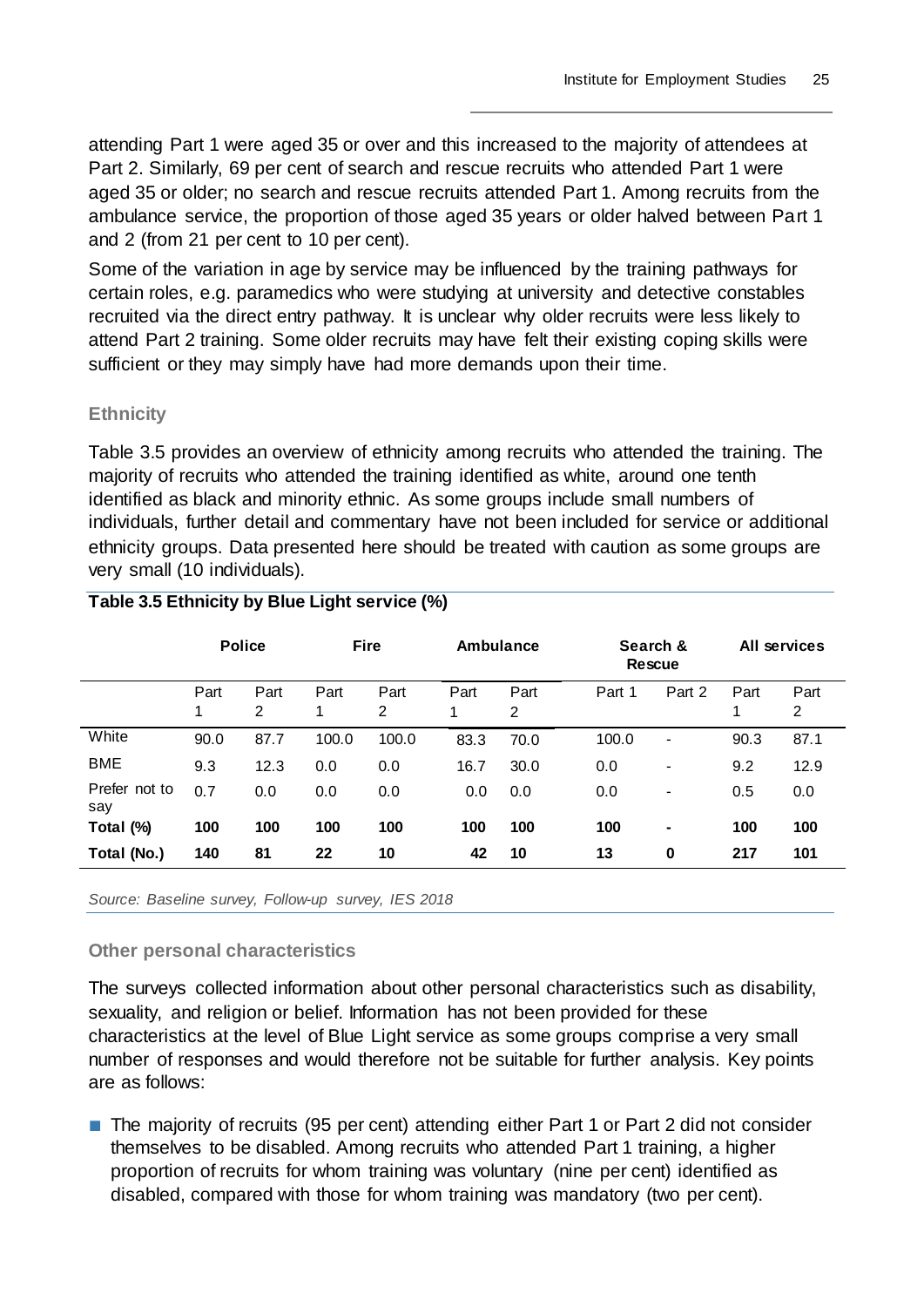attending Part 1 were aged 35 or over and this increased to the majority of attendees at Part 2. Similarly, 69 per cent of search and rescue recruits who attended Part 1 were aged 35 or older; no search and rescue recruits attended Part 1. Among recruits from the ambulance service, the proportion of those aged 35 years or older halved between Part 1 and 2 (from 21 per cent to 10 per cent).

Some of the variation in age by service may be influenced by the training pathways for certain roles, e.g. paramedics who were studying at university and detective constables recruited via the direct entry pathway. It is unclear why older recruits were less likely to attend Part 2 training. Some older recruits may have felt their existing coping skills were sufficient or they may simply have had more demands upon their time.

#### **Ethnicity**

Table 3.5 provides an overview of ethnicity among recruits who attended the training. The majority of recruits who attended the training identified as white, around one tenth identified as black and minority ethnic. As some groups include small numbers of individuals, further detail and commentary have not been included for service or additional ethnicity groups. Data presented here should be treated with caution as some groups are very small (10 individuals).

|                      | <b>Police</b> |           | <b>Fire</b> |           | Ambulance |           | Search &<br><b>Rescue</b> |                          | <b>All services</b> |           |
|----------------------|---------------|-----------|-------------|-----------|-----------|-----------|---------------------------|--------------------------|---------------------|-----------|
|                      | Part<br>1     | Part<br>2 | Part<br>1   | Part<br>2 | Part<br>1 | Part<br>2 | Part 1                    | Part 2                   | Part<br>1           | Part<br>2 |
| White                | 90.0          | 87.7      | 100.0       | 100.0     | 83.3      | 70.0      | 100.0                     | $\blacksquare$           | 90.3                | 87.1      |
| <b>BME</b>           | 9.3           | 12.3      | 0.0         | 0.0       | 16.7      | 30.0      | 0.0                       | $\overline{\phantom{a}}$ | 9.2                 | 12.9      |
| Prefer not to<br>say | 0.7           | 0.0       | 0.0         | 0.0       | 0.0       | 0.0       | 0.0                       | $\overline{\phantom{a}}$ | 0.5                 | 0.0       |
| Total (%)            | 100           | 100       | 100         | 100       | 100       | 100       | 100                       | $\blacksquare$           | 100                 | 100       |
| Total (No.)          | 140           | 81        | 22          | 10        | 42        | 10        | 13                        | $\bf{0}$                 | 217                 | 101       |

### **Table 3.5 Ethnicity by Blue Light service (%)**

*Source: Baseline survey, Follow-up survey, IES 2018*

#### **Other personal characteristics**

The surveys collected information about other personal characteristics such as disability, sexuality, and religion or belief. Information has not been provided for these characteristics at the level of Blue Light service as some groups comprise a very small number of responses and would therefore not be suitable for further analysis. Key points are as follows:

■ The majority of recruits (95 per cent) attending either Part 1 or Part 2 did not consider themselves to be disabled. Among recruits who attended Part 1 training, a higher proportion of recruits for whom training was voluntary (nine per cent) identified as disabled, compared with those for whom training was mandatory (two per cent).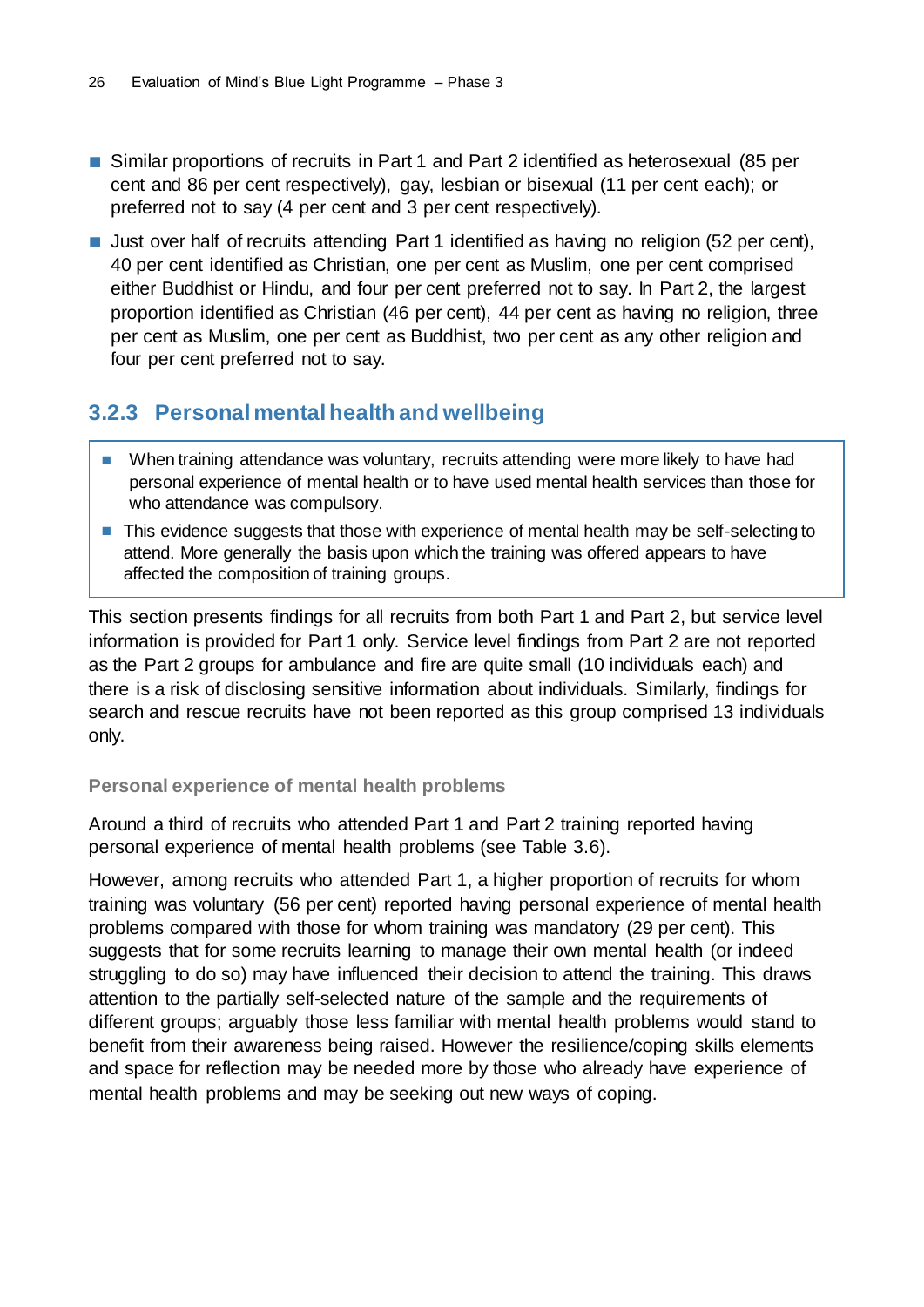- Similar proportions of recruits in Part 1 and Part 2 identified as heterosexual (85 per cent and 86 per cent respectively), gay, lesbian or bisexual (11 per cent each); or preferred not to say (4 per cent and 3 per cent respectively).
- Just over half of recruits attending Part 1 identified as having no religion (52 per cent), 40 per cent identified as Christian, one per cent as Muslim, one per cent comprised either Buddhist or Hindu, and four per cent preferred not to say. In Part 2, the largest proportion identified as Christian (46 per cent), 44 per cent as having no religion, three per cent as Muslim, one per cent as Buddhist, two per cent as any other religion and four per cent preferred not to say.

### <span id="page-29-0"></span>**3.2.3 Personal mental health and wellbeing**

- When training attendance was voluntary, recruits attending were more likely to have had personal experience of mental health or to have used mental health services than those for who attendance was compulsory.
- This evidence suggests that those with experience of mental health may be self-selecting to attend. More generally the basis upon which the training was offered appears to have affected the composition of training groups.

This section presents findings for all recruits from both Part 1 and Part 2, but service level information is provided for Part 1 only. Service level findings from Part 2 are not reported as the Part 2 groups for ambulance and fire are quite small (10 individuals each) and there is a risk of disclosing sensitive information about individuals. Similarly, findings for search and rescue recruits have not been reported as this group comprised 13 individuals only.

#### **Personal experience of mental health problems**

Around a third of recruits who attended Part 1 and Part 2 training reported having personal experience of mental health problems (see Table 3.6).

However, among recruits who attended Part 1, a higher proportion of recruits for whom training was voluntary (56 per cent) reported having personal experience of mental health problems compared with those for whom training was mandatory (29 per cent). This suggests that for some recruits learning to manage their own mental health (or indeed struggling to do so) may have influenced their decision to attend the training. This draws attention to the partially self-selected nature of the sample and the requirements of different groups; arguably those less familiar with mental health problems would stand to benefit from their awareness being raised. However the resilience/coping skills elements and space for reflection may be needed more by those who already have experience of mental health problems and may be seeking out new ways of coping.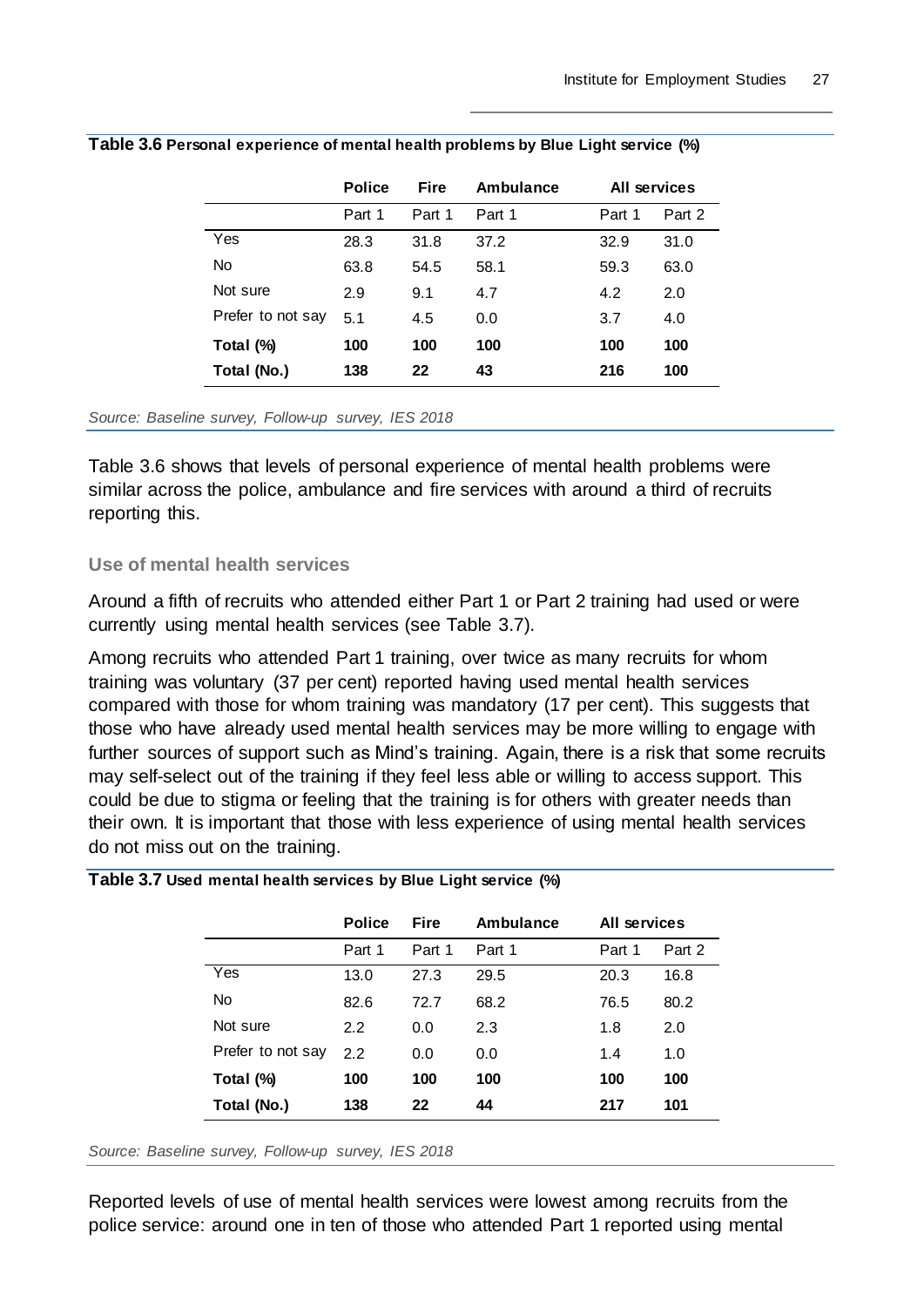|                   | <b>Police</b> | <b>Fire</b> | Ambulance |        | All services |
|-------------------|---------------|-------------|-----------|--------|--------------|
|                   | Part 1        | Part 1      | Part 1    | Part 1 | Part 2       |
| Yes               | 28.3          | 31.8        | 37.2      | 32.9   | 31.0         |
| No                | 63.8          | 54.5        | 58.1      | 59.3   | 63.0         |
| Not sure          | 2.9           | 9.1         | 4.7       | 4.2    | 2.0          |
| Prefer to not say | 5.1           | 4.5         | 0.0       | 3.7    | 4.0          |
| Total (%)         | 100           | 100         | 100       | 100    | 100          |
| Total (No.)       | 138           | 22          | 43        | 216    | 100          |

#### **Table 3.6 Personal experience of mental health problems by Blue Light service (%)**

*Source: Baseline survey, Follow-up survey, IES 2018*

Table 3.6 shows that levels of personal experience of mental health problems were similar across the police, ambulance and fire services with around a third of recruits reporting this.

#### **Use of mental health services**

Around a fifth of recruits who attended either Part 1 or Part 2 training had used or were currently using mental health services (see Table 3.7).

Among recruits who attended Part 1 training, over twice as many recruits for whom training was voluntary (37 per cent) reported having used mental health services compared with those for whom training was mandatory (17 per cent). This suggests that those who have already used mental health services may be more willing to engage with further sources of support such as Mind's training. Again, there is a risk that some recruits may self-select out of the training if they feel less able or willing to access support. This could be due to stigma or feeling that the training is for others with greater needs than their own. It is important that those with less experience of using mental health services do not miss out on the training.

|  | Table 3.7 Used mental health services by Blue Light service (%) |  |  |  |  |
|--|-----------------------------------------------------------------|--|--|--|--|
|--|-----------------------------------------------------------------|--|--|--|--|

|                   | <b>Police</b> | <b>Fire</b> | Ambulance | All services |        |
|-------------------|---------------|-------------|-----------|--------------|--------|
|                   | Part 1        | Part 1      | Part 1    | Part 1       | Part 2 |
| Yes               | 13.0          | 27.3        | 29.5      | 20.3         | 16.8   |
| No                | 82.6          | 72.7        | 68.2      | 76.5         | 80.2   |
| Not sure          | 2.2           | 0.0         | 2.3       | 1.8          | 2.0    |
| Prefer to not say | 2.2           | 0.0         | 0.0       | 1.4          | 1.0    |
| Total (%)         | 100           | 100         | 100       | 100          | 100    |
| Total (No.)       | 138           | 22          | 44        | 217          | 101    |

*Source: Baseline survey, Follow-up survey, IES 2018*

Reported levels of use of mental health services were lowest among recruits from the police service: around one in ten of those who attended Part 1 reported using mental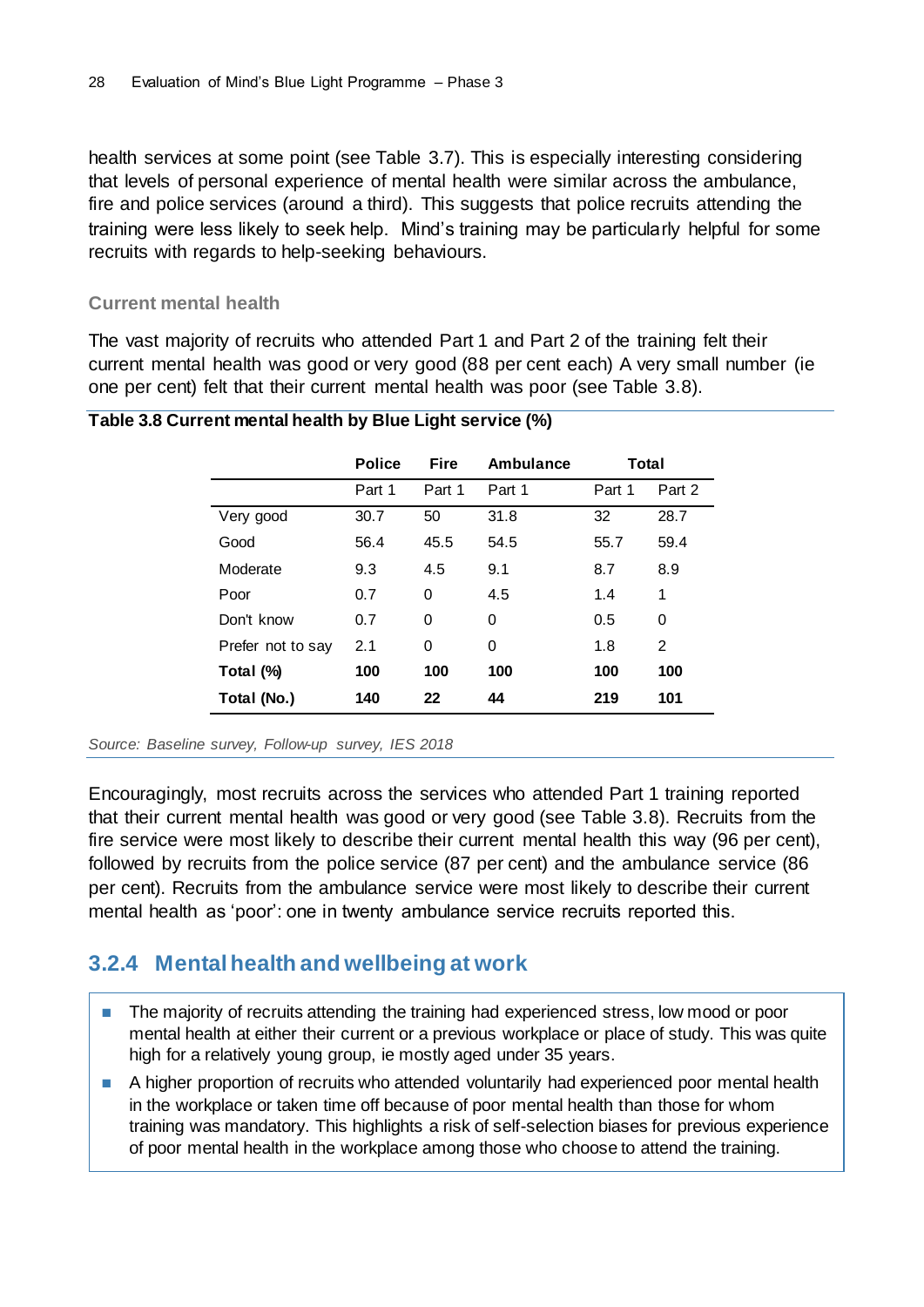health services at some point (see Table 3.7). This is especially interesting considering that levels of personal experience of mental health were similar across the ambulance, fire and police services (around a third). This suggests that police recruits attending the training were less likely to seek help. Mind's training may be particularly helpful for some recruits with regards to help-seeking behaviours.

#### **Current mental health**

The vast majority of recruits who attended Part 1 and Part 2 of the training felt their current mental health was good or very good (88 per cent each) A very small number (ie one per cent) felt that their current mental health was poor (see Table 3.8).

|                   | <b>Police</b> | <b>Fire</b> | Ambulance | Total  |        |
|-------------------|---------------|-------------|-----------|--------|--------|
|                   | Part 1        | Part 1      | Part 1    | Part 1 | Part 2 |
| Very good         | 30.7          | 50          | 31.8      | 32     | 28.7   |
| Good              | 56.4          | 45.5        | 54.5      | 55.7   | 59.4   |
| Moderate          | 9.3           | 4.5         | 9.1       | 8.7    | 8.9    |
| Poor              | 0.7           | 0           | 4.5       | 1.4    | 1      |
| Don't know        | 0.7           | 0           | 0         | 0.5    | 0      |
| Prefer not to say | 2.1           | 0           | 0         | 1.8    | 2      |
| Total (%)         | 100           | 100         | 100       | 100    | 100    |
| Total (No.)       | 140           | 22          | 44        | 219    | 101    |

#### **Table 3.8 Current mental health by Blue Light service (%)**

*Source: Baseline survey, Follow-up survey, IES 2018*

Encouragingly, most recruits across the services who attended Part 1 training reported that their current mental health was good or very good (see Table 3.8). Recruits from the fire service were most likely to describe their current mental health this way (96 per cent), followed by recruits from the police service (87 per cent) and the ambulance service (86 per cent). Recruits from the ambulance service were most likely to describe their current mental health as 'poor': one in twenty ambulance service recruits reported this.

### <span id="page-31-0"></span>**3.2.4 Mental health and wellbeing at work**

- The majority of recruits attending the training had experienced stress, low mood or poor mental health at either their current or a previous workplace or place of study. This was quite high for a relatively young group, ie mostly aged under 35 years.
- A higher proportion of recruits who attended voluntarily had experienced poor mental health in the workplace or taken time off because of poor mental health than those for whom training was mandatory. This highlights a risk of self-selection biases for previous experience of poor mental health in the workplace among those who choose to attend the training.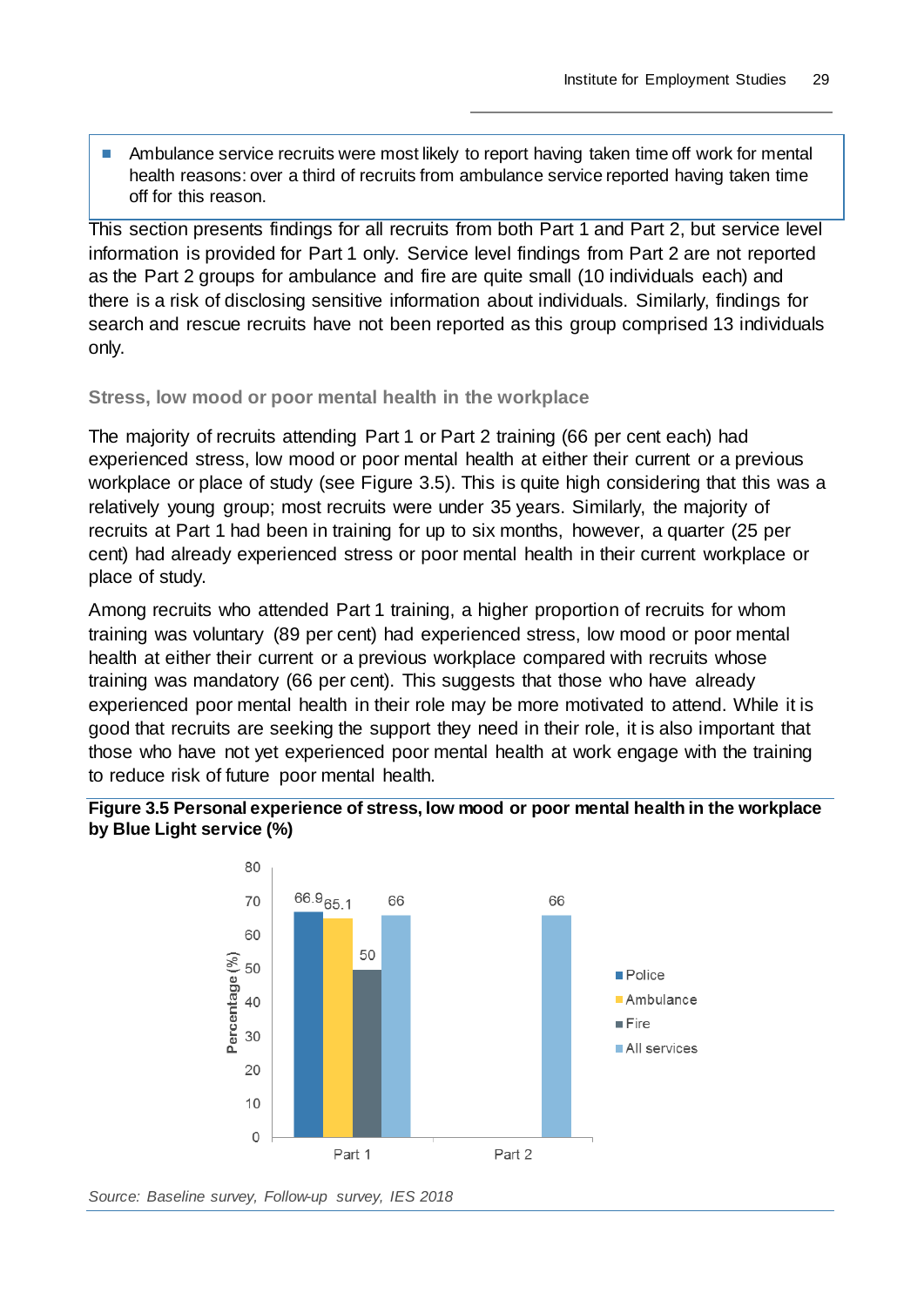■ Ambulance service recruits were most likely to report having taken time off work for mental health reasons: over a third of recruits from ambulance service reported having taken time off for this reason.

This section presents findings for all recruits from both Part 1 and Part 2, but service level information is provided for Part 1 only. Service level findings from Part 2 are not reported as the Part 2 groups for ambulance and fire are quite small (10 individuals each) and there is a risk of disclosing sensitive information about individuals. Similarly, findings for search and rescue recruits have not been reported as this group comprised 13 individuals only.

#### **Stress, low mood or poor mental health in the workplace**

The majority of recruits attending Part 1 or Part 2 training (66 per cent each) had experienced stress, low mood or poor mental health at either their current or a previous workplace or place of study (see Figure 3.5). This is quite high considering that this was a relatively young group; most recruits were under 35 years. Similarly, the majority of recruits at Part 1 had been in training for up to six months, however, a quarter (25 per cent) had already experienced stress or poor mental health in their current workplace or place of study.

Among recruits who attended Part 1 training, a higher proportion of recruits for whom training was voluntary (89 per cent) had experienced stress, low mood or poor mental health at either their current or a previous workplace compared with recruits whose training was mandatory (66 per cent). This suggests that those who have already experienced poor mental health in their role may be more motivated to attend. While it is good that recruits are seeking the support they need in their role, it is also important that those who have not yet experienced poor mental health at work engage with the training to reduce risk of future poor mental health.

#### **Figure 3.5 Personal experience of stress, low mood or poor mental health in the workplace by Blue Light service (%)**

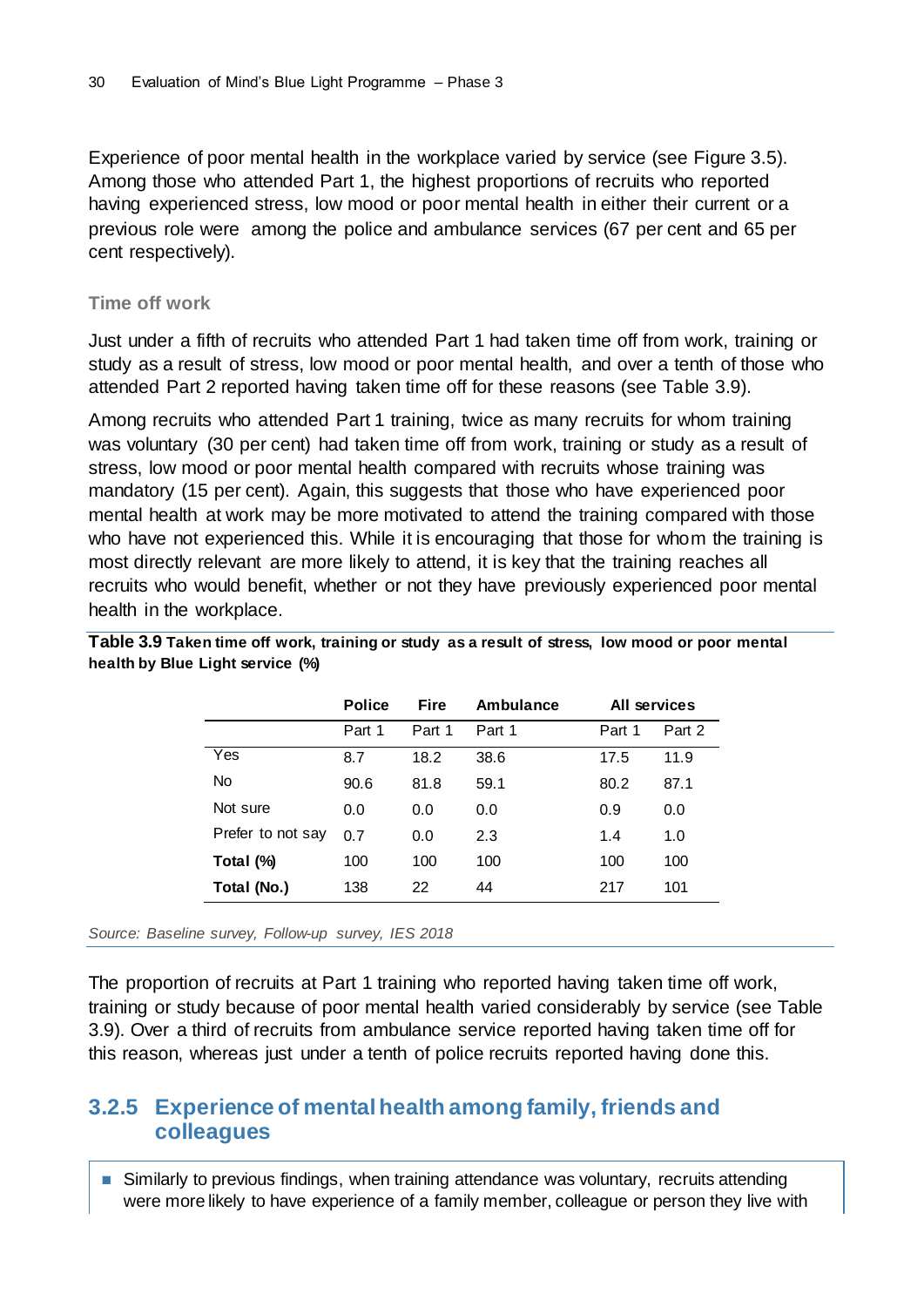Experience of poor mental health in the workplace varied by service (see Figure 3.5). Among those who attended Part 1, the highest proportions of recruits who reported having experienced stress, low mood or poor mental health in either their current or a previous role were among the police and ambulance services (67 per cent and 65 per cent respectively).

#### **Time off work**

Just under a fifth of recruits who attended Part 1 had taken time off from work, training or study as a result of stress, low mood or poor mental health, and over a tenth of those who attended Part 2 reported having taken time off for these reasons (see Table 3.9).

Among recruits who attended Part 1 training, twice as many recruits for whom training was voluntary (30 per cent) had taken time off from work, training or study as a result of stress, low mood or poor mental health compared with recruits whose training was mandatory (15 per cent). Again, this suggests that those who have experienced poor mental health at work may be more motivated to attend the training compared with those who have not experienced this. While it is encouraging that those for whom the training is most directly relevant are more likely to attend, it is key that the training reaches all recruits who would benefit, whether or not they have previously experienced poor mental health in the workplace.

|                   | <b>Police</b> | <b>Fire</b> | Ambulance | All services |        |
|-------------------|---------------|-------------|-----------|--------------|--------|
|                   | Part 1        | Part 1      | Part 1    | Part 1       | Part 2 |
| Yes               | 8.7           | 18.2        | 38.6      | 17.5         | 11.9   |
| No                | 90.6          | 81.8        | 59.1      | 80.2         | 87.1   |
| Not sure          | 0.0           | 0.0         | 0.0       | 0.9          | 0.0    |
| Prefer to not say | 0.7           | 0.0         | 2.3       | 1.4          | 1.0    |
| Total (%)         | 100           | 100         | 100       | 100          | 100    |
| Total (No.)       | 138           | 22          | 44        | 217          | 101    |

**Table 3.9 Taken time off work, training or study as a result of stress, low mood or poor mental health by Blue Light service (%)**

*Source: Baseline survey, Follow-up survey, IES 2018*

The proportion of recruits at Part 1 training who reported having taken time off work, training or study because of poor mental health varied considerably by service (see Table 3.9). Over a third of recruits from ambulance service reported having taken time off for this reason, whereas just under a tenth of police recruits reported having done this.

### <span id="page-33-0"></span>**3.2.5 Experience of mental health among family, friends and colleagues**

■ Similarly to previous findings, when training attendance was voluntary, recruits attending were more likely to have experience of a family member, colleague or person they live with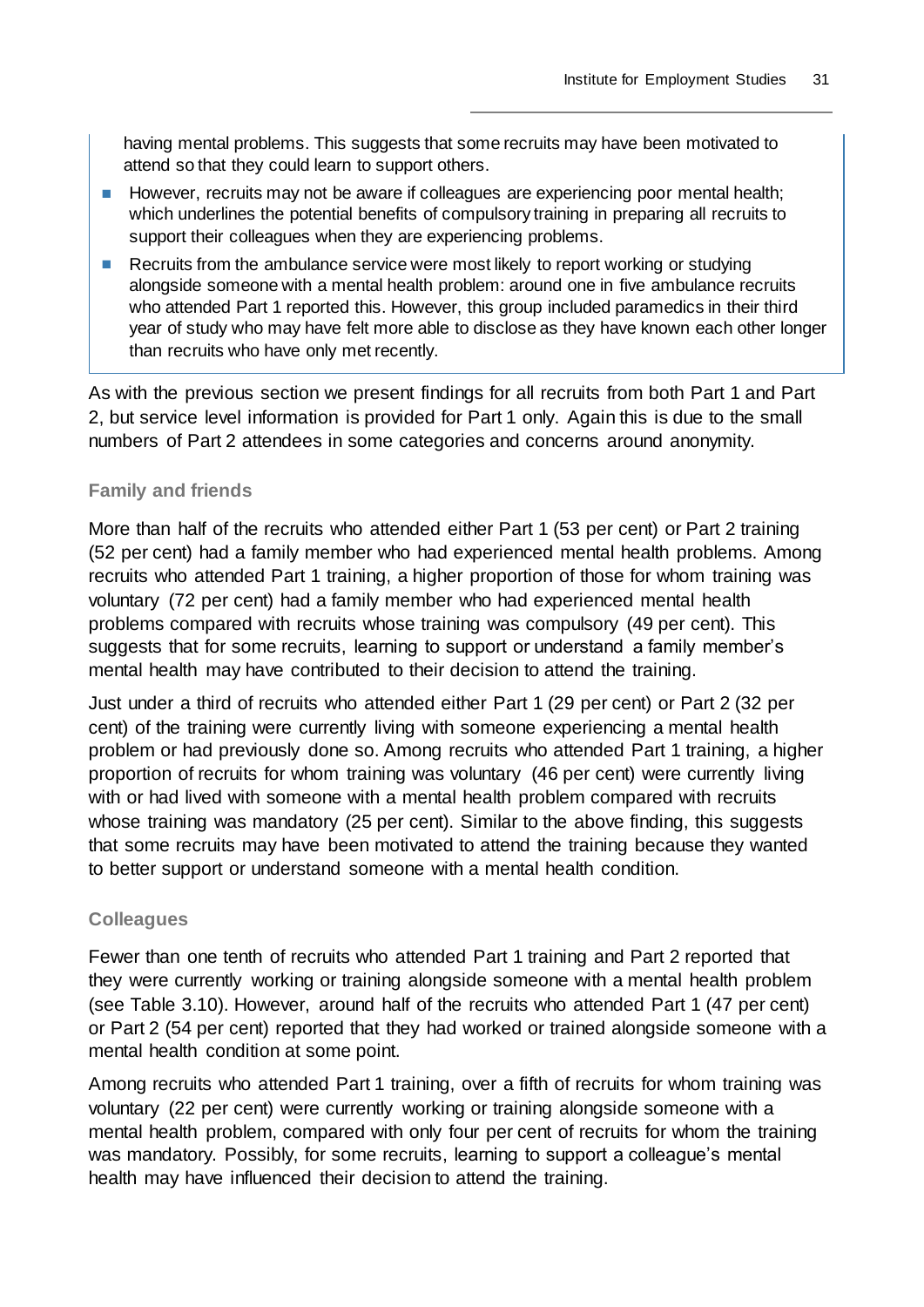having mental problems. This suggests that some recruits may have been motivated to attend so that they could learn to support others.

- However, recruits may not be aware if colleagues are experiencing poor mental health; which underlines the potential benefits of compulsory training in preparing all recruits to support their colleagues when they are experiencing problems.
- Recruits from the ambulance service were most likely to report working or studying alongside someone with a mental health problem: around one in five ambulance recruits who attended Part 1 reported this. However, this group included paramedics in their third year of study who may have felt more able to disclose as they have known each other longer than recruits who have only met recently.

As with the previous section we present findings for all recruits from both Part 1 and Part 2, but service level information is provided for Part 1 only. Again this is due to the small numbers of Part 2 attendees in some categories and concerns around anonymity.

#### **Family and friends**

More than half of the recruits who attended either Part 1 (53 per cent) or Part 2 training (52 per cent) had a family member who had experienced mental health problems. Among recruits who attended Part 1 training, a higher proportion of those for whom training was voluntary (72 per cent) had a family member who had experienced mental health problems compared with recruits whose training was compulsory (49 per cent). This suggests that for some recruits, learning to support or understand a family member's mental health may have contributed to their decision to attend the training.

Just under a third of recruits who attended either Part 1 (29 per cent) or Part 2 (32 per cent) of the training were currently living with someone experiencing a mental health problem or had previously done so. Among recruits who attended Part 1 training, a higher proportion of recruits for whom training was voluntary (46 per cent) were currently living with or had lived with someone with a mental health problem compared with recruits whose training was mandatory (25 per cent). Similar to the above finding, this suggests that some recruits may have been motivated to attend the training because they wanted to better support or understand someone with a mental health condition.

#### **Colleagues**

Fewer than one tenth of recruits who attended Part 1 training and Part 2 reported that they were currently working or training alongside someone with a mental health problem (see Table 3.10). However, around half of the recruits who attended Part 1 (47 per cent) or Part 2 (54 per cent) reported that they had worked or trained alongside someone with a mental health condition at some point.

Among recruits who attended Part 1 training, over a fifth of recruits for whom training was voluntary (22 per cent) were currently working or training alongside someone with a mental health problem, compared with only four per cent of recruits for whom the training was mandatory. Possibly, for some recruits, learning to support a colleague's mental health may have influenced their decision to attend the training.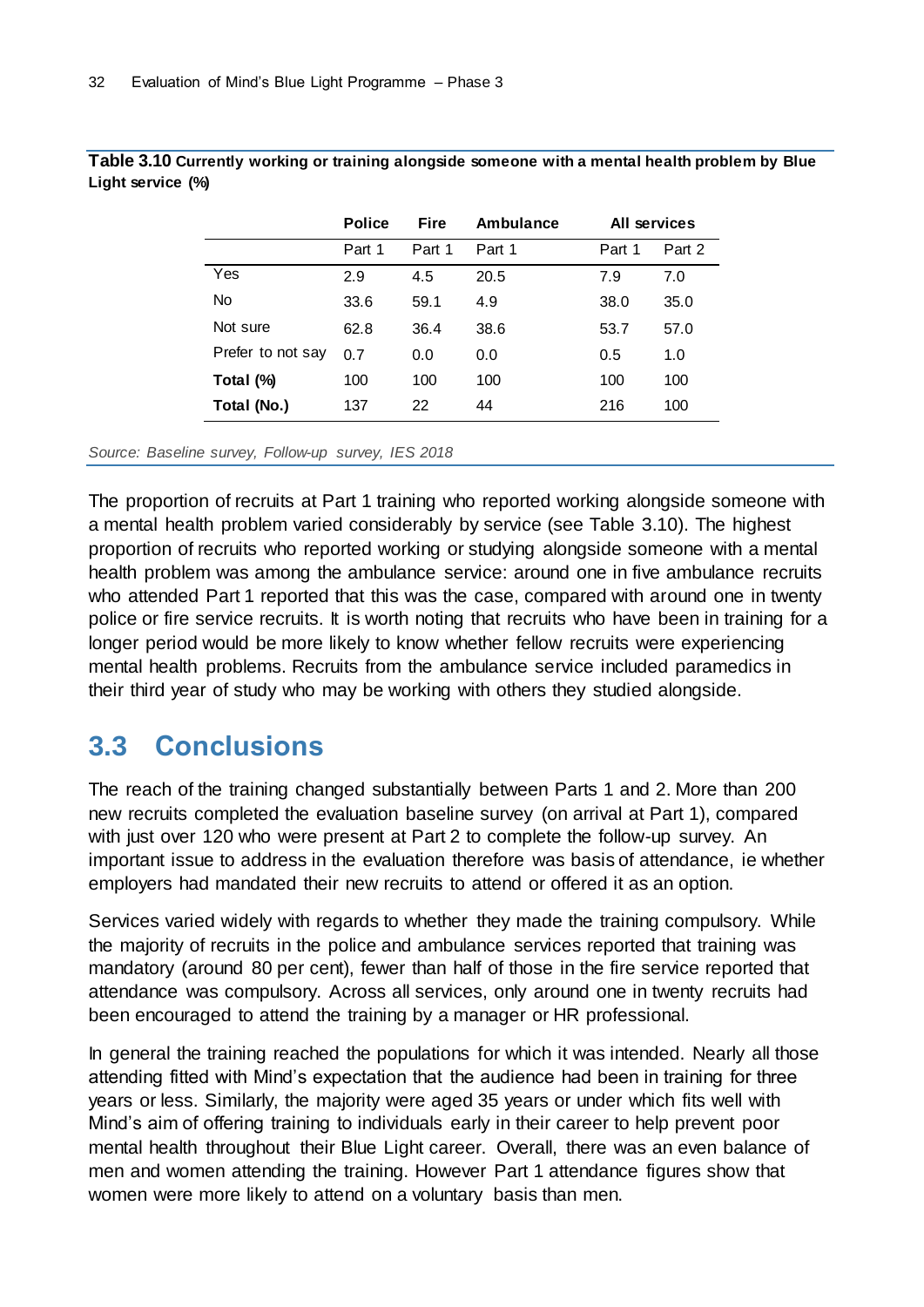|                   | <b>Police</b> | <b>Fire</b> | Ambulance | All services |        |
|-------------------|---------------|-------------|-----------|--------------|--------|
|                   | Part 1        | Part 1      | Part 1    | Part 1       | Part 2 |
| Yes               | 2.9           | 4.5         | 20.5      | 7.9          | 7.0    |
| <b>No</b>         | 33.6          | 59.1        | 4.9       | 38.0         | 35.0   |
| Not sure          | 62.8          | 36.4        | 38.6      | 53.7         | 57.0   |
| Prefer to not say | 0.7           | 0.0         | 0.0       | 0.5          | 1.0    |
| Total (%)         | 100           | 100         | 100       | 100          | 100    |
| Total (No.)       | 137           | 22          | 44        | 216          | 100    |

**Table 3.10 Currently working or training alongside someone with a mental health problem by Blue Light service (%)**

*Source: Baseline survey, Follow-up survey, IES 2018*

The proportion of recruits at Part 1 training who reported working alongside someone with a mental health problem varied considerably by service (see Table 3.10). The highest proportion of recruits who reported working or studying alongside someone with a mental health problem was among the ambulance service: around one in five ambulance recruits who attended Part 1 reported that this was the case, compared with around one in twenty police or fire service recruits. It is worth noting that recruits who have been in training for a longer period would be more likely to know whether fellow recruits were experiencing mental health problems. Recruits from the ambulance service included paramedics in their third year of study who may be working with others they studied alongside.

## <span id="page-35-0"></span>**3.3 Conclusions**

The reach of the training changed substantially between Parts 1 and 2. More than 200 new recruits completed the evaluation baseline survey (on arrival at Part 1), compared with just over 120 who were present at Part 2 to complete the follow-up survey. An important issue to address in the evaluation therefore was basis of attendance, ie whether employers had mandated their new recruits to attend or offered it as an option.

Services varied widely with regards to whether they made the training compulsory. While the majority of recruits in the police and ambulance services reported that training was mandatory (around 80 per cent), fewer than half of those in the fire service reported that attendance was compulsory. Across all services, only around one in twenty recruits had been encouraged to attend the training by a manager or HR professional.

In general the training reached the populations for which it was intended. Nearly all those attending fitted with Mind's expectation that the audience had been in training for three years or less. Similarly, the majority were aged 35 years or under which fits well with Mind's aim of offering training to individuals early in their career to help prevent poor mental health throughout their Blue Light career. Overall, there was an even balance of men and women attending the training. However Part 1 attendance figures show that women were more likely to attend on a voluntary basis than men.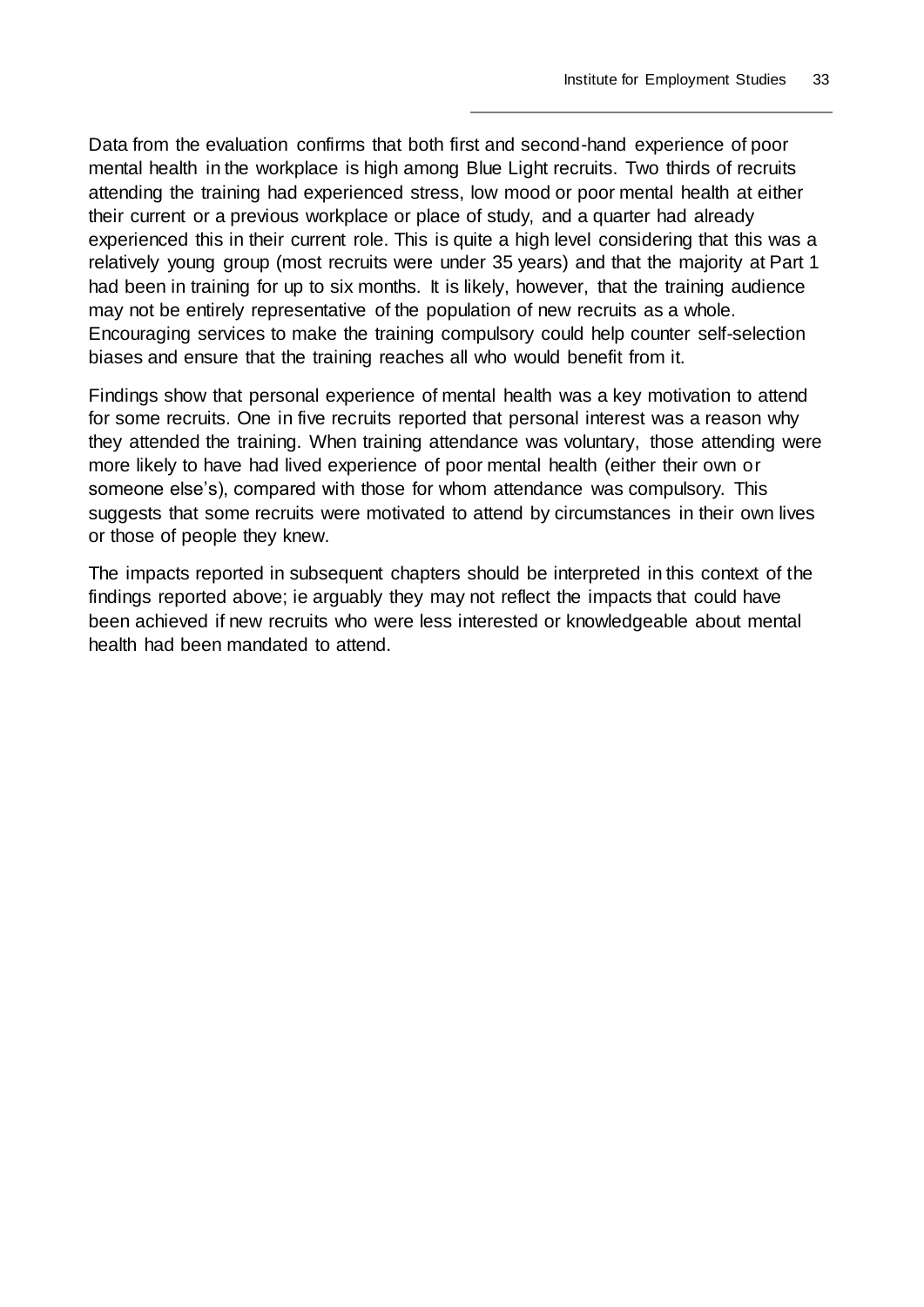Data from the evaluation confirms that both first and second-hand experience of poor mental health in the workplace is high among Blue Light recruits. Two thirds of recruits attending the training had experienced stress, low mood or poor mental health at either their current or a previous workplace or place of study, and a quarter had already experienced this in their current role. This is quite a high level considering that this was a relatively young group (most recruits were under 35 years) and that the majority at Part 1 had been in training for up to six months. It is likely, however, that the training audience may not be entirely representative of the population of new recruits as a whole. Encouraging services to make the training compulsory could help counter self-selection biases and ensure that the training reaches all who would benefit from it.

Findings show that personal experience of mental health was a key motivation to attend for some recruits. One in five recruits reported that personal interest was a reason why they attended the training. When training attendance was voluntary, those attending were more likely to have had lived experience of poor mental health (either their own or someone else's), compared with those for whom attendance was compulsory. This suggests that some recruits were motivated to attend by circumstances in their own lives or those of people they knew.

The impacts reported in subsequent chapters should be interpreted in this context of the findings reported above; ie arguably they may not reflect the impacts that could have been achieved if new recruits who were less interested or knowledgeable about mental health had been mandated to attend.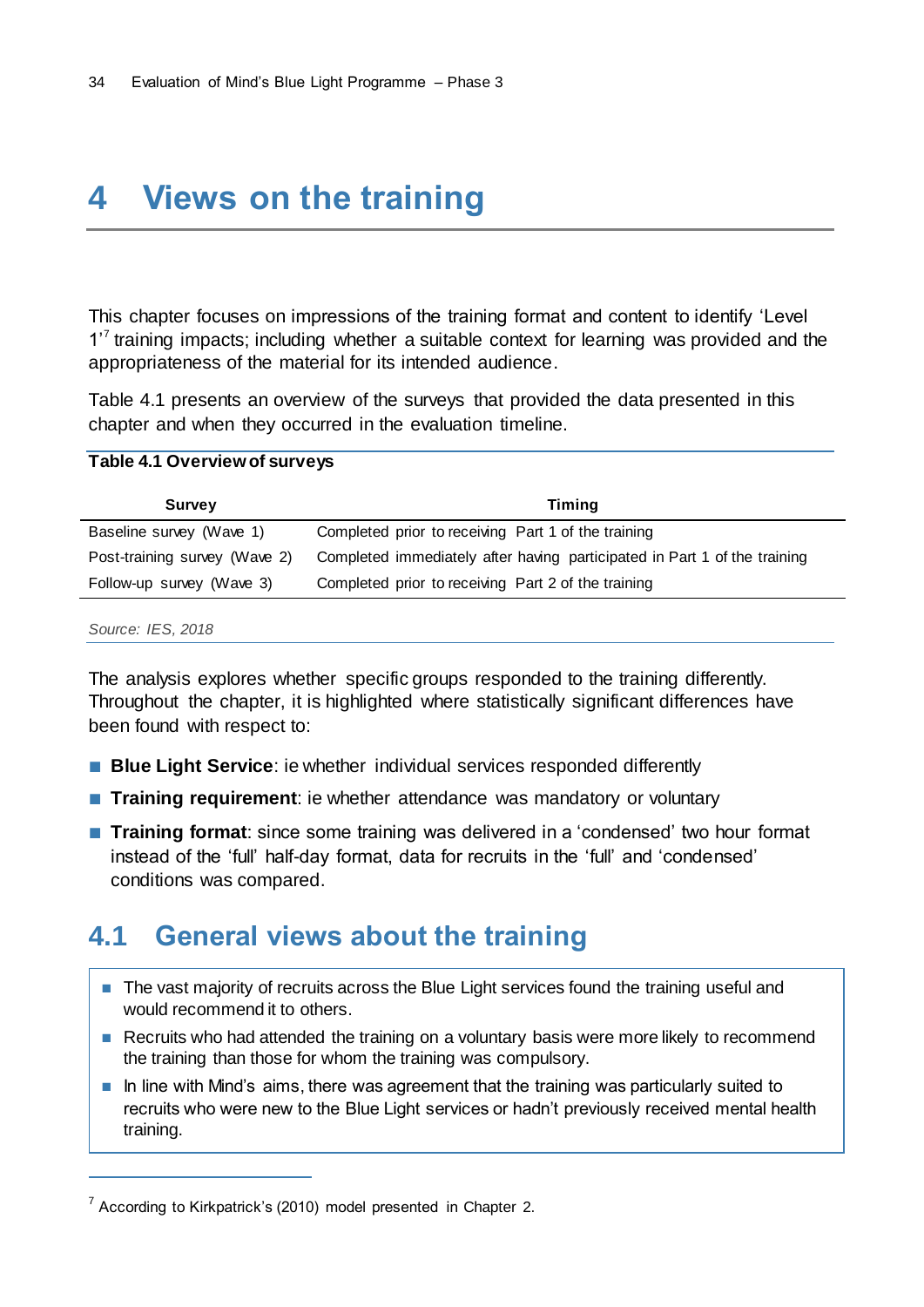# **4 Views on the training**

This chapter focuses on impressions of the training format and content to identify 'Level 1<sup>7</sup> training impacts; including whether a suitable context for learning was provided and the appropriateness of the material for its intended audience.

Table 4.1 presents an overview of the surveys that provided the data presented in this chapter and when they occurred in the evaluation timeline.

#### **Table 4.1 Overview of surveys**

| <b>Survey</b>                 | Timing                                                                    |
|-------------------------------|---------------------------------------------------------------------------|
| Baseline survey (Wave 1)      | Completed prior to receiving Part 1 of the training                       |
| Post-training survey (Wave 2) | Completed immediately after having participated in Part 1 of the training |
| Follow-up survey (Wave 3)     | Completed prior to receiving Part 2 of the training                       |

#### *Source: IES, 2018*

 $\overline{a}$ 

The analysis explores whether specific groups responded to the training differently. Throughout the chapter, it is highlighted where statistically significant differences have been found with respect to:

- **Blue Light Service**: ie whether individual services responded differently
- **Training requirement**: ie whether attendance was mandatory or voluntary
- **Training format**: since some training was delivered in a 'condensed' two hour format instead of the 'full' half-day format, data for recruits in the 'full' and 'condensed' conditions was compared.

## **4.1 General views about the training**

- The vast majority of recruits across the Blue Light services found the training useful and would recommend it to others.
- Recruits who had attended the training on a voluntary basis were more likely to recommend the training than those for whom the training was compulsory.
- In line with Mind's aims, there was agreement that the training was particularly suited to recruits who were new to the Blue Light services or hadn't previously received mental health training.

 $7$  According to Kirkpatrick's (2010) model presented in Chapter 2.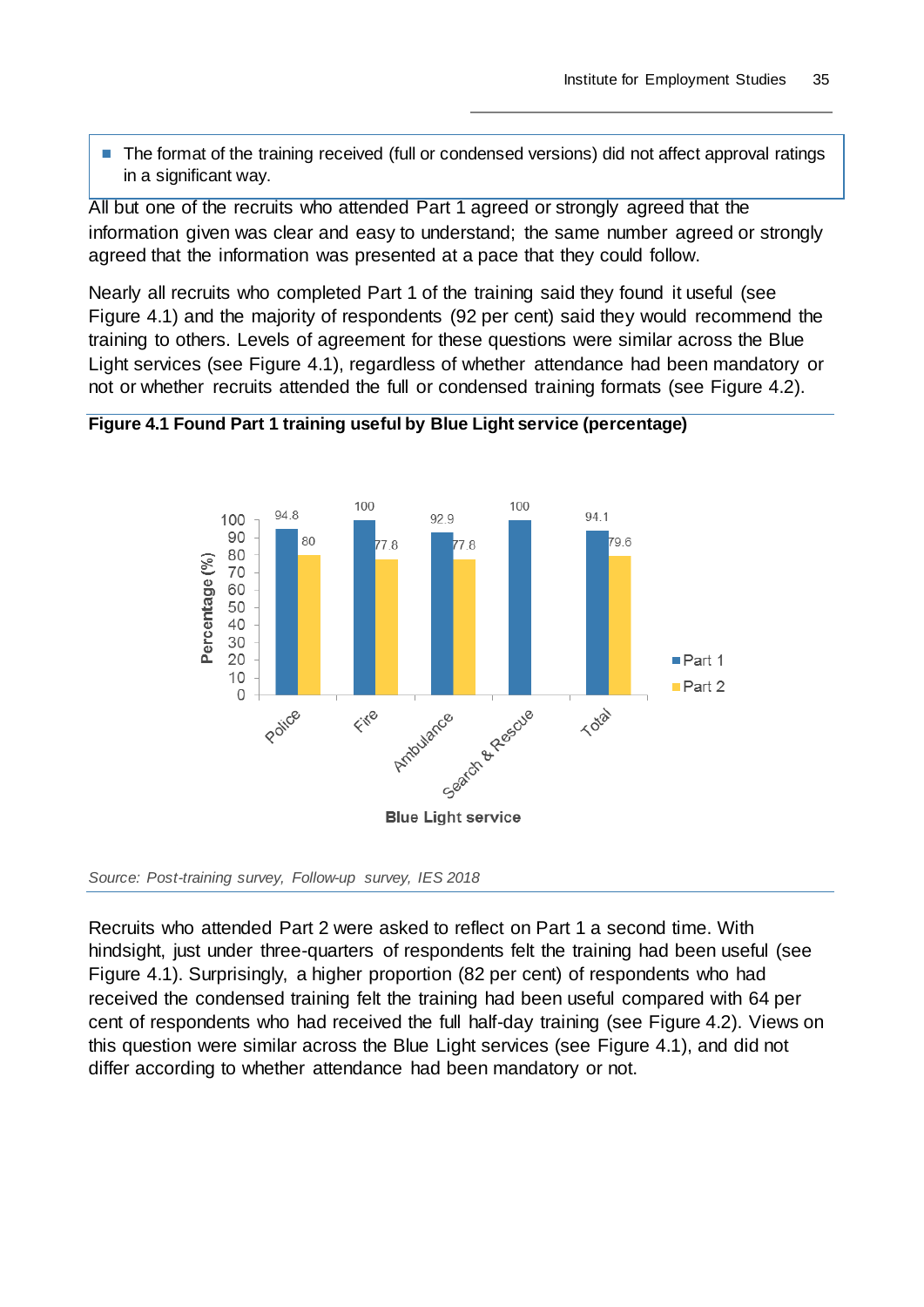■ The format of the training received (full or condensed versions) did not affect approval ratings in a significant way.

All but one of the recruits who attended Part 1 agreed or strongly agreed that the information given was clear and easy to understand; the same number agreed or strongly agreed that the information was presented at a pace that they could follow.

Nearly all recruits who completed Part 1 of the training said they found it useful (see Figure 4.1) and the majority of respondents (92 per cent) said they would recommend the training to others. Levels of agreement for these questions were similar across the Blue Light services (see Figure 4.1), regardless of whether attendance had been mandatory or not or whether recruits attended the full or condensed training formats (see Figure 4.2).





*Source: Post-training survey, Follow-up survey, IES 2018*

Recruits who attended Part 2 were asked to reflect on Part 1 a second time. With hindsight, just under three-quarters of respondents felt the training had been useful (see Figure 4.1). Surprisingly, a higher proportion (82 per cent) of respondents who had received the condensed training felt the training had been useful compared with 64 per cent of respondents who had received the full half-day training (see Figure 4.2). Views on this question were similar across the Blue Light services (see Figure 4.1), and did not differ according to whether attendance had been mandatory or not.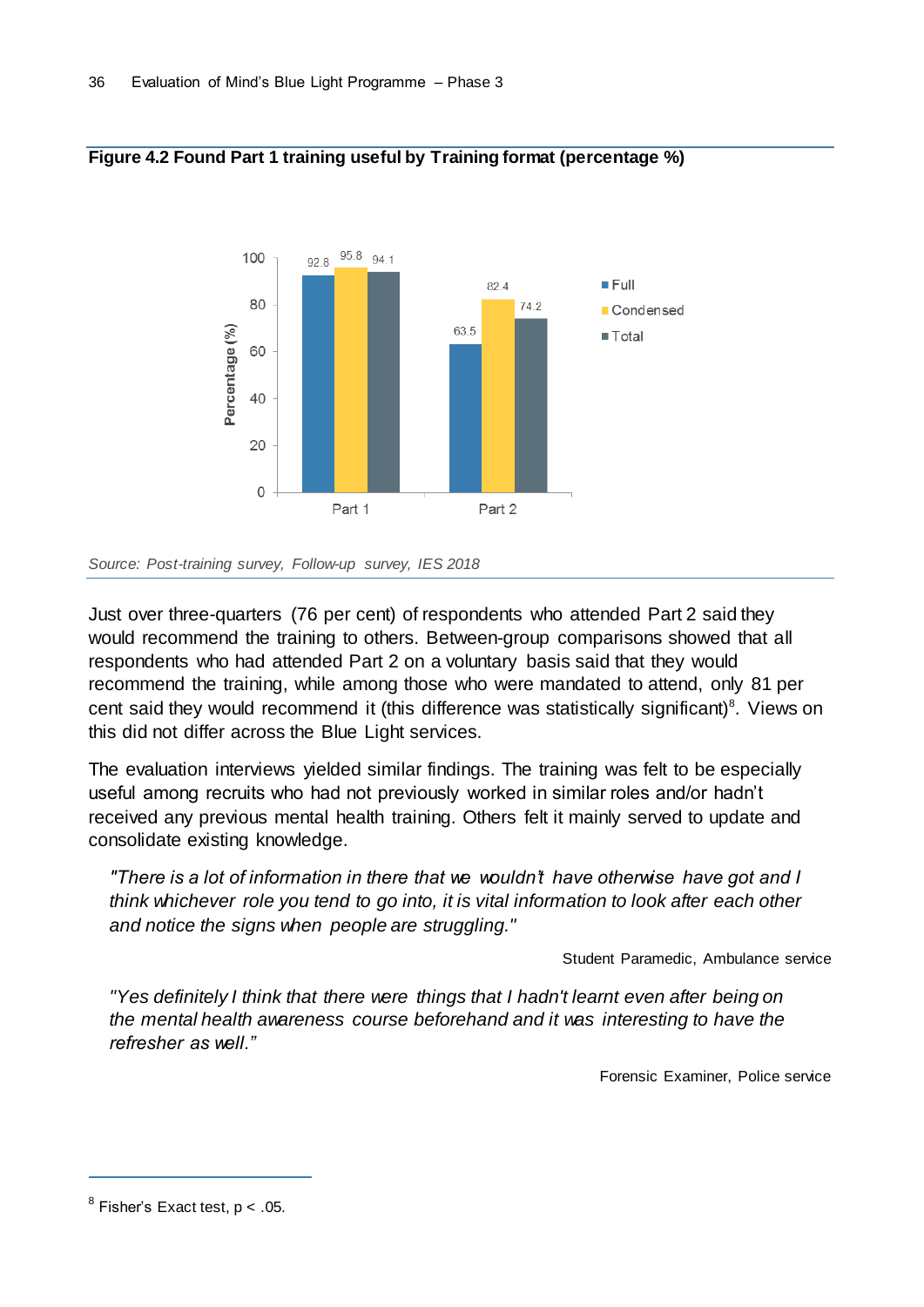

#### **Figure 4.2 Found Part 1 training useful by Training format (percentage %)**

*Source: Post-training survey, Follow-up survey, IES 2018*

Just over three-quarters (76 per cent) of respondents who attended Part 2 said they would recommend the training to others. Between-group comparisons showed that all respondents who had attended Part 2 on a voluntary basis said that they would recommend the training, while among those who were mandated to attend, only 81 per cent said they would recommend it (this difference was statistically significant)<sup>8</sup>. Views on this did not differ across the Blue Light services.

The evaluation interviews yielded similar findings. The training was felt to be especially useful among recruits who had not previously worked in similar roles and/or hadn't received any previous mental health training. Others felt it mainly served to update and consolidate existing knowledge.

*"There is a lot of information in there that we wouldn't have otherwise have got and I think whichever role you tend to go into, it is vital information to look after each other and notice the signs when people are struggling."* 

Student Paramedic, Ambulance service

*"Yes definitely I think that there were things that I hadn't learnt even after being on the mental health awareness course beforehand and it was interesting to have the refresher as well."* 

Forensic Examiner, Police service

 $^8$  Fisher's Exact test, p < .05.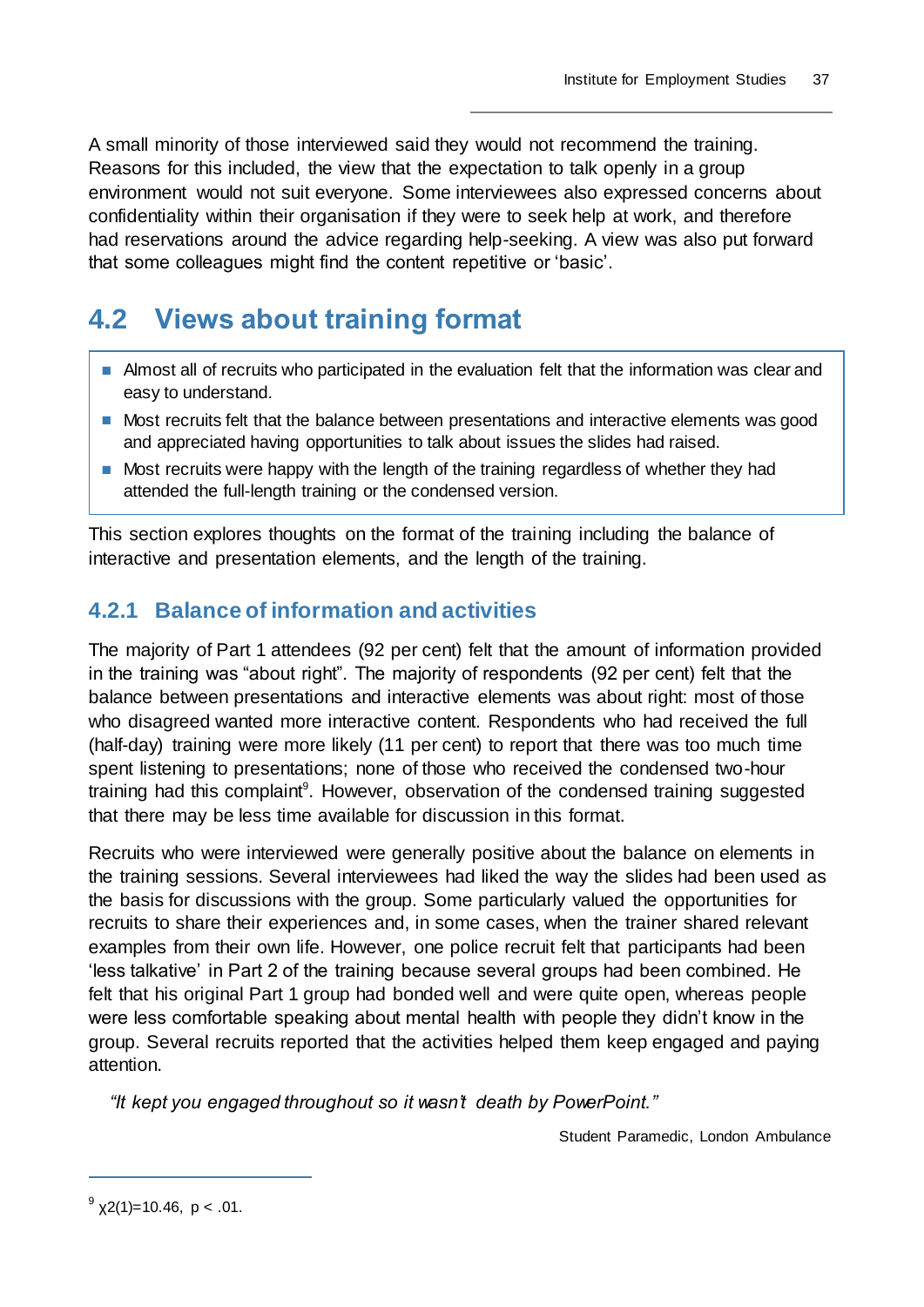A small minority of those interviewed said they would not recommend the training. Reasons for this included, the view that the expectation to talk openly in a group environment would not suit everyone. Some interviewees also expressed concerns about confidentiality within their organisation if they were to seek help at work, and therefore had reservations around the advice regarding help-seeking. A view was also put forward that some colleagues might find the content repetitive or 'basic'.

## **4.2 Views about training format**

- Almost all of recruits who participated in the evaluation felt that the information was clear and easy to understand.
- Most recruits felt that the balance between presentations and interactive elements was good and appreciated having opportunities to talk about issues the slides had raised.
- Most recruits were happy with the length of the training regardless of whether they had attended the full-length training or the condensed version.

This section explores thoughts on the format of the training including the balance of interactive and presentation elements, and the length of the training.

## **4.2.1 Balance of information and activities**

The majority of Part 1 attendees (92 per cent) felt that the amount of information provided in the training was "about right". The majority of respondents (92 per cent) felt that the balance between presentations and interactive elements was about right: most of those who disagreed wanted more interactive content. Respondents who had received the full (half-day) training were more likely (11 per cent) to report that there was too much time spent listening to presentations; none of those who received the condensed two-hour training had this complaint<sup>9</sup>. However, observation of the condensed training suggested that there may be less time available for discussion in this format.

Recruits who were interviewed were generally positive about the balance on elements in the training sessions. Several interviewees had liked the way the slides had been used as the basis for discussions with the group. Some particularly valued the opportunities for recruits to share their experiences and, in some cases, when the trainer shared relevant examples from their own life. However, one police recruit felt that participants had been 'less talkative' in Part 2 of the training because several groups had been combined. He felt that his original Part 1 group had bonded well and were quite open, whereas people were less comfortable speaking about mental health with people they didn't know in the group. Several recruits reported that the activities helped them keep engaged and paying attention.

*"It kept you engaged throughout so it wasn't death by PowerPoint."*

Student Paramedic, London Ambulance

 $^{9}$  x2(1)=10.46, p < .01.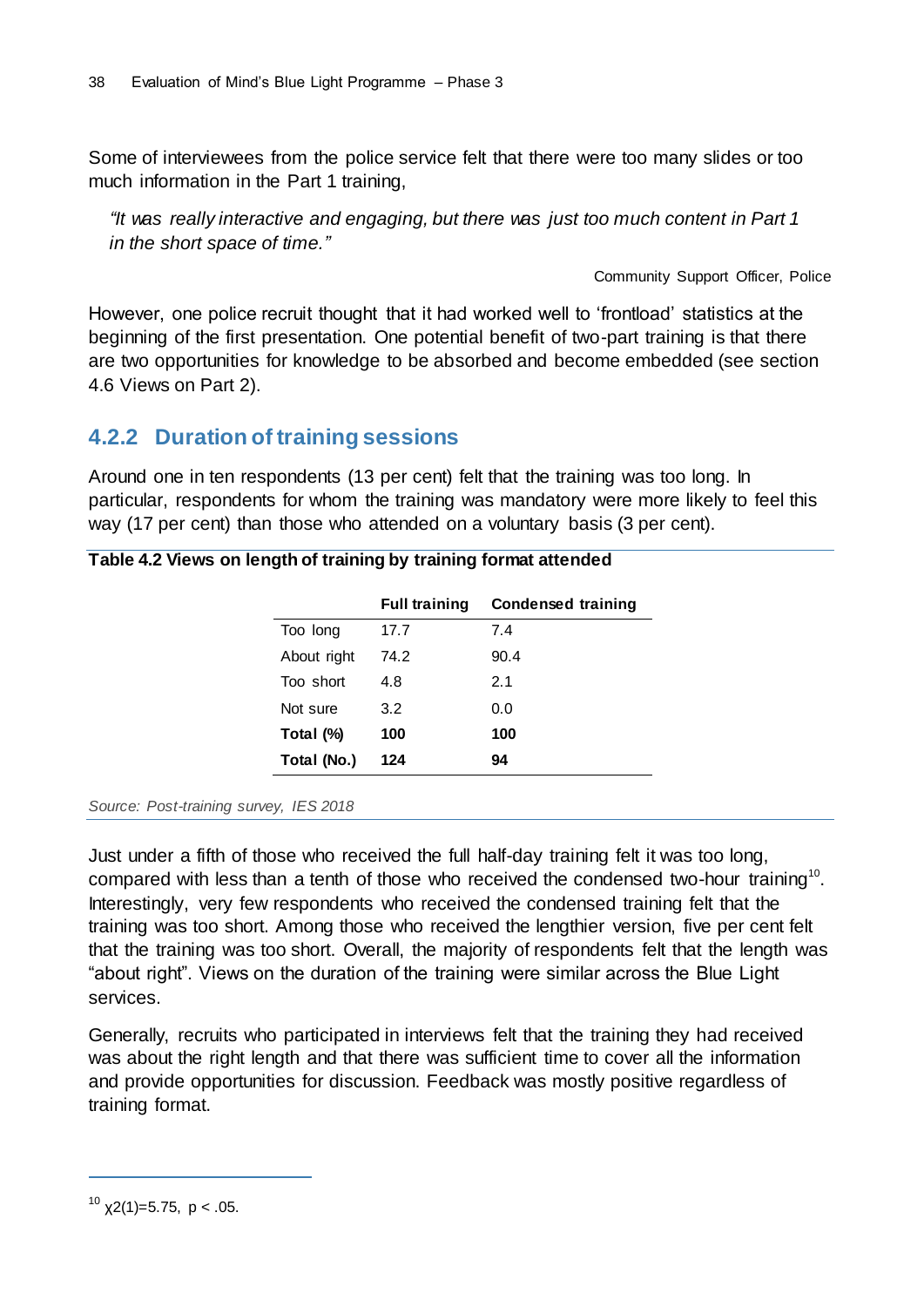Some of interviewees from the police service felt that there were too many slides or too much information in the Part 1 training,

*"It was really interactive and engaging, but there was just too much content in Part 1 in the short space of time."*

Community Support Officer, Police

However, one police recruit thought that it had worked well to 'frontload' statistics at the beginning of the first presentation. One potential benefit of two-part training is that there are two opportunities for knowledge to be absorbed and become embedded (see section 4.6 Views on Part 2).

### **4.2.2 Duration of training sessions**

Around one in ten respondents (13 per cent) felt that the training was too long. In particular, respondents for whom the training was mandatory were more likely to feel this way (17 per cent) than those who attended on a voluntary basis (3 per cent).

|             | <b>Full training</b> | Condensed training |
|-------------|----------------------|--------------------|
| Too long    | 17.7                 | 7.4                |
| About right | 74.2                 | 90.4               |
| Too short   | 4.8                  | 2.1                |
| Not sure    | 3.2                  | 0.0                |
| Total (%)   | 100                  | 100                |
| Total (No.) | 124                  | 94                 |

#### *Source: Post-training survey, IES 2018*

Just under a fifth of those who received the full half-day training felt it was too long, compared with less than a tenth of those who received the condensed two-hour training<sup>10</sup>. Interestingly, very few respondents who received the condensed training felt that the training was too short. Among those who received the lengthier version, five per cent felt that the training was too short. Overall, the majority of respondents felt that the length was "about right". Views on the duration of the training were similar across the Blue Light services.

Generally, recruits who participated in interviews felt that the training they had received was about the right length and that there was sufficient time to cover all the information and provide opportunities for discussion. Feedback was mostly positive regardless of training format.

<sup>&</sup>lt;sup>10</sup> χ2(1)=5.75, p < .05.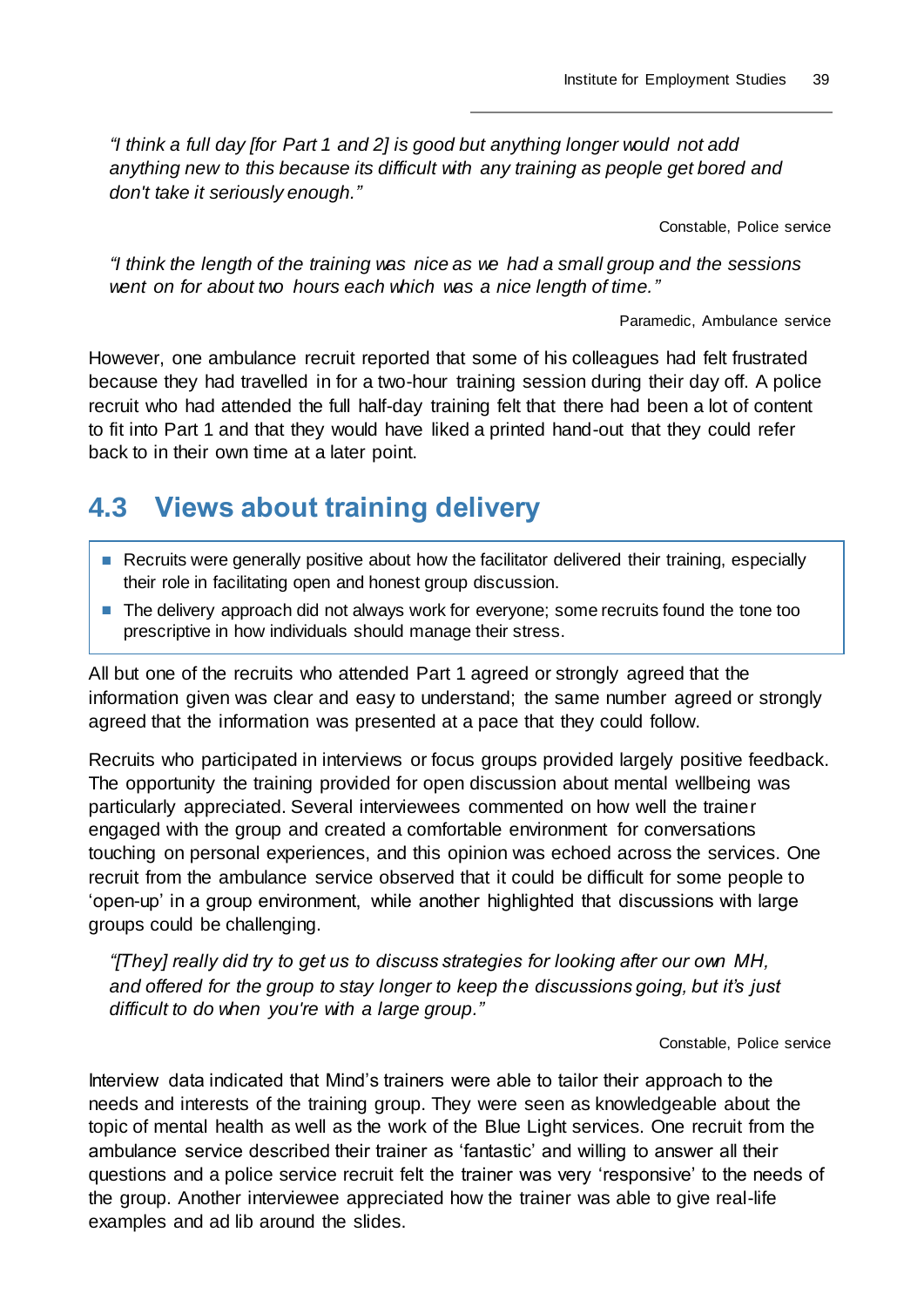*"I think a full day [for Part 1 and 2] is good but anything longer would not add anything new to this because its difficult with any training as people get bored and don't take it seriously enough."*

Constable, Police service

*"I think the length of the training was nice as we had a small group and the sessions went on for about two hours each which was a nice length of time."*

Paramedic, Ambulance service

However, one ambulance recruit reported that some of his colleagues had felt frustrated because they had travelled in for a two-hour training session during their day off. A police recruit who had attended the full half-day training felt that there had been a lot of content to fit into Part 1 and that they would have liked a printed hand-out that they could refer back to in their own time at a later point.

## **4.3 Views about training delivery**

- Recruits were generally positive about how the facilitator delivered their training, especially their role in facilitating open and honest group discussion.
- The delivery approach did not always work for everyone; some recruits found the tone too prescriptive in how individuals should manage their stress.

All but one of the recruits who attended Part 1 agreed or strongly agreed that the information given was clear and easy to understand; the same number agreed or strongly agreed that the information was presented at a pace that they could follow.

Recruits who participated in interviews or focus groups provided largely positive feedback. The opportunity the training provided for open discussion about mental wellbeing was particularly appreciated. Several interviewees commented on how well the trainer engaged with the group and created a comfortable environment for conversations touching on personal experiences, and this opinion was echoed across the services. One recruit from the ambulance service observed that it could be difficult for some people to 'open-up' in a group environment, while another highlighted that discussions with large groups could be challenging.

*"[They] really did try to get us to discuss strategies for looking after our own MH, and offered for the group to stay longer to keep the discussions going, but it's just difficult to do when you're with a large group."*

Constable, Police service

Interview data indicated that Mind's trainers were able to tailor their approach to the needs and interests of the training group. They were seen as knowledgeable about the topic of mental health as well as the work of the Blue Light services. One recruit from the ambulance service described their trainer as 'fantastic' and willing to answer all their questions and a police service recruit felt the trainer was very 'responsive' to the needs of the group. Another interviewee appreciated how the trainer was able to give real-life examples and ad lib around the slides.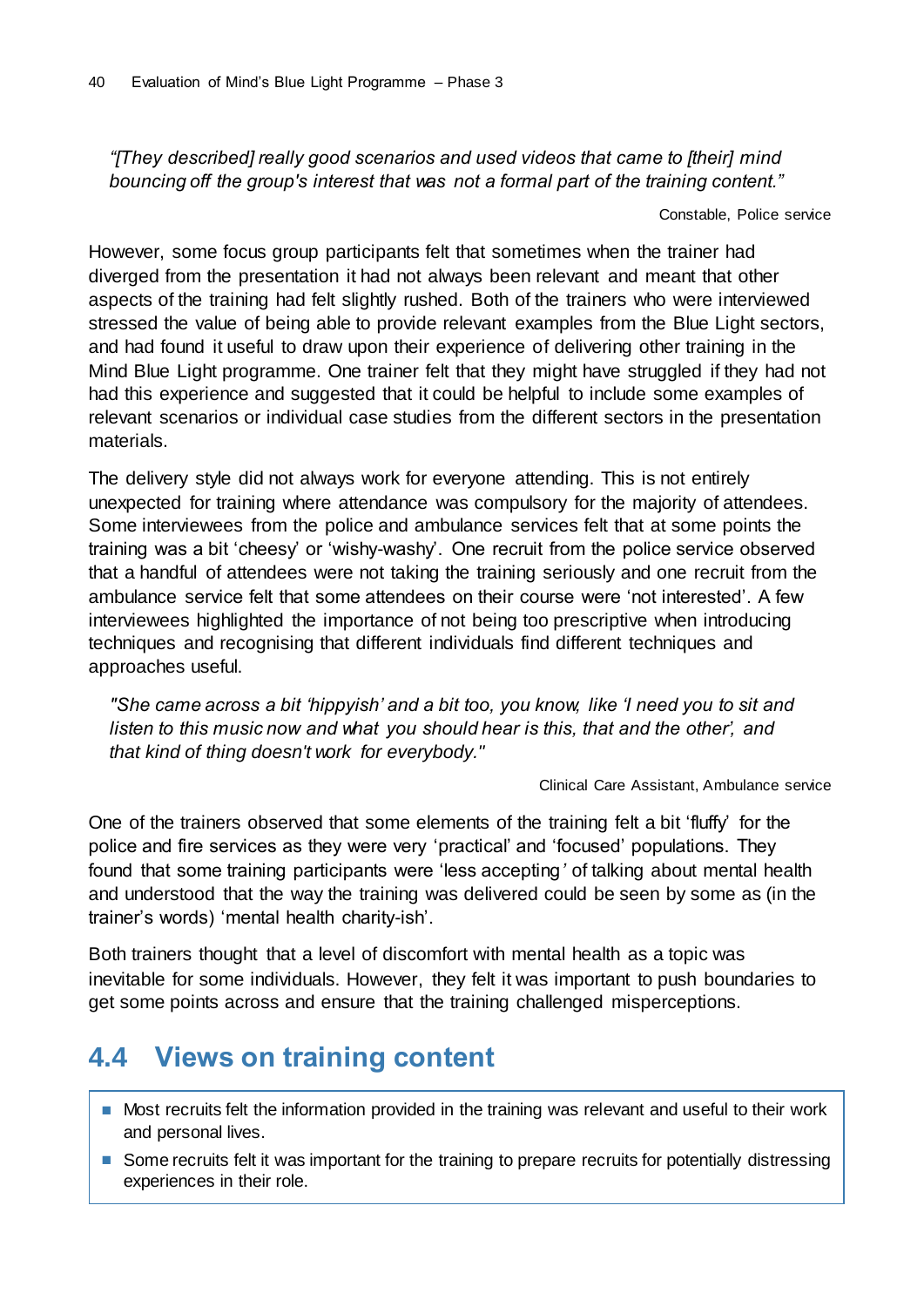*"[They described] really good scenarios and used videos that came to [their] mind bouncing off the group's interest that was not a formal part of the training content."*

Constable, Police service

However, some focus group participants felt that sometimes when the trainer had diverged from the presentation it had not always been relevant and meant that other aspects of the training had felt slightly rushed. Both of the trainers who were interviewed stressed the value of being able to provide relevant examples from the Blue Light sectors, and had found it useful to draw upon their experience of delivering other training in the Mind Blue Light programme. One trainer felt that they might have struggled if they had not had this experience and suggested that it could be helpful to include some examples of relevant scenarios or individual case studies from the different sectors in the presentation materials.

The delivery style did not always work for everyone attending. This is not entirely unexpected for training where attendance was compulsory for the majority of attendees. Some interviewees from the police and ambulance services felt that at some points the training was a bit 'cheesy' or 'wishy-washy'. One recruit from the police service observed that a handful of attendees were not taking the training seriously and one recruit from the ambulance service felt that some attendees on their course were 'not interested'. A few interviewees highlighted the importance of not being too prescriptive when introducing techniques and recognising that different individuals find different techniques and approaches useful.

*"She came across a bit 'hippyish' and a bit too, you know, like 'I need you to sit and listen to this music now and what you should hear is this, that and the other', and that kind of thing doesn't work for everybody."*

Clinical Care Assistant, Ambulance service

One of the trainers observed that some elements of the training felt a bit 'fluffy' for the police and fire services as they were very 'practical' and 'focused' populations. They found that some training participants were 'less accepting*'* of talking about mental health and understood that the way the training was delivered could be seen by some as (in the trainer's words) 'mental health charity-ish'.

Both trainers thought that a level of discomfort with mental health as a topic was inevitable for some individuals. However, they felt it was important to push boundaries to get some points across and ensure that the training challenged misperceptions.

## **4.4 Views on training content**

- Most recruits felt the information provided in the training was relevant and useful to their work and personal lives.
- Some recruits felt it was important for the training to prepare recruits for potentially distressing experiences in their role.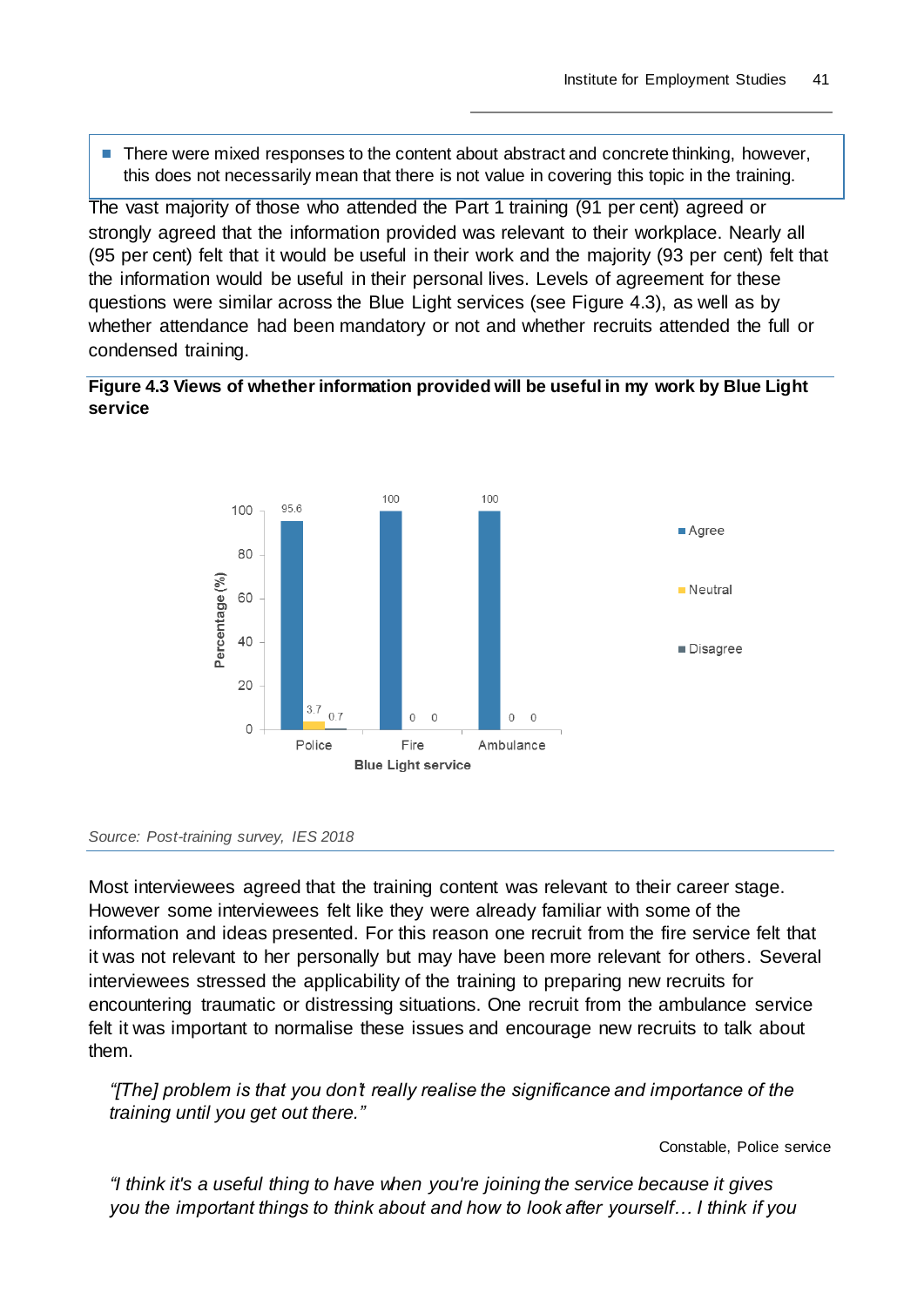■ There were mixed responses to the content about abstract and concrete thinking, however, this does not necessarily mean that there is not value in covering this topic in the training.

The vast majority of those who attended the Part 1 training (91 per cent) agreed or strongly agreed that the information provided was relevant to their workplace. Nearly all (95 per cent) felt that it would be useful in their work and the majority (93 per cent) felt that the information would be useful in their personal lives. Levels of agreement for these questions were similar across the Blue Light services (see Figure 4.3), as well as by whether attendance had been mandatory or not and whether recruits attended the full or condensed training.

#### **Figure 4.3 Views of whether information provided will be useful in my work by Blue Light service**



#### *Source: Post-training survey, IES 2018*

Most interviewees agreed that the training content was relevant to their career stage. However some interviewees felt like they were already familiar with some of the information and ideas presented. For this reason one recruit from the fire service felt that it was not relevant to her personally but may have been more relevant for others. Several interviewees stressed the applicability of the training to preparing new recruits for encountering traumatic or distressing situations. One recruit from the ambulance service felt it was important to normalise these issues and encourage new recruits to talk about them.

*"[The] problem is that you don't really realise the significance and importance of the training until you get out there."*

Constable, Police service

*"I think it's a useful thing to have when you're joining the service because it gives you the important things to think about and how to look after yourself… I think if you*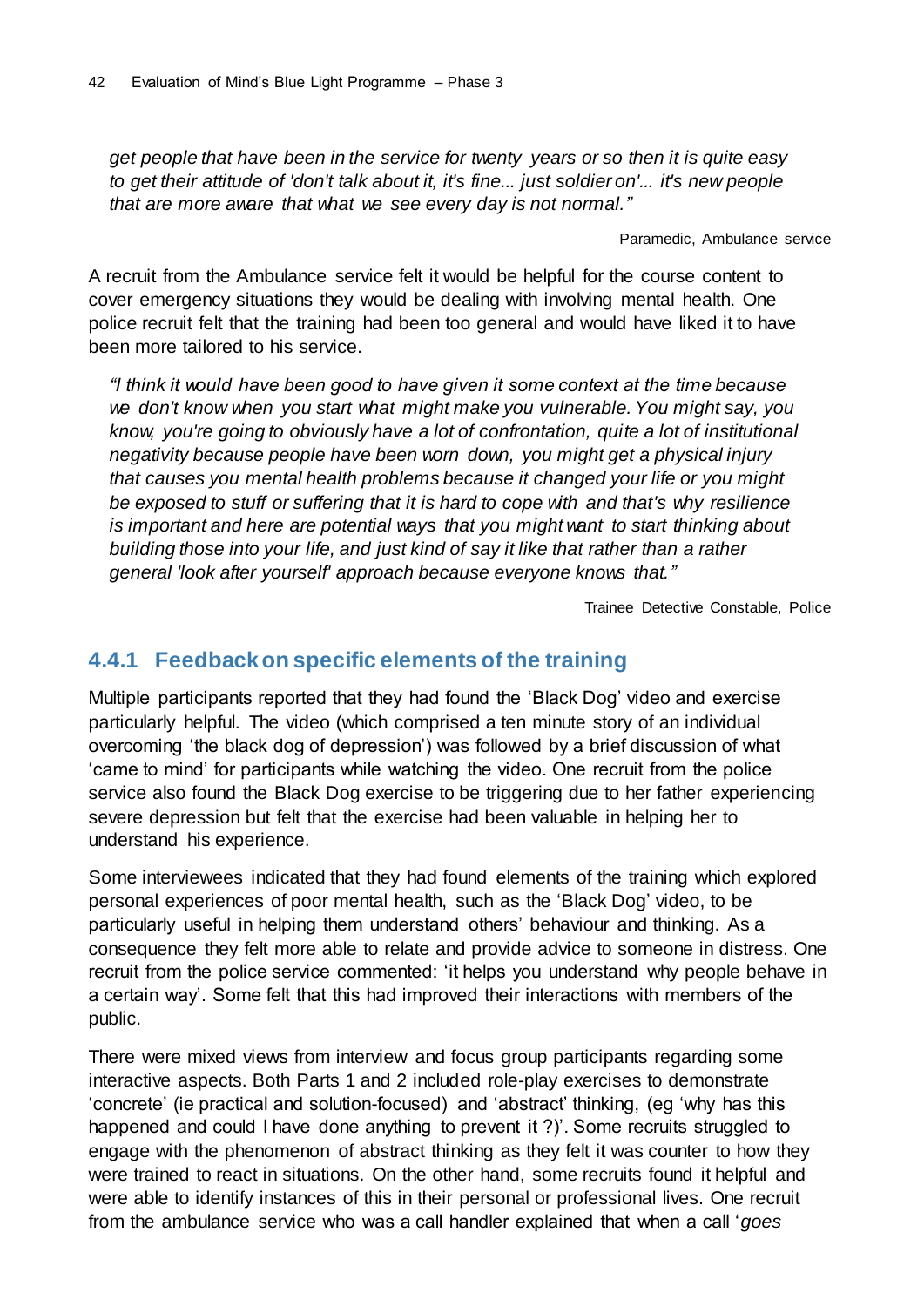*get people that have been in the service for twenty years or so then it is quite easy to get their attitude of 'don't talk about it, it's fine... just soldier on'... it's new people that are more aware that what we see every day is not normal."*

Paramedic, Ambulance service

A recruit from the Ambulance service felt it would be helpful for the course content to cover emergency situations they would be dealing with involving mental health. One police recruit felt that the training had been too general and would have liked it to have been more tailored to his service.

*"I think it would have been good to have given it some context at the time because we don't know when you start what might make you vulnerable. You might say, you know, you're going to obviously have a lot of confrontation, quite a lot of institutional negativity because people have been worn down, you might get a physical injury that causes you mental health problems because it changed your life or you might be exposed to stuff or suffering that it is hard to cope with and that's why resilience is important and here are potential ways that you might want to start thinking about building those into your life, and just kind of say it like that rather than a rather general 'look after yourself' approach because everyone knows that."*

Trainee Detective Constable, Police

### **4.4.1 Feedback on specific elements of the training**

Multiple participants reported that they had found the 'Black Dog' video and exercise particularly helpful. The video (which comprised a ten minute story of an individual overcoming 'the black dog of depression') was followed by a brief discussion of what 'came to mind' for participants while watching the video. One recruit from the police service also found the Black Dog exercise to be triggering due to her father experiencing severe depression but felt that the exercise had been valuable in helping her to understand his experience.

Some interviewees indicated that they had found elements of the training which explored personal experiences of poor mental health, such as the 'Black Dog' video, to be particularly useful in helping them understand others' behaviour and thinking. As a consequence they felt more able to relate and provide advice to someone in distress. One recruit from the police service commented: 'it helps you understand why people behave in a certain way'. Some felt that this had improved their interactions with members of the public.

There were mixed views from interview and focus group participants regarding some interactive aspects. Both Parts 1 and 2 included role-play exercises to demonstrate 'concrete' (ie practical and solution-focused) and 'abstract' thinking, (eg 'why has this happened and could I have done anything to prevent it ?)'. Some recruits struggled to engage with the phenomenon of abstract thinking as they felt it was counter to how they were trained to react in situations. On the other hand, some recruits found it helpful and were able to identify instances of this in their personal or professional lives. One recruit from the ambulance service who was a call handler explained that when a call '*goes*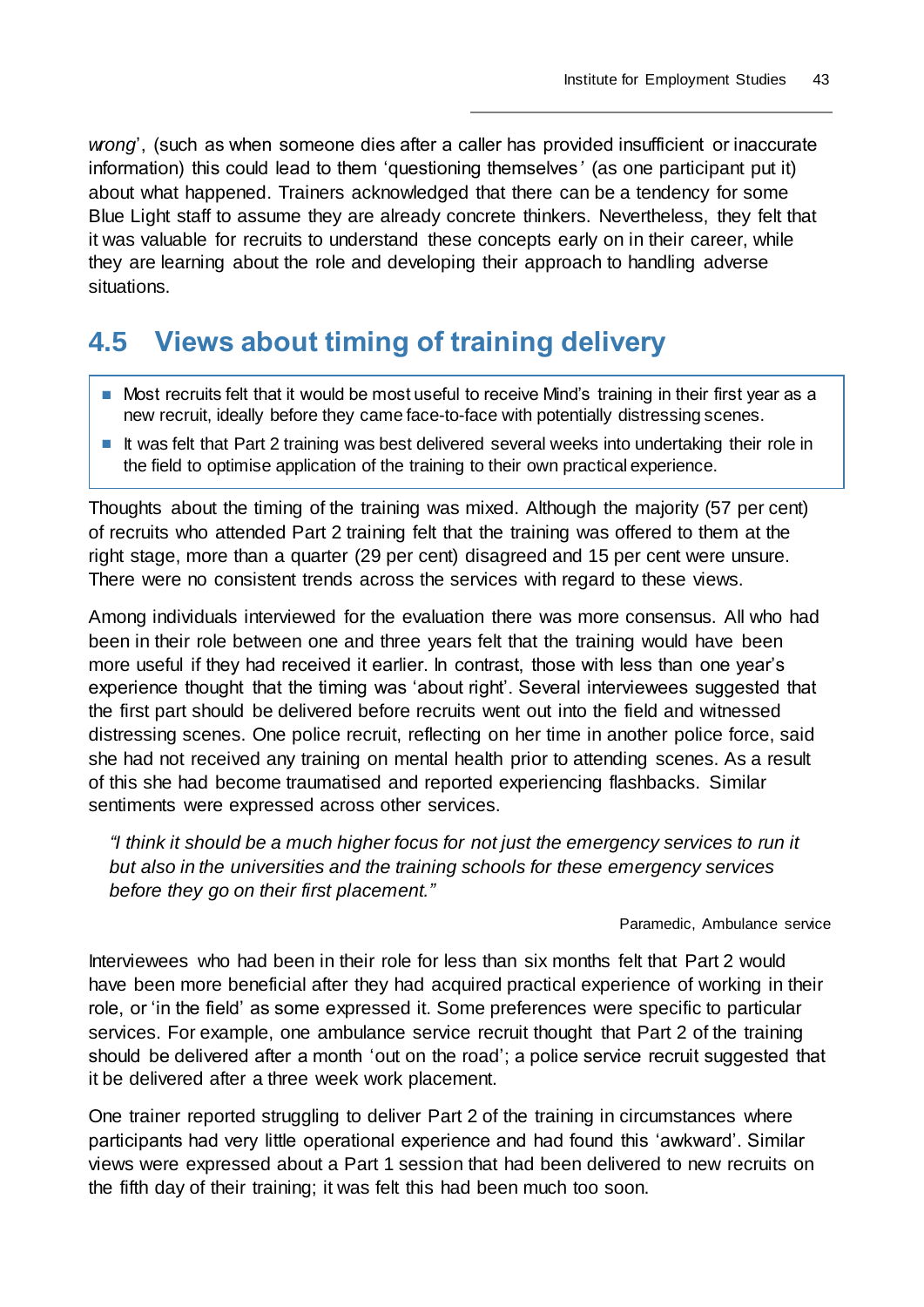*wrong*', (such as when someone dies after a caller has provided insufficient or inaccurate information) this could lead to them 'questioning themselves*'* (as one participant put it) about what happened. Trainers acknowledged that there can be a tendency for some Blue Light staff to assume they are already concrete thinkers. Nevertheless, they felt that it was valuable for recruits to understand these concepts early on in their career, while they are learning about the role and developing their approach to handling adverse situations.

## **4.5 Views about timing of training delivery**

- Most recruits felt that it would be most useful to receive Mind's training in their first year as a new recruit, ideally before they came face-to-face with potentially distressing scenes.
- It was felt that Part 2 training was best delivered several weeks into undertaking their role in the field to optimise application of the training to their own practical experience.

Thoughts about the timing of the training was mixed. Although the majority (57 per cent) of recruits who attended Part 2 training felt that the training was offered to them at the right stage, more than a quarter (29 per cent) disagreed and 15 per cent were unsure. There were no consistent trends across the services with regard to these views.

Among individuals interviewed for the evaluation there was more consensus. All who had been in their role between one and three years felt that the training would have been more useful if they had received it earlier. In contrast, those with less than one year's experience thought that the timing was 'about right'. Several interviewees suggested that the first part should be delivered before recruits went out into the field and witnessed distressing scenes. One police recruit, reflecting on her time in another police force, said she had not received any training on mental health prior to attending scenes. As a result of this she had become traumatised and reported experiencing flashbacks. Similar sentiments were expressed across other services.

*"I think it should be a much higher focus for not just the emergency services to run it but also in the universities and the training schools for these emergency services before they go on their first placement."*

#### Paramedic, Ambulance service

Interviewees who had been in their role for less than six months felt that Part 2 would have been more beneficial after they had acquired practical experience of working in their role, or 'in the field' as some expressed it. Some preferences were specific to particular services. For example, one ambulance service recruit thought that Part 2 of the training should be delivered after a month 'out on the road'; a police service recruit suggested that it be delivered after a three week work placement.

One trainer reported struggling to deliver Part 2 of the training in circumstances where participants had very little operational experience and had found this 'awkward'. Similar views were expressed about a Part 1 session that had been delivered to new recruits on the fifth day of their training; it was felt this had been much too soon.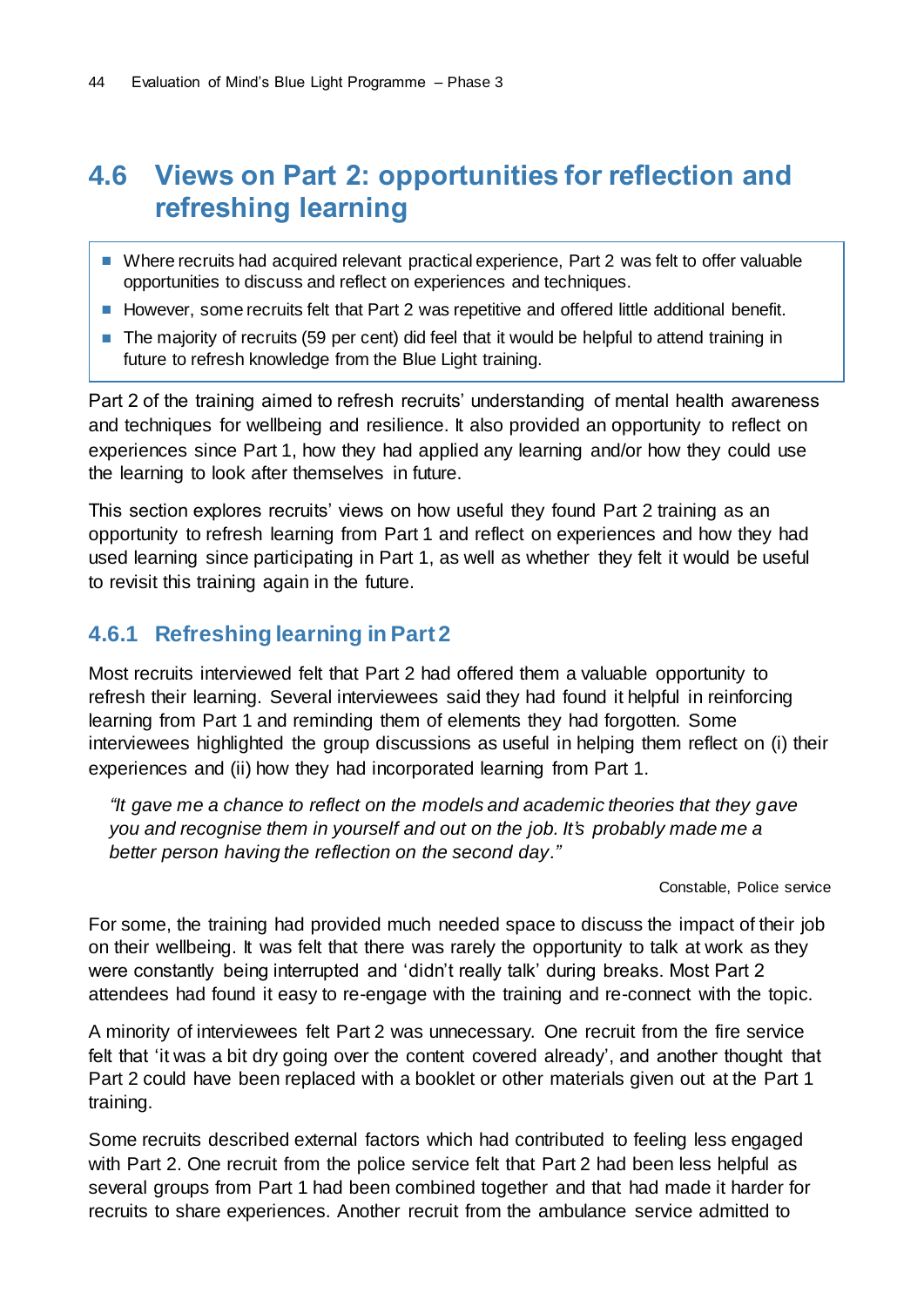## **4.6 Views on Part 2: opportunities for reflection and refreshing learning**

- Where recruits had acquired relevant practical experience, Part 2 was felt to offer valuable opportunities to discuss and reflect on experiences and techniques.
- However, some recruits felt that Part 2 was repetitive and offered little additional benefit.
- The majority of recruits (59 per cent) did feel that it would be helpful to attend training in future to refresh knowledge from the Blue Light training.

Part 2 of the training aimed to refresh recruits' understanding of mental health awareness and techniques for wellbeing and resilience. It also provided an opportunity to reflect on experiences since Part 1, how they had applied any learning and/or how they could use the learning to look after themselves in future.

This section explores recruits' views on how useful they found Part 2 training as an opportunity to refresh learning from Part 1 and reflect on experiences and how they had used learning since participating in Part 1, as well as whether they felt it would be useful to revisit this training again in the future.

### **4.6.1 Refreshing learning in Part 2**

Most recruits interviewed felt that Part 2 had offered them a valuable opportunity to refresh their learning. Several interviewees said they had found it helpful in reinforcing learning from Part 1 and reminding them of elements they had forgotten. Some interviewees highlighted the group discussions as useful in helping them reflect on (i) their experiences and (ii) how they had incorporated learning from Part 1.

*"It gave me a chance to reflect on the models and academic theories that they gave you and recognise them in yourself and out on the job. It's probably made me a better person having the reflection on the second day."*

Constable, Police service

For some, the training had provided much needed space to discuss the impact of their job on their wellbeing. It was felt that there was rarely the opportunity to talk at work as they were constantly being interrupted and 'didn't really talk' during breaks. Most Part 2 attendees had found it easy to re-engage with the training and re-connect with the topic.

A minority of interviewees felt Part 2 was unnecessary. One recruit from the fire service felt that 'it was a bit dry going over the content covered already', and another thought that Part 2 could have been replaced with a booklet or other materials given out at the Part 1 training.

Some recruits described external factors which had contributed to feeling less engaged with Part 2. One recruit from the police service felt that Part 2 had been less helpful as several groups from Part 1 had been combined together and that had made it harder for recruits to share experiences. Another recruit from the ambulance service admitted to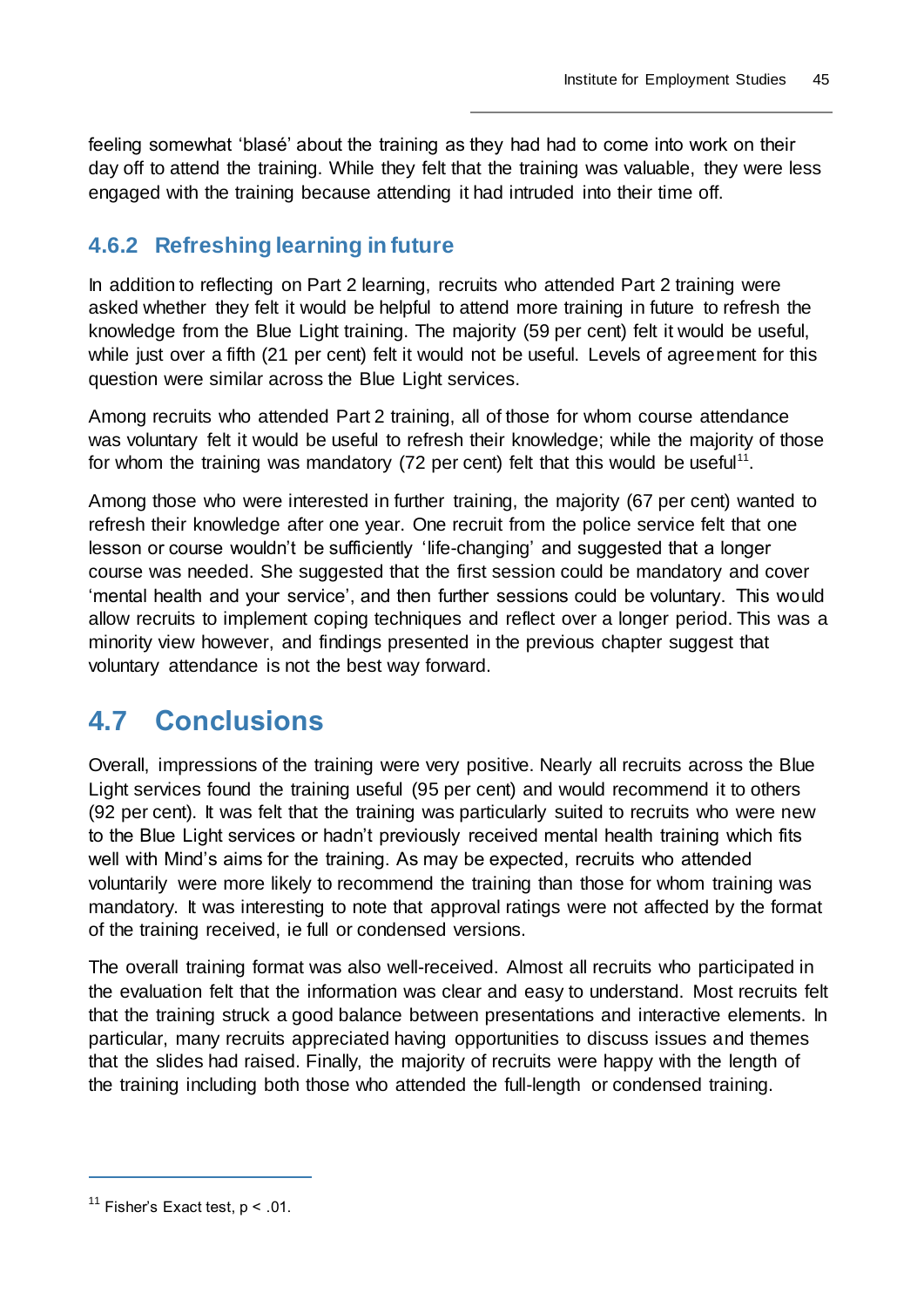feeling somewhat 'blasé' about the training as they had had to come into work on their day off to attend the training. While they felt that the training was valuable, they were less engaged with the training because attending it had intruded into their time off.

### **4.6.2 Refreshing learning in future**

In addition to reflecting on Part 2 learning, recruits who attended Part 2 training were asked whether they felt it would be helpful to attend more training in future to refresh the knowledge from the Blue Light training. The majority (59 per cent) felt it would be useful, while just over a fifth (21 per cent) felt it would not be useful. Levels of agreement for this question were similar across the Blue Light services.

Among recruits who attended Part 2 training, all of those for whom course attendance was voluntary felt it would be useful to refresh their knowledge; while the majority of those for whom the training was mandatory (72 per cent) felt that this would be useful<sup>11</sup>.

Among those who were interested in further training, the majority (67 per cent) wanted to refresh their knowledge after one year. One recruit from the police service felt that one lesson or course wouldn't be sufficiently 'life-changing' and suggested that a longer course was needed. She suggested that the first session could be mandatory and cover 'mental health and your service', and then further sessions could be voluntary. This would allow recruits to implement coping techniques and reflect over a longer period. This was a minority view however, and findings presented in the previous chapter suggest that voluntary attendance is not the best way forward.

## **4.7 Conclusions**

Overall, impressions of the training were very positive. Nearly all recruits across the Blue Light services found the training useful (95 per cent) and would recommend it to others (92 per cent). It was felt that the training was particularly suited to recruits who were new to the Blue Light services or hadn't previously received mental health training which fits well with Mind's aims for the training. As may be expected, recruits who attended voluntarily were more likely to recommend the training than those for whom training was mandatory. It was interesting to note that approval ratings were not affected by the format of the training received, ie full or condensed versions.

The overall training format was also well-received. Almost all recruits who participated in the evaluation felt that the information was clear and easy to understand. Most recruits felt that the training struck a good balance between presentations and interactive elements. In particular, many recruits appreciated having opportunities to discuss issues and themes that the slides had raised. Finally, the majority of recruits were happy with the length of the training including both those who attended the full-length or condensed training.

<sup>&</sup>lt;sup>11</sup> Fisher's Exact test,  $p < .01$ .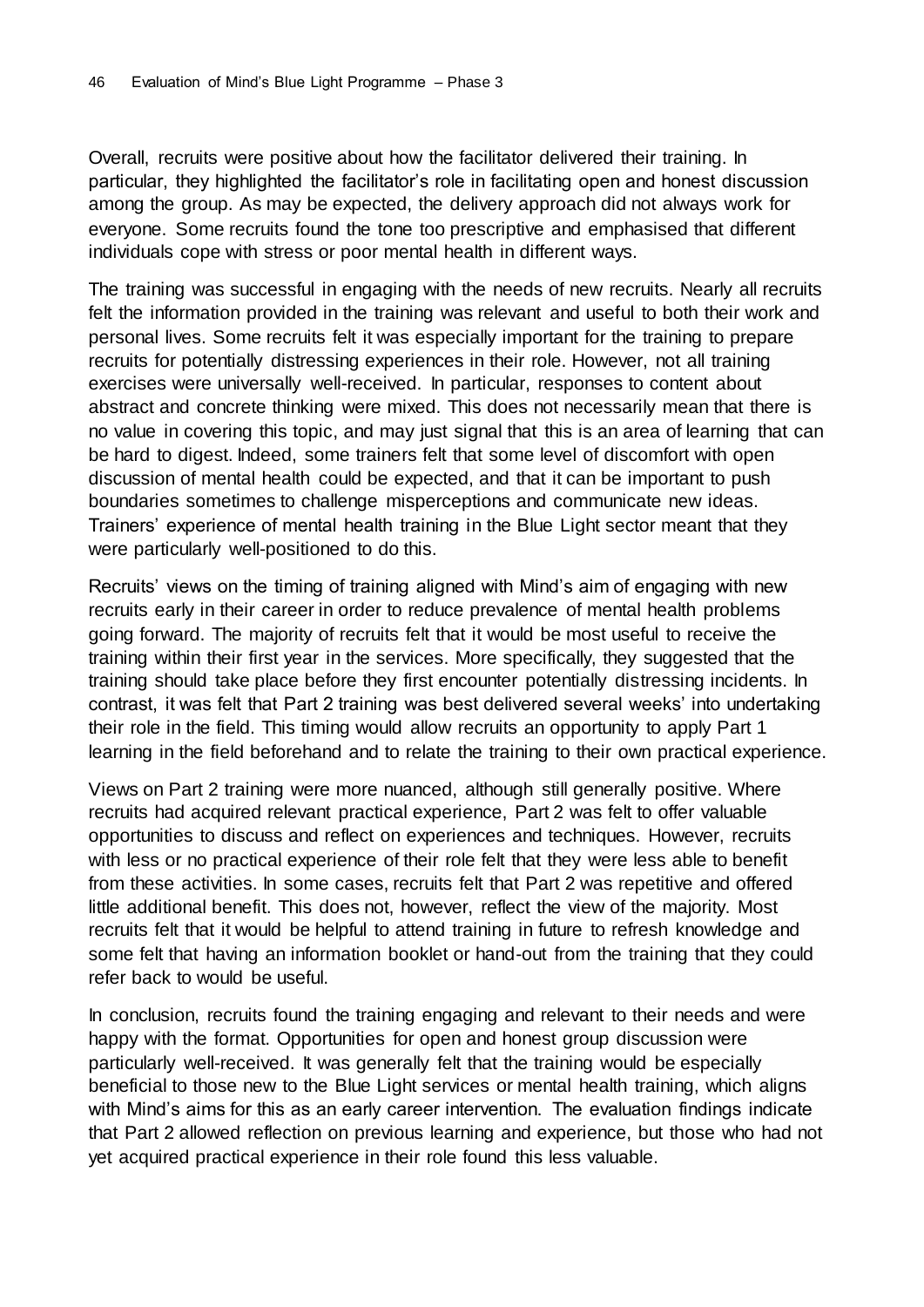Overall, recruits were positive about how the facilitator delivered their training. In particular, they highlighted the facilitator's role in facilitating open and honest discussion among the group. As may be expected, the delivery approach did not always work for everyone. Some recruits found the tone too prescriptive and emphasised that different individuals cope with stress or poor mental health in different ways.

The training was successful in engaging with the needs of new recruits. Nearly all recruits felt the information provided in the training was relevant and useful to both their work and personal lives. Some recruits felt it was especially important for the training to prepare recruits for potentially distressing experiences in their role. However, not all training exercises were universally well-received. In particular, responses to content about abstract and concrete thinking were mixed. This does not necessarily mean that there is no value in covering this topic, and may just signal that this is an area of learning that can be hard to digest. Indeed, some trainers felt that some level of discomfort with open discussion of mental health could be expected, and that it can be important to push boundaries sometimes to challenge misperceptions and communicate new ideas. Trainers' experience of mental health training in the Blue Light sector meant that they were particularly well-positioned to do this.

Recruits' views on the timing of training aligned with Mind's aim of engaging with new recruits early in their career in order to reduce prevalence of mental health problems going forward. The majority of recruits felt that it would be most useful to receive the training within their first year in the services. More specifically, they suggested that the training should take place before they first encounter potentially distressing incidents. In contrast, it was felt that Part 2 training was best delivered several weeks' into undertaking their role in the field. This timing would allow recruits an opportunity to apply Part 1 learning in the field beforehand and to relate the training to their own practical experience.

Views on Part 2 training were more nuanced, although still generally positive. Where recruits had acquired relevant practical experience, Part 2 was felt to offer valuable opportunities to discuss and reflect on experiences and techniques. However, recruits with less or no practical experience of their role felt that they were less able to benefit from these activities. In some cases, recruits felt that Part 2 was repetitive and offered little additional benefit. This does not, however, reflect the view of the majority. Most recruits felt that it would be helpful to attend training in future to refresh knowledge and some felt that having an information booklet or hand-out from the training that they could refer back to would be useful.

In conclusion, recruits found the training engaging and relevant to their needs and were happy with the format. Opportunities for open and honest group discussion were particularly well-received. It was generally felt that the training would be especially beneficial to those new to the Blue Light services or mental health training, which aligns with Mind's aims for this as an early career intervention. The evaluation findings indicate that Part 2 allowed reflection on previous learning and experience, but those who had not yet acquired practical experience in their role found this less valuable.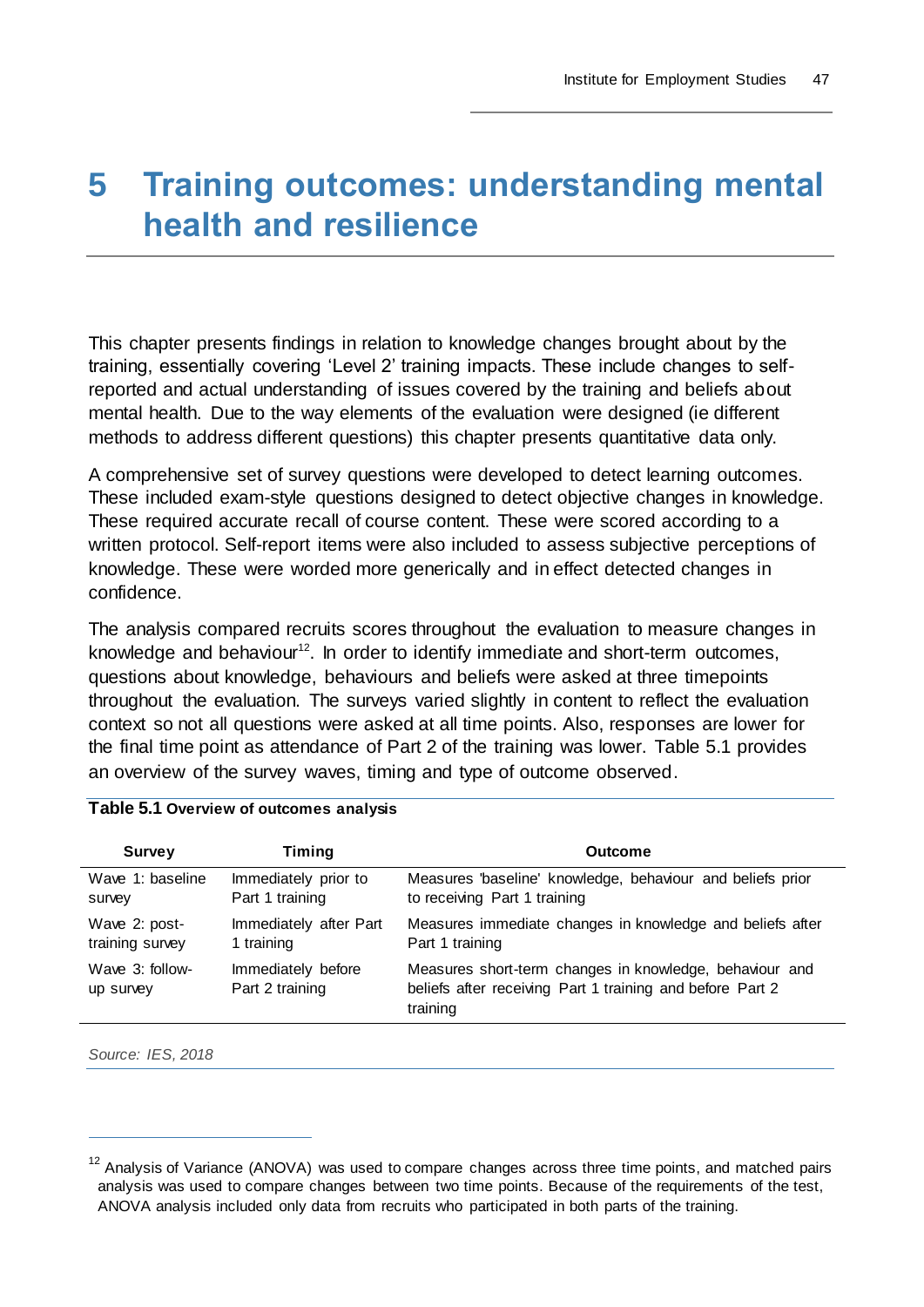# **5 Training outcomes: understanding mental health and resilience**

This chapter presents findings in relation to knowledge changes brought about by the training, essentially covering 'Level 2' training impacts. These include changes to selfreported and actual understanding of issues covered by the training and beliefs about mental health. Due to the way elements of the evaluation were designed (ie different methods to address different questions) this chapter presents quantitative data only.

A comprehensive set of survey questions were developed to detect learning outcomes. These included exam-style questions designed to detect objective changes in knowledge. These required accurate recall of course content. These were scored according to a written protocol. Self-report items were also included to assess subjective perceptions of knowledge. These were worded more generically and in effect detected changes in confidence.

The analysis compared recruits scores throughout the evaluation to measure changes in knowledge and behaviour<sup>12</sup>. In order to identify immediate and short-term outcomes, questions about knowledge, behaviours and beliefs were asked at three timepoints throughout the evaluation. The surveys varied slightly in content to reflect the evaluation context so not all questions were asked at all time points. Also, responses are lower for the final time point as attendance of Part 2 of the training was lower. Table 5.1 provides an overview of the survey waves, timing and type of outcome observed.

| <b>Survey</b>                | <b>Timing</b>                         | <b>Outcome</b>                                                                                                                   |
|------------------------------|---------------------------------------|----------------------------------------------------------------------------------------------------------------------------------|
| Wave 1: baseline             | Immediately prior to                  | Measures 'baseline' knowledge, behaviour and beliefs prior                                                                       |
| survey                       | Part 1 training                       | to receiving Part 1 training                                                                                                     |
| Wave 2: post-                | Immediately after Part                | Measures immediate changes in knowledge and beliefs after                                                                        |
| training survey              | 1 training                            | Part 1 training                                                                                                                  |
| Wave 3: follow-<br>up survey | Immediately before<br>Part 2 training | Measures short-term changes in knowledge, behaviour and<br>beliefs after receiving Part 1 training and before Part 2<br>training |

#### **Table 5.1 Overview of outcomes analysis**

*Source: IES, 2018*

 $12$  Analysis of Variance (ANOVA) was used to compare changes across three time points, and matched pairs analysis was used to compare changes between two time points. Because of the requirements of the test, ANOVA analysis included only data from recruits who participated in both parts of the training.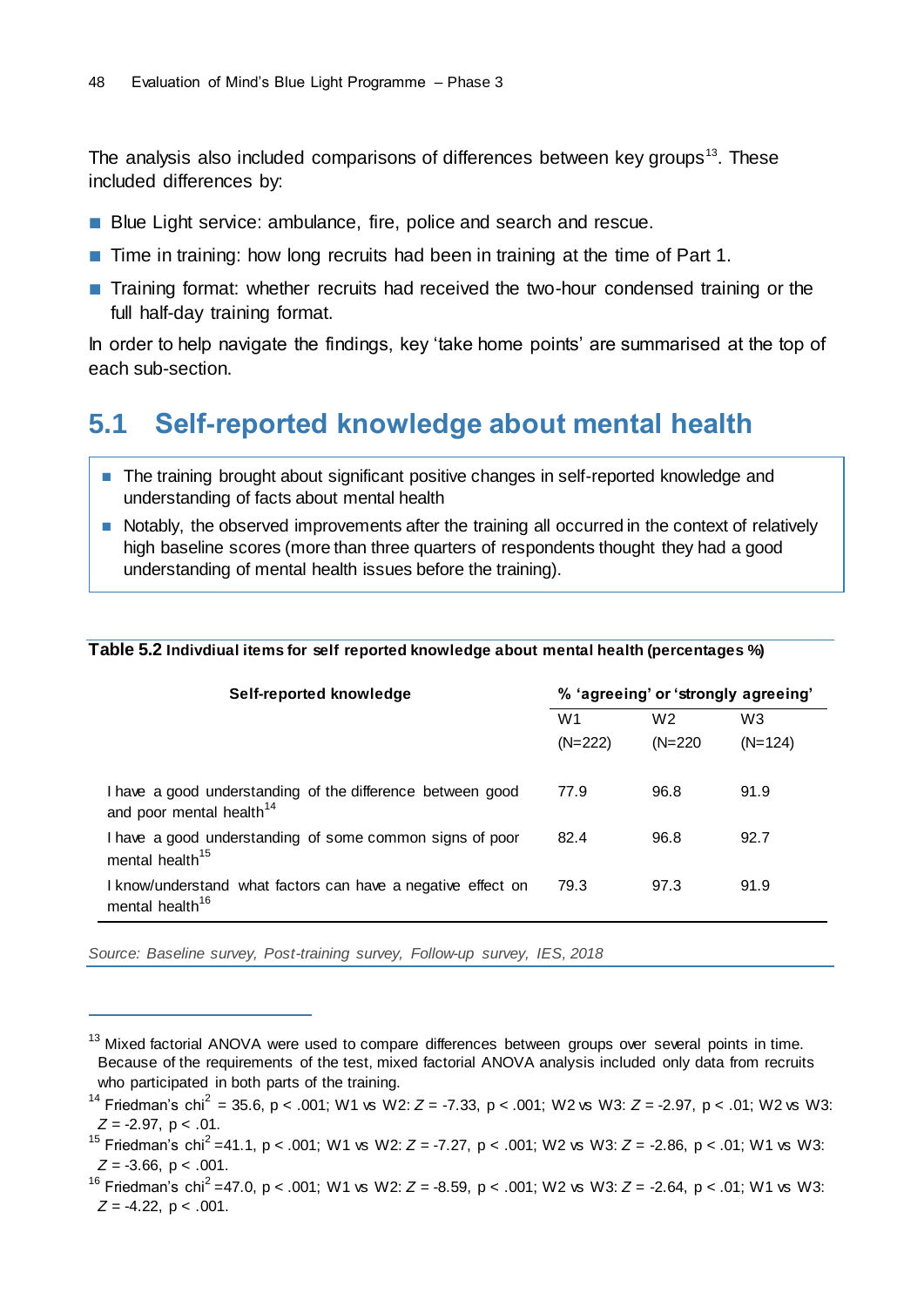The analysis also included comparisons of differences between key groups<sup>13</sup>. These included differences by:

- Blue Light service: ambulance, fire, police and search and rescue.
- Time in training: how long recruits had been in training at the time of Part 1.
- Training format: whether recruits had received the two-hour condensed training or the full half-day training format.

In order to help navigate the findings, key 'take home points' are summarised at the top of each sub-section.

## **5.1 Self-reported knowledge about mental health**

- The training brought about significant positive changes in self-reported knowledge and understanding of facts about mental health
- Notably, the observed improvements after the training all occurred in the context of relatively high baseline scores (more than three quarters of respondents thought they had a good understanding of mental health issues before the training).

| Self-reported knowledge                                                                            | % 'agreeing' or 'strongly agreeing' |                |                |
|----------------------------------------------------------------------------------------------------|-------------------------------------|----------------|----------------|
|                                                                                                    | W <sub>1</sub>                      | W <sub>2</sub> | W <sub>3</sub> |
|                                                                                                    | $(N=222)$                           | $(N=220)$      | $(N=124)$      |
| I have a good understanding of the difference between good<br>and poor mental health <sup>14</sup> | 77.9                                | 96.8           | 91.9           |
| I have a good understanding of some common signs of poor<br>mental health <sup>15</sup>            | 82.4                                | 96.8           | 92.7           |
| I know/understand what factors can have a negative effect on<br>mental health <sup>16</sup>        | 79.3                                | 97.3           | 91.9           |

*Source: Baseline survey, Post-training survey, Follow-up survey, IES, 2018*

 $13$  Mixed factorial ANOVA were used to compare differences between groups over several points in time. Because of the requirements of the test, mixed factorial ANOVA analysis included only data from recruits who participated in both parts of the training.

<sup>&</sup>lt;sup>14</sup> Friedman's chi<sup>2</sup> = 35.6, p < .001; W1 vs W2:  $Z = -7.33$ , p < .001; W2 vs W3:  $Z = -2.97$ , p < .01; W2 vs W3: *Z* = -2.97, p < .01.

<sup>15</sup> Friedman's chi<sup>2</sup>=41.1, p < .001; W1 vs W2: *Z* = -7.27, p < .001; W2 vs W3: *Z* = -2.86, p < .01; W1 vs W3:  $Z = -3.66$ ,  $p < .001$ .

<sup>16</sup> Friedman's chi<sup>2</sup>=47.0, p < .001; W1 vs W2: *Z* = -8.59, p < .001; W2 vs W3: *Z* = -2.64, p < .01; W1 vs W3: *Z* = -4.22, p < .001.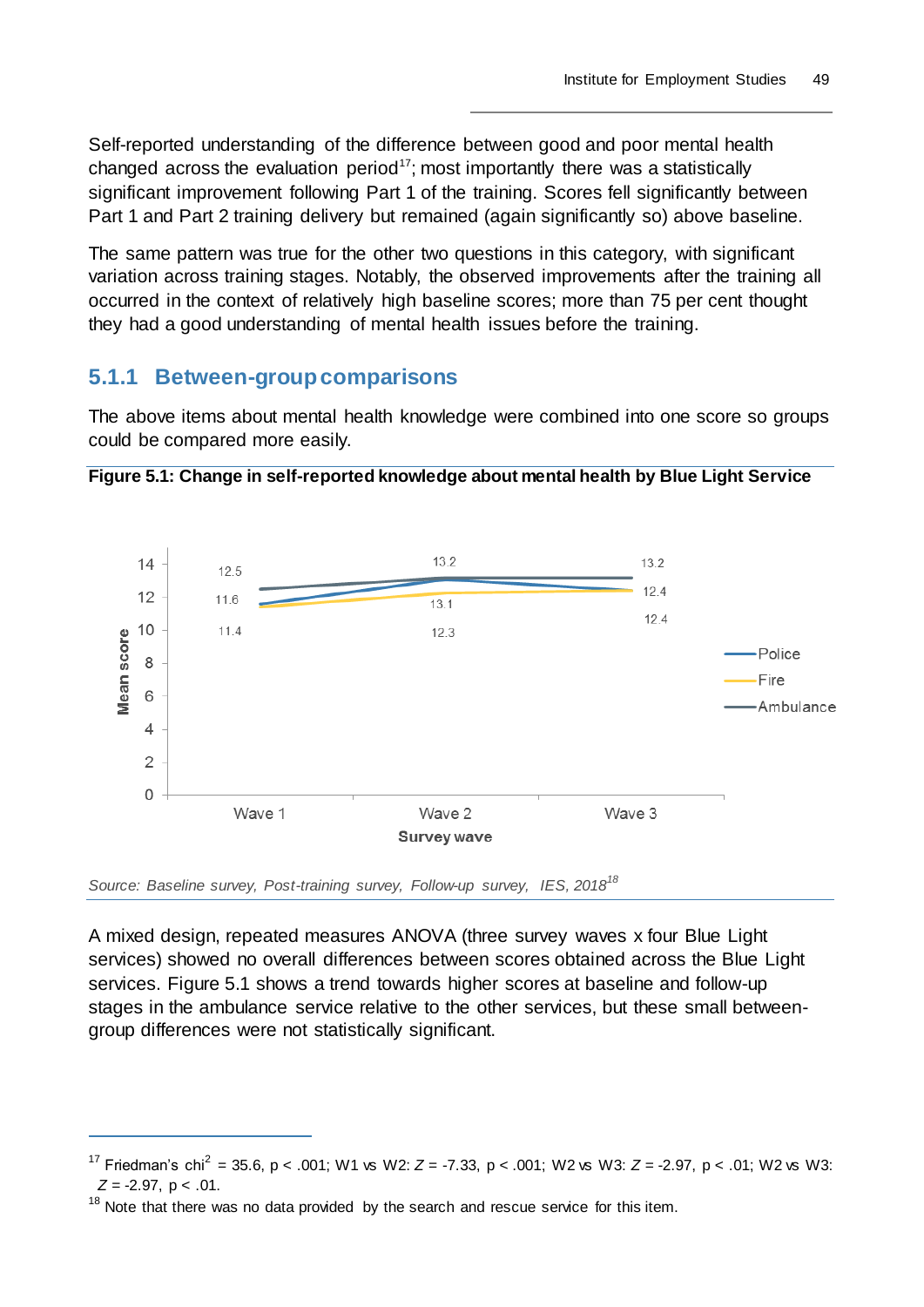Self-reported understanding of the difference between good and poor mental health changed across the evaluation period<sup>17</sup>; most importantly there was a statistically significant improvement following Part 1 of the training. Scores fell significantly between Part 1 and Part 2 training delivery but remained (again significantly so) above baseline.

The same pattern was true for the other two questions in this category, with significant variation across training stages. Notably, the observed improvements after the training all occurred in the context of relatively high baseline scores; more than 75 per cent thought they had a good understanding of mental health issues before the training.

### **5.1.1 Between-group comparisons**

The above items about mental health knowledge were combined into one score so groups could be compared more easily.





*Source: Baseline survey, Post-training survey, Follow-up survey, IES, 2018<sup>18</sup>*

A mixed design, repeated measures ANOVA (three survey waves x four Blue Light services) showed no overall differences between scores obtained across the Blue Light services. Figure 5.1 shows a trend towards higher scores at baseline and follow-up stages in the ambulance service relative to the other services, but these small betweengroup differences were not statistically significant.

<sup>&</sup>lt;sup>17</sup> Friedman's chi<sup>2</sup> = 35.6, p < .001; W1 vs W2:  $Z = -7.33$ , p < .001; W2 vs W3:  $Z = -2.97$ , p < .01; W2 vs W3: *Z* = -2.97, p < .01.

 $18$  Note that there was no data provided by the search and rescue service for this item.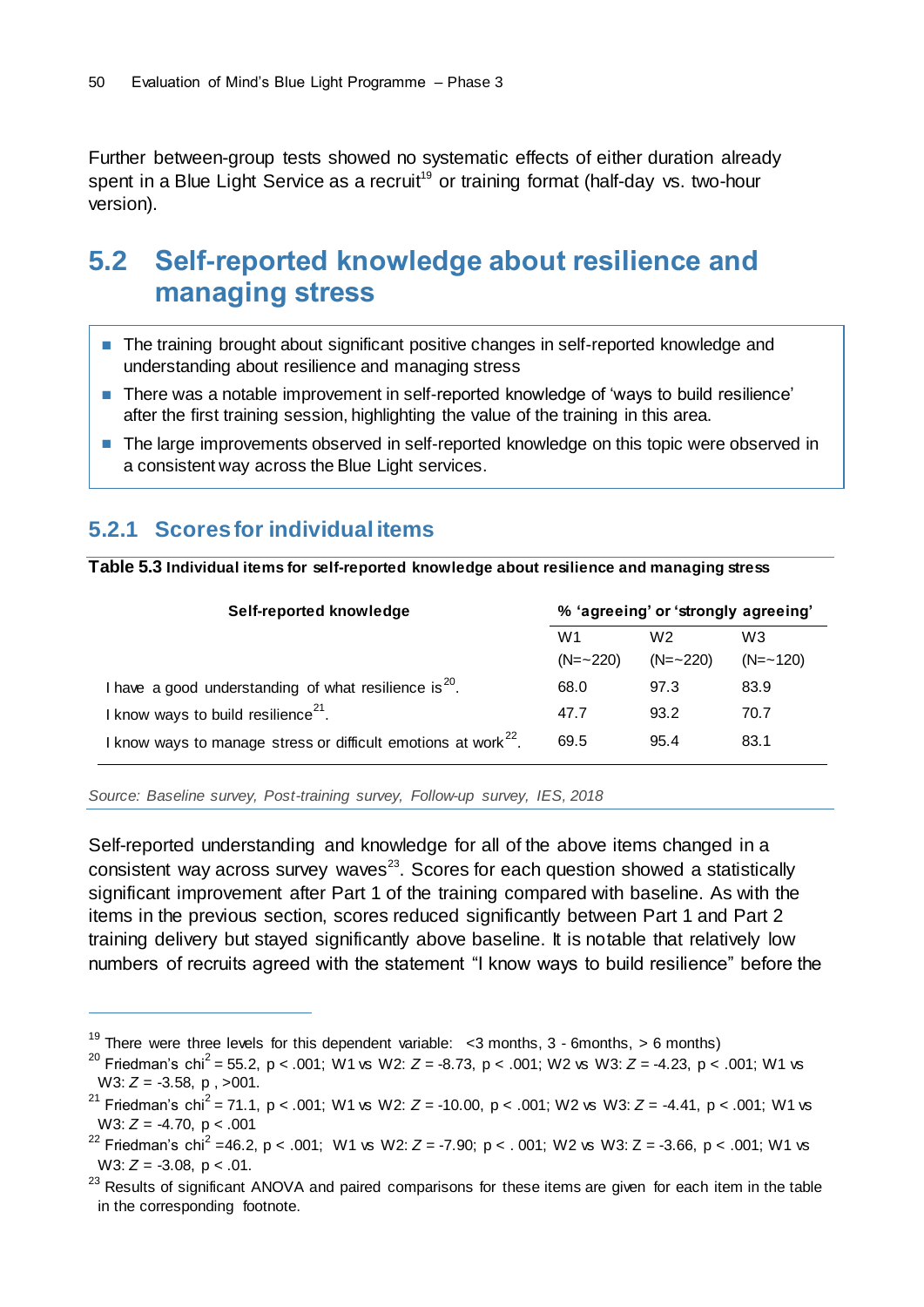Further between-group tests showed no systematic effects of either duration already spent in a Blue Light Service as a recruit<sup>19</sup> or training format (half-day vs. two-hour version).

## **5.2 Self-reported knowledge about resilience and managing stress**

- The training brought about significant positive changes in self-reported knowledge and understanding about resilience and managing stress
- There was a notable improvement in self-reported knowledge of 'ways to build resilience' after the first training session, highlighting the value of the training in this area.
- The large improvements observed in self-reported knowledge on this topic were observed in a consistent way across the Blue Light services.

### **5.2.1 Scores for individual items**

 $\overline{a}$ 

**Table 5.3 Individual items for self-reported knowledge about resilience and managing stress**

| Self-reported knowledge                                                    | % 'agreeing' or 'strongly agreeing' |             |                |
|----------------------------------------------------------------------------|-------------------------------------|-------------|----------------|
|                                                                            | W <sub>1</sub>                      | W2          | W <sub>3</sub> |
|                                                                            | $(N = 220)$                         | $(N = 220)$ | $(N = -120)$   |
| I have a good understanding of what resilience is $20$ .                   | 68.0                                | 97.3        | 83.9           |
| I know ways to build resilience <sup>21</sup> .                            | 47.7                                | 93.2        | 70.7           |
| I know ways to manage stress or difficult emotions at work <sup>22</sup> . | 69.5                                | 95.4        | 83.1           |

*Source: Baseline survey, Post-training survey, Follow-up survey, IES, 2018*

Self-reported understanding and knowledge for all of the above items changed in a consistent way across survey waves $^{23}$ . Scores for each question showed a statistically significant improvement after Part 1 of the training compared with baseline. As with the items in the previous section, scores reduced significantly between Part 1 and Part 2 training delivery but stayed significantly above baseline. It is notable that relatively low numbers of recruits agreed with the statement "I know ways to build resilience" before the

<sup>&</sup>lt;sup>19</sup> There were three levels for this dependent variable:  $\lt$ 3 months, 3 - 6months, > 6 months)

<sup>20</sup> Friedman's chi<sup>2</sup> = 55.2, p < .001; W1 vs W2: *Z* = -8.73, p < .001; W2 vs W3: *Z* = -4.23, p < .001; W1 vs W3: *Z* = -3.58, p , >001.

<sup>21</sup> Friedman's chi<sup>2</sup> = 71.1, p < .001; W1 vs W2: *Z* = -10.00, p < .001; W2 vs W3: *Z* = -4.41, p < .001; W1 vs W3: *Z* = -4.70, p < .001

<sup>&</sup>lt;sup>22</sup> Friedman's chi<sup>2</sup> = 46.2, p < .001; W1 vs W2:  $Z$  = -7.90; p < .001; W2 vs W3: Z = -3.66, p < .001; W1 vs W3: *Z* = -3.08, p < .01.

<sup>&</sup>lt;sup>23</sup> Results of significant ANOVA and paired comparisons for these items are given for each item in the table in the corresponding footnote.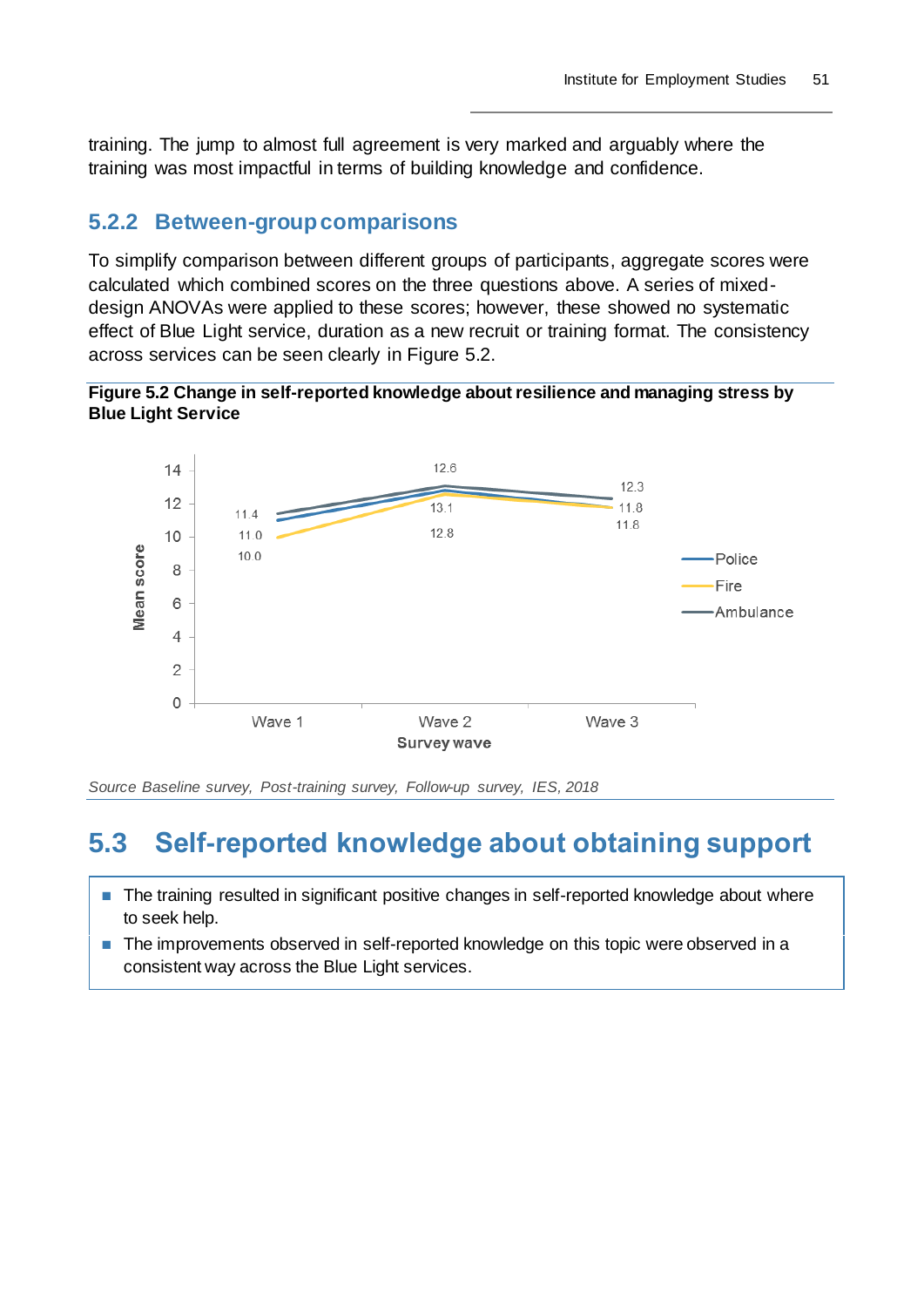training. The jump to almost full agreement is very marked and arguably where the training was most impactful in terms of building knowledge and confidence.

### **5.2.2 Between-group comparisons**

To simplify comparison between different groups of participants, aggregate scores were calculated which combined scores on the three questions above. A series of mixeddesign ANOVAs were applied to these scores; however, these showed no systematic effect of Blue Light service, duration as a new recruit or training format. The consistency across services can be seen clearly in Figure 5.2.

**Figure 5.2 Change in self-reported knowledge about resilience and managing stress by Blue Light Service**



*Source Baseline survey, Post-training survey, Follow-up survey, IES, 2018*

## **5.3 Self-reported knowledge about obtaining support**

- The training resulted in significant positive changes in self-reported knowledge about where to seek help.
- The improvements observed in self-reported knowledge on this topic were observed in a consistent way across the Blue Light services.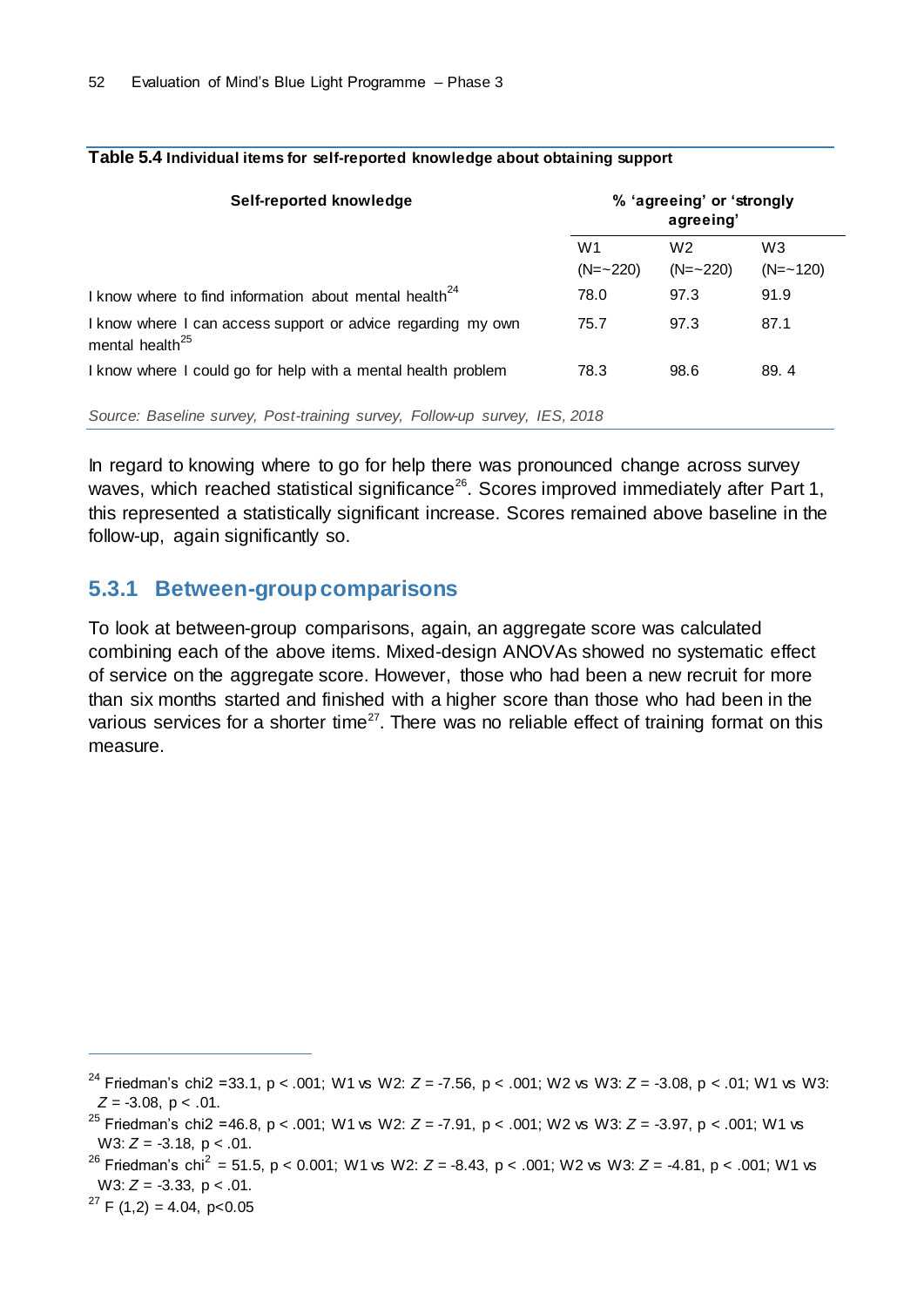| Self-reported knowledge                                                                     | % 'agreeing' or 'strongly<br>agreeing' |                               |                                |
|---------------------------------------------------------------------------------------------|----------------------------------------|-------------------------------|--------------------------------|
|                                                                                             | W1<br>$(N = 220)$                      | W <sub>2</sub><br>$(N = 220)$ | W <sub>3</sub><br>$(N = -120)$ |
| I know where to find information about mental health <sup>24</sup>                          | 78.0                                   | 97.3                          | 91.9                           |
| I know where I can access support or advice regarding my own<br>mental health <sup>25</sup> | 75.7                                   | 97.3                          | 87.1                           |
| I know where I could go for help with a mental health problem                               | 78.3                                   | 98.6                          | 89.4                           |
| Source: Baseline survey, Post-training survey, Follow-up survey, IES, 2018                  |                                        |                               |                                |

#### **Table 5.4 Individual items for self-reported knowledge about obtaining support**

In regard to knowing where to go for help there was pronounced change across survey waves, which reached statistical significance<sup>26</sup>. Scores improved immediately after Part 1, this represented a statistically significant increase. Scores remained above baseline in the follow-up, again significantly so.

### **5.3.1 Between-group comparisons**

To look at between-group comparisons, again, an aggregate score was calculated combining each of the above items. Mixed-design ANOVAs showed no systematic effect of service on the aggregate score. However, those who had been a new recruit for more than six months started and finished with a higher score than those who had been in the various services for a shorter time<sup>27</sup>. There was no reliable effect of training format on this measure.

<sup>27</sup> F (1,2) = 4.04, p < 0.05

<sup>24</sup> Friedman's chi2 =33.1, p < .001; W1 vs W2: *Z* = -7.56, p < .001; W2 vs W3: *Z* = -3.08, p < .01; W1 vs W3: *Z* = -3.08, p < .01.

<sup>25</sup> Friedman's chi2 =46.8, p < .001; W1 vs W2: *Z* = -7.91, p < .001; W2 vs W3: *Z* = -3.97, p < .001; W1 vs W3: *Z* = -3.18, p < .01.

<sup>26</sup> Friedman's chi<sup>2</sup> = 51.5, p < 0.001; W1 vs W2: *Z* = -8.43, p < .001; W2 vs W3: *Z* = -4.81, p < .001; W1 vs W3: *Z* = -3.33, p < .01.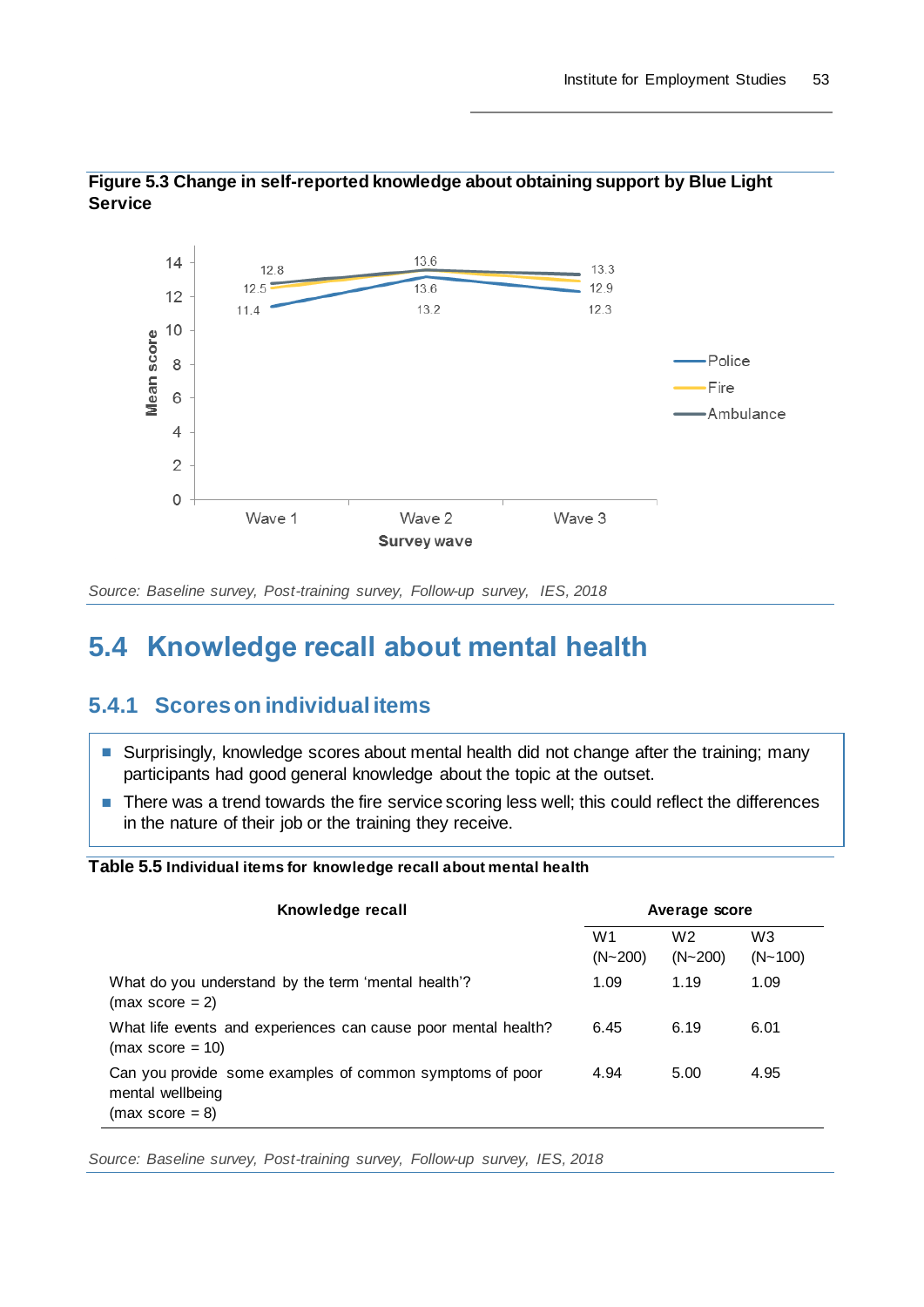

**Figure 5.3 Change in self-reported knowledge about obtaining support by Blue Light Service**

*Source: Baseline survey, Post-training survey, Follow-up survey, IES, 2018*

## **5.4 Knowledge recall about mental health**

### **5.4.1 Scores on individual items**

- Surprisingly, knowledge scores about mental health did not change after the training; many participants had good general knowledge about the topic at the outset.
- There was a trend towards the fire service scoring less well; this could reflect the differences in the nature of their job or the training they receive.

#### **Table 5.5 Individual items for knowledge recall about mental health**

| Knowledge recall                                                                                  | Average score                 |                               |                               |
|---------------------------------------------------------------------------------------------------|-------------------------------|-------------------------------|-------------------------------|
|                                                                                                   | W <sub>1</sub><br>$(N - 200)$ | W <sub>2</sub><br>$(N - 200)$ | W <sub>3</sub><br>$(N - 100)$ |
| What do you understand by the term 'mental health'?<br>$(max score = 2)$                          | 1.09                          | 1.19                          | 1.09                          |
| What life events and experiences can cause poor mental health?<br>$(max score = 10)$              | 6.45                          | 6.19                          | 6.01                          |
| Can you provide some examples of common symptoms of poor<br>mental wellbeing<br>$(max score = 8)$ | 4.94                          | 5.00                          | 4.95                          |

*Source: Baseline survey, Post-training survey, Follow-up survey, IES, 2018*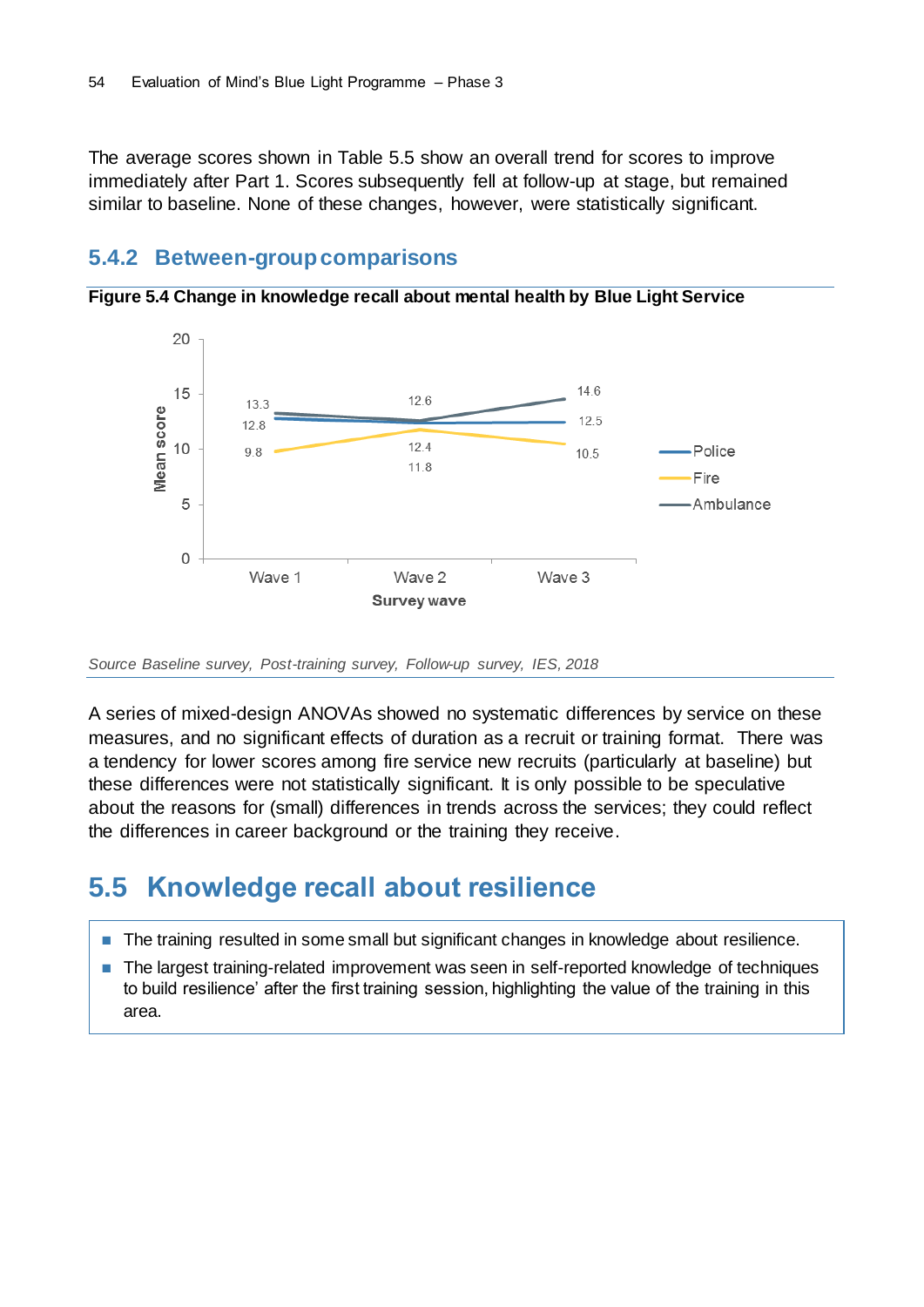The average scores shown in Table 5.5 show an overall trend for scores to improve immediately after Part 1. Scores subsequently fell at follow-up at stage, but remained similar to baseline. None of these changes, however, were statistically significant.

### **5.4.2 Between-group comparisons**



**Figure 5.4 Change in knowledge recall about mental health by Blue Light Service**

*Source Baseline survey, Post-training survey, Follow-up survey, IES, 2018*

A series of mixed-design ANOVAs showed no systematic differences by service on these measures, and no significant effects of duration as a recruit or training format. There was a tendency for lower scores among fire service new recruits (particularly at baseline) but these differences were not statistically significant. It is only possible to be speculative about the reasons for (small) differences in trends across the services; they could reflect the differences in career background or the training they receive.

## **5.5 Knowledge recall about resilience**

- The training resulted in some small but significant changes in knowledge about resilience.
- The largest training-related improvement was seen in self-reported knowledge of techniques to build resilience' after the first training session, highlighting the value of the training in this area.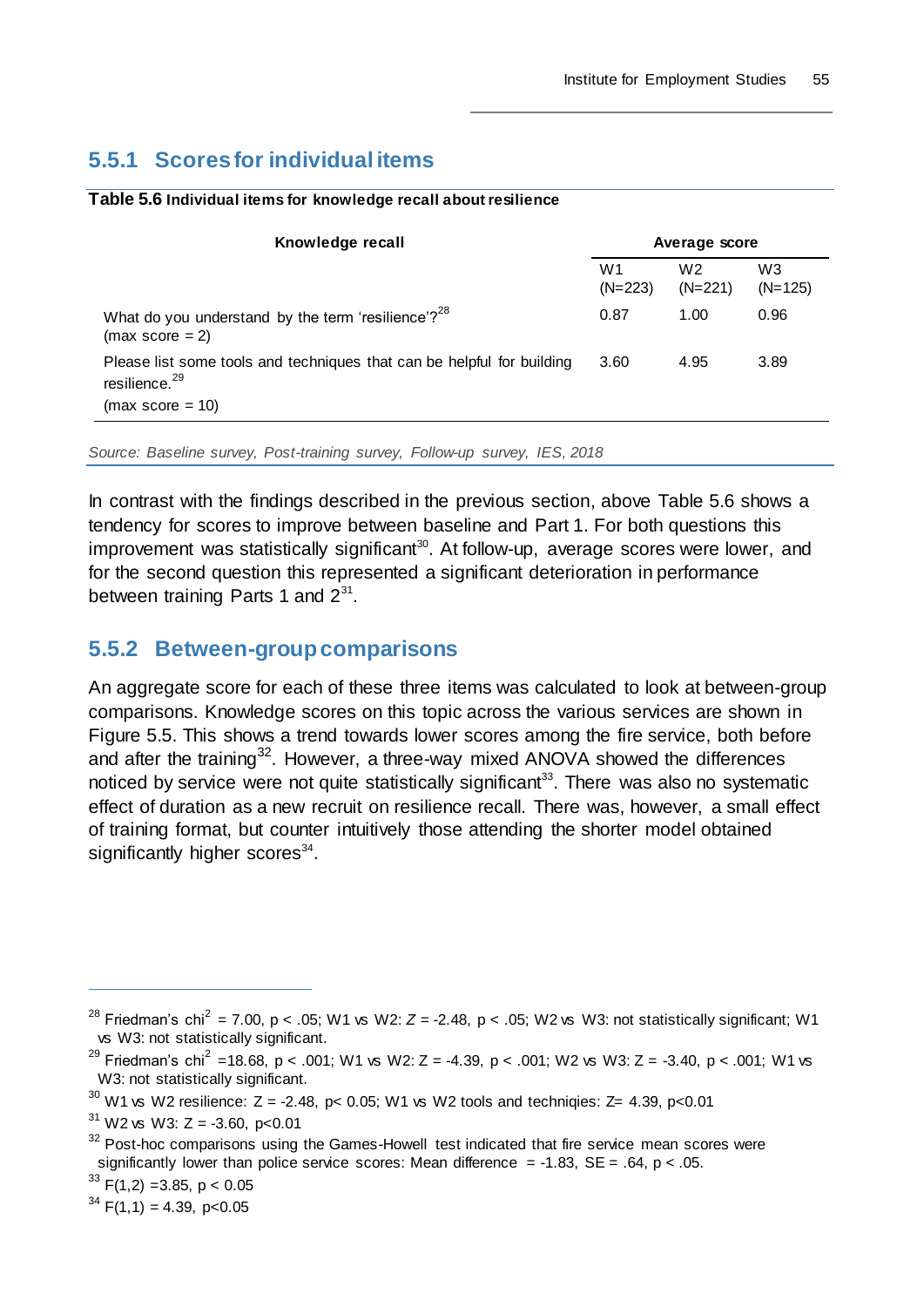## **5.5.1 Scores for individual items**

#### **Table 5.6 Individual items for knowledge recall about resilience**

| Knowledge recall                                                                                    |                             | Average score               |                             |  |
|-----------------------------------------------------------------------------------------------------|-----------------------------|-----------------------------|-----------------------------|--|
|                                                                                                     | W <sub>1</sub><br>$(N=223)$ | W <sub>2</sub><br>$(N=221)$ | W <sub>3</sub><br>$(N=125)$ |  |
| What do you understand by the term 'resilience'? <sup>28</sup><br>$(max score = 2)$                 | 0.87                        | 1.00                        | 0.96                        |  |
| Please list some tools and techniques that can be helpful for building<br>resilience. <sup>29</sup> | 3.60                        | 4.95                        | 3.89                        |  |
| $(max score = 10)$                                                                                  |                             |                             |                             |  |

*Source: Baseline survey, Post-training survey, Follow-up survey, IES, 2018*

In contrast with the findings described in the previous section, above Table 5.6 shows a tendency for scores to improve between baseline and Part 1. For both questions this improvement was statistically significant<sup>30</sup>. At follow-up, average scores were lower, and for the second question this represented a significant deterioration in performance between training Parts 1 and  $2^{31}$ .

### **5.5.2 Between-group comparisons**

An aggregate score for each of these three items was calculated to look at between-group comparisons. Knowledge scores on this topic across the various services are shown in Figure 5.5. This shows a trend towards lower scores among the fire service, both before and after the training<sup>32</sup>. However, a three-way mixed ANOVA showed the differences noticed by service were not quite statistically significant<sup>33</sup>. There was also no systematic effect of duration as a new recruit on resilience recall. There was, however, a small effect of training format, but counter intuitively those attending the shorter model obtained significantly higher scores<sup>34</sup>.

 $33$  F(1,2) = 3.85, p < 0.05

 $\overline{a}$ 

 $34$  F(1,1) = 4.39, p<0.05

<sup>&</sup>lt;sup>28</sup> Friedman's chi<sup>2</sup> = 7.00, p < .05; W1 vs W2:  $Z$  = -2.48, p < .05; W2 vs W3: not statistically significant; W1 vs W3: not statistically significant.

<sup>&</sup>lt;sup>29</sup> Friedman's chi<sup>2</sup> = 18.68, p < .001; W1 vs W2: Z = -4.39, p < .001; W2 vs W3: Z = -3.40, p < .001; W1 vs W3: not statistically significant.

 $30$  W1 vs W2 resilience: Z = -2.48, p< 0.05; W1 vs W2 tools and techniqies: Z= 4.39, p<0.01

 $31$  W2 vs W3: Z = -3.60, p<0.01

 $32$  Post-hoc comparisons using the Games-Howell test indicated that fire service mean scores were significantly lower than police service scores: Mean difference = -1.83,  $SE = .64$ ,  $p < .05$ .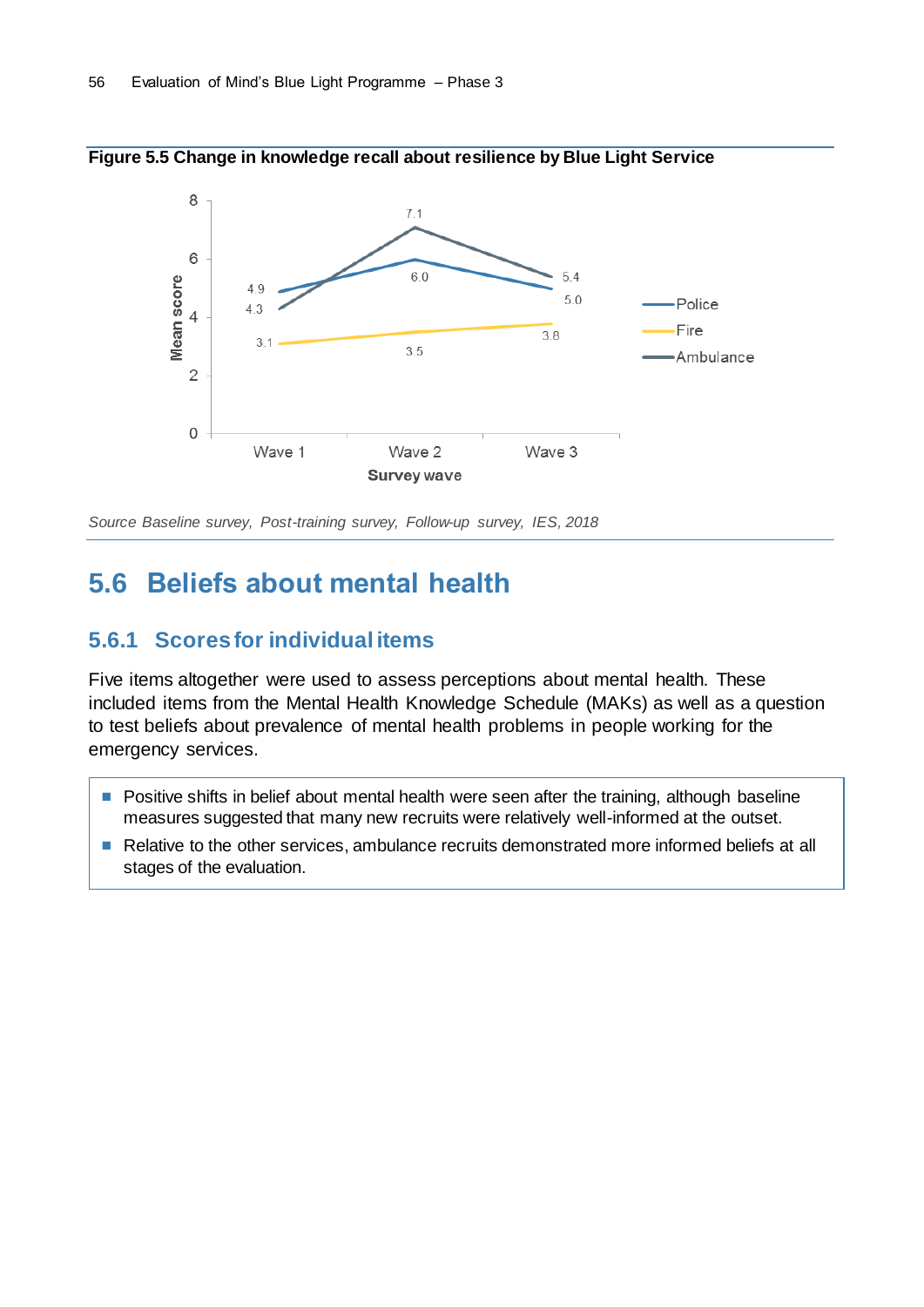

**Figure 5.5 Change in knowledge recall about resilience by Blue Light Service**

## **5.6 Beliefs about mental health**

### **5.6.1 Scores for individual items**

Five items altogether were used to assess perceptions about mental health. These included items from the Mental Health Knowledge Schedule (MAKs) as well as a question to test beliefs about prevalence of mental health problems in people working for the emergency services.

- Positive shifts in belief about mental health were seen after the training, although baseline measures suggested that many new recruits were relatively well-informed at the outset.
- Relative to the other services, ambulance recruits demonstrated more informed beliefs at all stages of the evaluation.

*Source Baseline survey, Post-training survey, Follow-up survey, IES, 2018*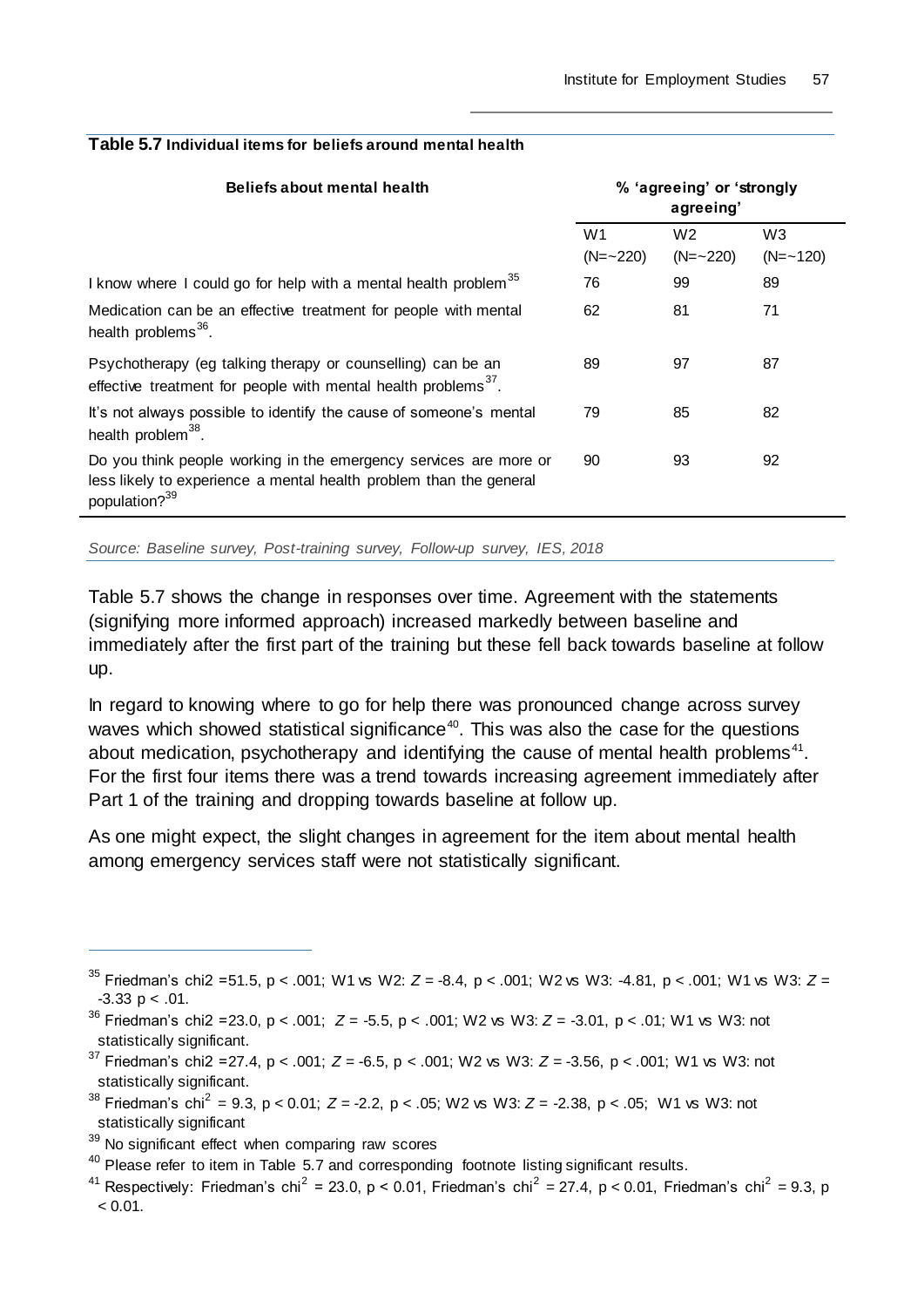| <b>Beliefs about mental health</b>                                                                                                                                   | % 'agreeing' or 'strongly<br>agreeing' |                |                |
|----------------------------------------------------------------------------------------------------------------------------------------------------------------------|----------------------------------------|----------------|----------------|
|                                                                                                                                                                      | W <sub>1</sub>                         | W <sub>2</sub> | W <sub>3</sub> |
|                                                                                                                                                                      | $(N = 220)$                            | $(N = 220)$    | $(N = -120)$   |
| I know where I could go for help with a mental health problem <sup>35</sup>                                                                                          | 76                                     | 99             | 89             |
| Medication can be an effective treatment for people with mental<br>health problems <sup>36</sup> .                                                                   | 62                                     | 81             | 71             |
| Psychotherapy (eg talking therapy or counselling) can be an<br>effective treatment for people with mental health problems <sup>37</sup> .                            | 89                                     | 97             | 87             |
| It's not always possible to identify the cause of someone's mental<br>health problem <sup>38</sup> .                                                                 | 79                                     | 85             | 82             |
| Do you think people working in the emergency services are more or<br>less likely to experience a mental health problem than the general<br>population? <sup>39</sup> | 90                                     | 93             | 92             |
|                                                                                                                                                                      |                                        |                |                |

#### **Table 5.7 Individual items for beliefs around mental health**

*Source: Baseline survey, Post-training survey, Follow-up survey, IES, 2018*

Table 5.7 shows the change in responses over time. Agreement with the statements (signifying more informed approach) increased markedly between baseline and immediately after the first part of the training but these fell back towards baseline at follow up.

In regard to knowing where to go for help there was pronounced change across survey waves which showed statistical significance<sup>40</sup>. This was also the case for the questions about medication, psychotherapy and identifying the cause of mental health problems $41$ . For the first four items there was a trend towards increasing agreement immediately after Part 1 of the training and dropping towards baseline at follow up.

As one might expect, the slight changes in agreement for the item about mental health among emergency services staff were not statistically significant.

<sup>38</sup> Friedman's chi<sup>2</sup> = 9.3, p < 0.01;  $Z = -2.2$ , p < .05; W2 vs W3:  $Z = -2.38$ , p < .05; W1 vs W3: not statistically significant

<sup>35</sup> Friedman's chi2 =51.5, p < .001; W1 vs W2: *Z* = -8.4, p < .001; W2 vs W3: -4.81, p < .001; W1 vs W3: *Z* =  $-3.33$  p < .01.

<sup>&</sup>lt;sup>36</sup> Friedman's chi2 = 23.0, p < .001;  $Z = -5.5$ , p < .001; W2 vs W3:  $Z = -3.01$ , p < .01; W1 vs W3: not statistically significant.

<sup>&</sup>lt;sup>37</sup> Friedman's chi2 = 27.4, p < .001;  $Z = -6.5$ , p < .001; W2 vs W3:  $Z = -3.56$ , p < .001; W1 vs W3: not statistically significant.

 $39$  No significant effect when comparing raw scores

 $40$  Please refer to item in Table 5.7 and corresponding footnote listing significant results.

<sup>&</sup>lt;sup>41</sup> Respectively: Friedman's chi<sup>2</sup> = 23.0, p < 0.01, Friedman's chi<sup>2</sup> = 27.4, p < 0.01, Friedman's chi<sup>2</sup> = 9.3, p  $< 0.01$ .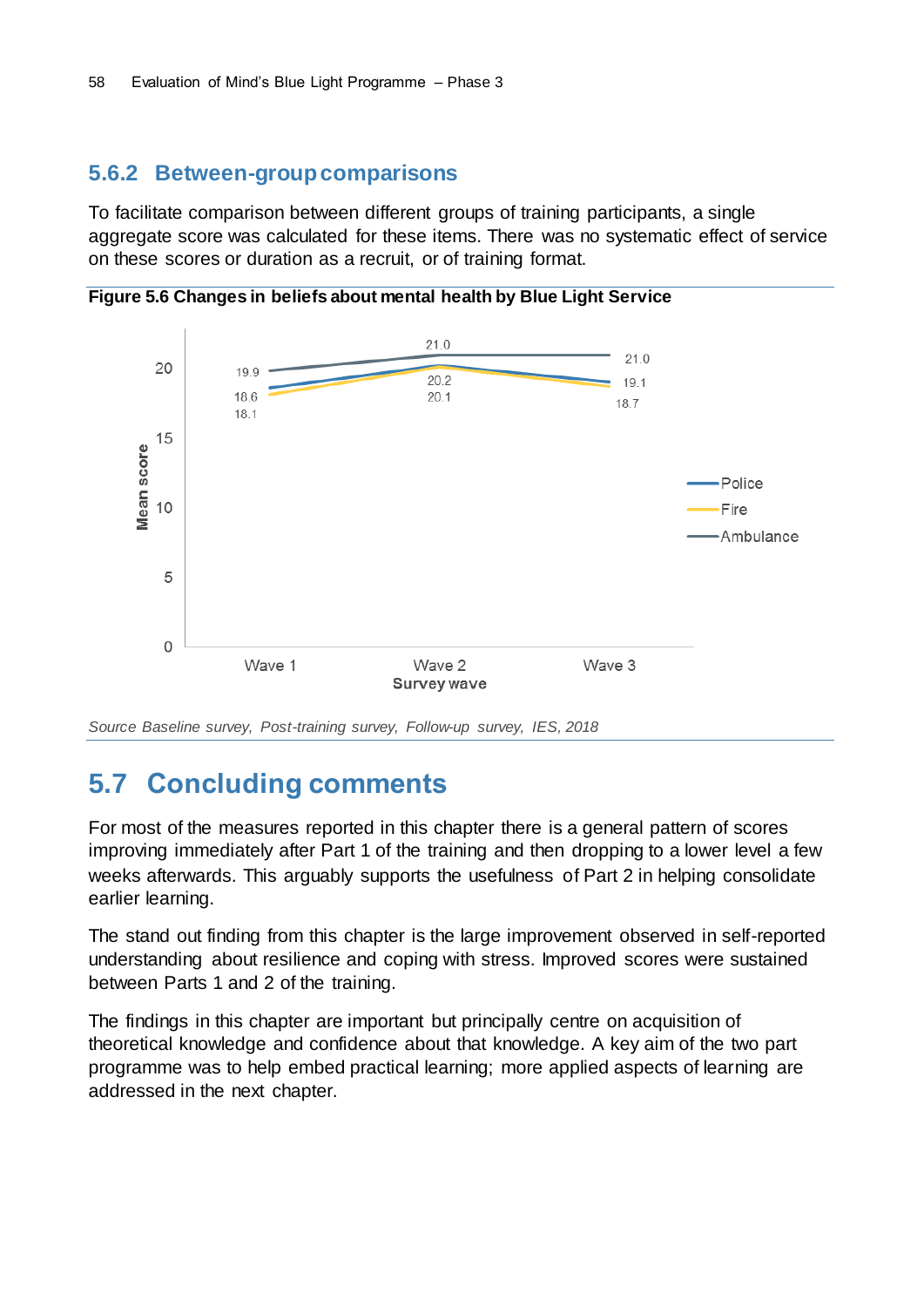### **5.6.2 Between-group comparisons**

To facilitate comparison between different groups of training participants, a single aggregate score was calculated for these items. There was no systematic effect of service on these scores or duration as a recruit, or of training format.

**Figure 5.6 Changes in beliefs about mental health by Blue Light Service**



*Source Baseline survey, Post-training survey, Follow-up survey, IES, 2018*

## **5.7 Concluding comments**

For most of the measures reported in this chapter there is a general pattern of scores improving immediately after Part 1 of the training and then dropping to a lower level a few weeks afterwards. This arguably supports the usefulness of Part 2 in helping consolidate earlier learning.

The stand out finding from this chapter is the large improvement observed in self-reported understanding about resilience and coping with stress. Improved scores were sustained between Parts 1 and 2 of the training.

The findings in this chapter are important but principally centre on acquisition of theoretical knowledge and confidence about that knowledge. A key aim of the two part programme was to help embed practical learning; more applied aspects of learning are addressed in the next chapter.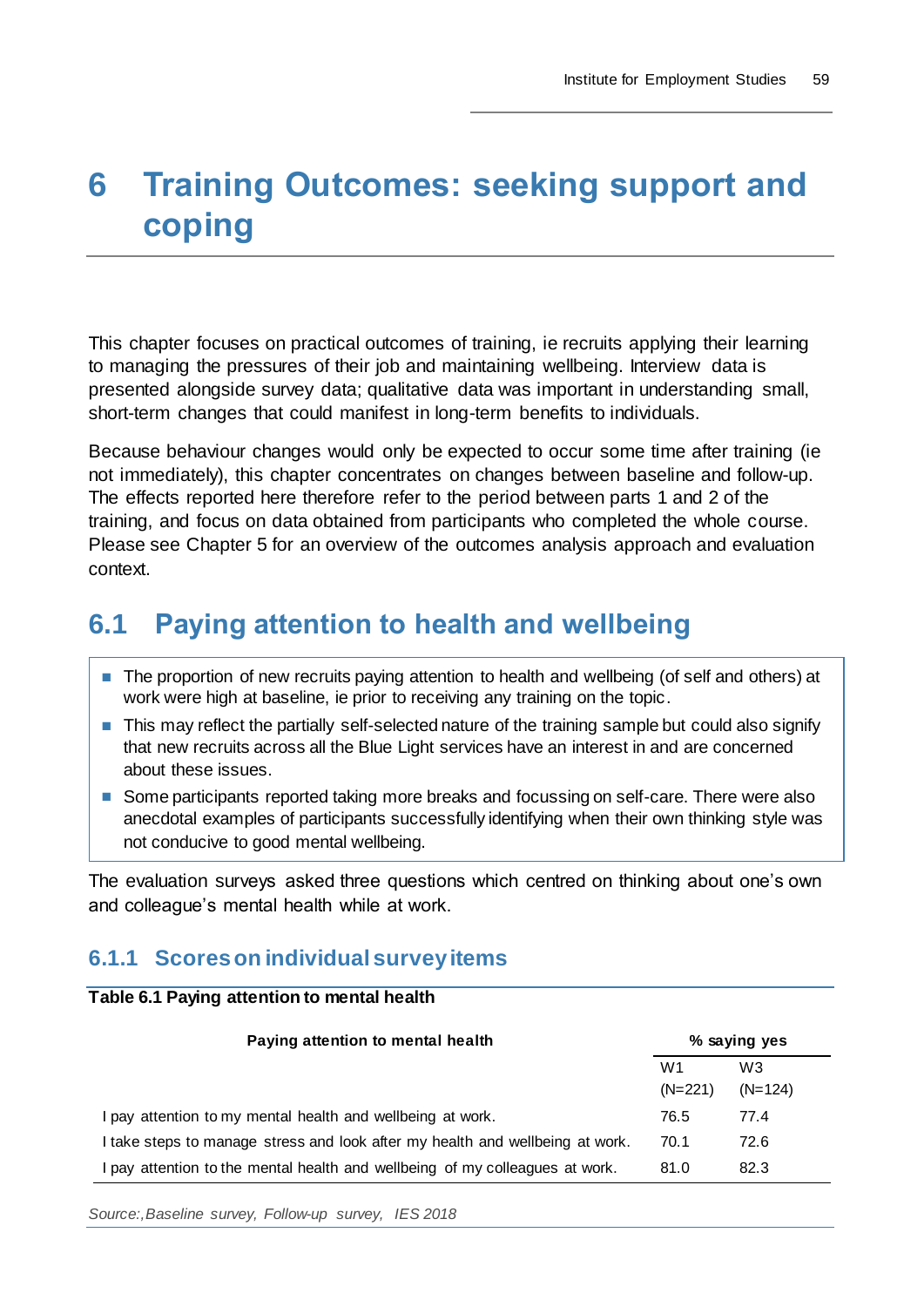# **6 Training Outcomes: seeking support and coping**

This chapter focuses on practical outcomes of training, ie recruits applying their learning to managing the pressures of their job and maintaining wellbeing. Interview data is presented alongside survey data; qualitative data was important in understanding small, short-term changes that could manifest in long-term benefits to individuals.

Because behaviour changes would only be expected to occur some time after training (ie not immediately), this chapter concentrates on changes between baseline and follow-up. The effects reported here therefore refer to the period between parts 1 and 2 of the training, and focus on data obtained from participants who completed the whole course. Please see Chapter 5 for an overview of the outcomes analysis approach and evaluation context.

## **6.1 Paying attention to health and wellbeing**

- The proportion of new recruits paying attention to health and wellbeing (of self and others) at work were high at baseline, ie prior to receiving any training on the topic.
- This may reflect the partially self-selected nature of the training sample but could also signify that new recruits across all the Blue Light services have an interest in and are concerned about these issues.
- Some participants reported taking more breaks and focussing on self-care. There were also anecdotal examples of participants successfully identifying when their own thinking style was not conducive to good mental wellbeing.

The evaluation surveys asked three questions which centred on thinking about one's own and colleague's mental health while at work.

## **6.1.1 Scores on individual survey items**

#### **Table 6.1 Paying attention to mental health**

| Paying attention to mental health                                             |           | % saying yes   |  |
|-------------------------------------------------------------------------------|-----------|----------------|--|
|                                                                               | W1        | W <sub>3</sub> |  |
|                                                                               | $(N=221)$ | $(N=124)$      |  |
| I pay attention to my mental health and wellbeing at work.                    | 76.5      | 77.4           |  |
| I take steps to manage stress and look after my health and wellbeing at work. | 70.1      | 72.6           |  |
| I pay attention to the mental health and wellbeing of my colleagues at work.  | 81.0      | 82.3           |  |

*Source:,Baseline survey, Follow-up survey, IES 2018*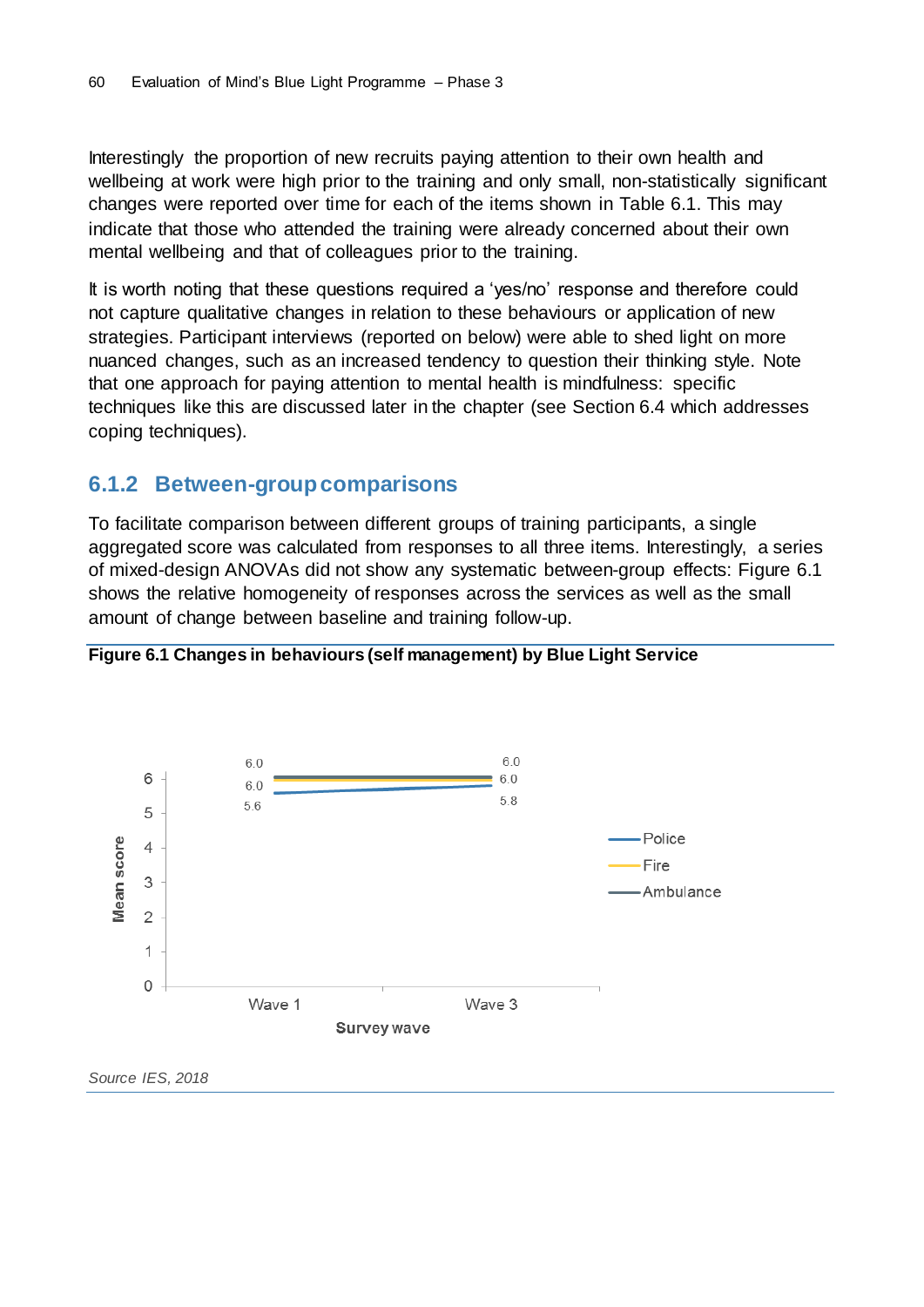Interestingly the proportion of new recruits paying attention to their own health and wellbeing at work were high prior to the training and only small, non-statistically significant changes were reported over time for each of the items shown in Table 6.1. This may indicate that those who attended the training were already concerned about their own mental wellbeing and that of colleagues prior to the training.

It is worth noting that these questions required a 'yes/no' response and therefore could not capture qualitative changes in relation to these behaviours or application of new strategies. Participant interviews (reported on below) were able to shed light on more nuanced changes, such as an increased tendency to question their thinking style. Note that one approach for paying attention to mental health is mindfulness: specific techniques like this are discussed later in the chapter (see Section 6.4 which addresses coping techniques).

### **6.1.2 Between-group comparisons**

To facilitate comparison between different groups of training participants, a single aggregated score was calculated from responses to all three items. Interestingly, a series of mixed-design ANOVAs did not show any systematic between-group effects: Figure 6.1 shows the relative homogeneity of responses across the services as well as the small amount of change between baseline and training follow-up.



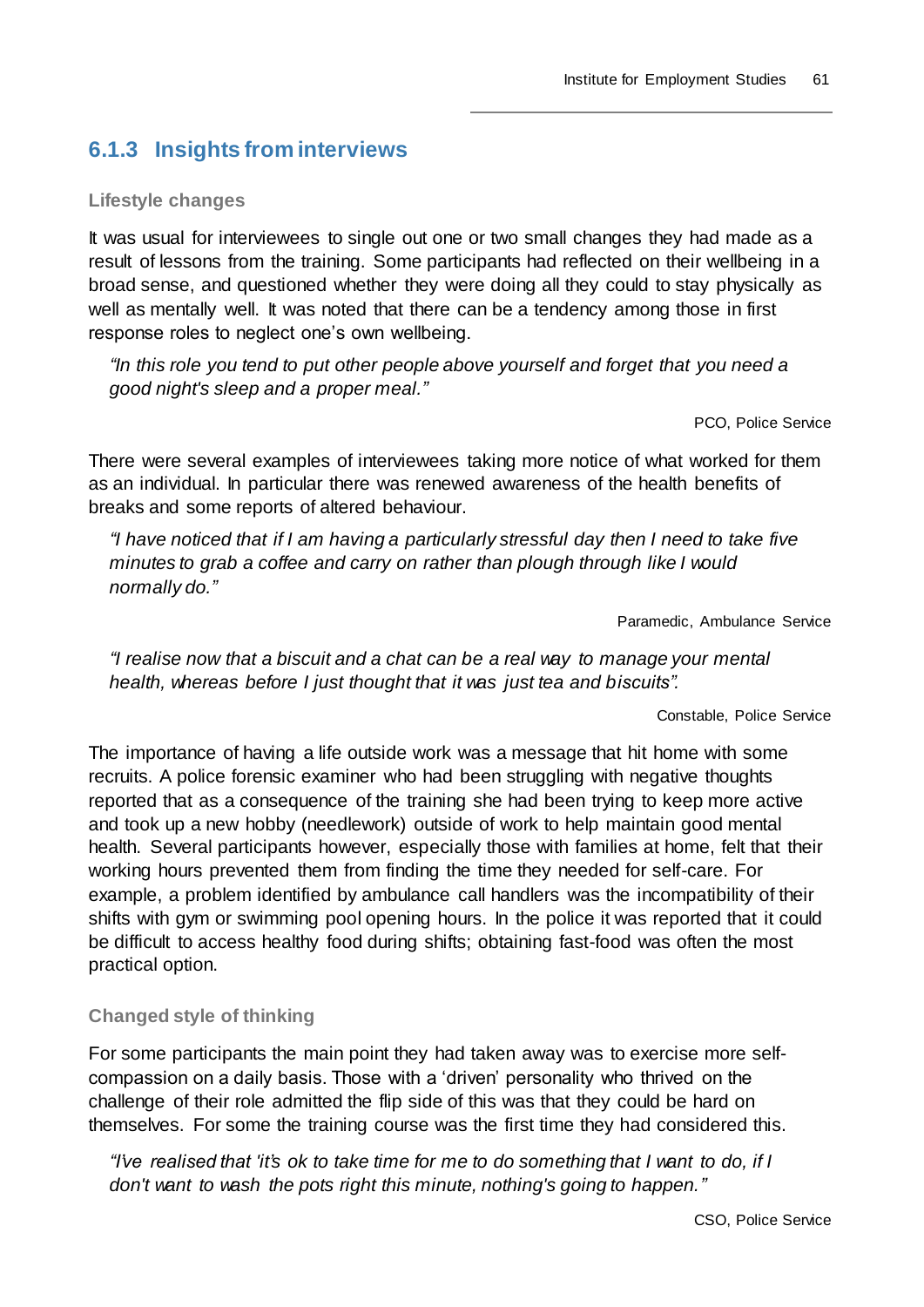## **6.1.3 Insights from interviews**

#### **Lifestyle changes**

It was usual for interviewees to single out one or two small changes they had made as a result of lessons from the training. Some participants had reflected on their wellbeing in a broad sense, and questioned whether they were doing all they could to stay physically as well as mentally well. It was noted that there can be a tendency among those in first response roles to neglect one's own wellbeing.

*"In this role you tend to put other people above yourself and forget that you need a good night's sleep and a proper meal."*

PCO, Police Service

There were several examples of interviewees taking more notice of what worked for them as an individual. In particular there was renewed awareness of the health benefits of breaks and some reports of altered behaviour.

*"I have noticed that if I am having a particularly stressful day then I need to take five minutes to grab a coffee and carry on rather than plough through like I would normally do."*

Paramedic, Ambulance Service

*"I realise now that a biscuit and a chat can be a real way to manage your mental health, whereas before I just thought that it was just tea and biscuits".*

Constable, Police Service

The importance of having a life outside work was a message that hit home with some recruits. A police forensic examiner who had been struggling with negative thoughts reported that as a consequence of the training she had been trying to keep more active and took up a new hobby (needlework) outside of work to help maintain good mental health. Several participants however, especially those with families at home, felt that their working hours prevented them from finding the time they needed for self-care. For example, a problem identified by ambulance call handlers was the incompatibility of their shifts with gym or swimming pool opening hours. In the police it was reported that it could be difficult to access healthy food during shifts; obtaining fast-food was often the most practical option.

#### **Changed style of thinking**

For some participants the main point they had taken away was to exercise more selfcompassion on a daily basis. Those with a 'driven' personality who thrived on the challenge of their role admitted the flip side of this was that they could be hard on themselves. For some the training course was the first time they had considered this.

*"I've realised that 'it's ok to take time for me to do something that I want to do, if I don't want to wash the pots right this minute, nothing's going to happen."*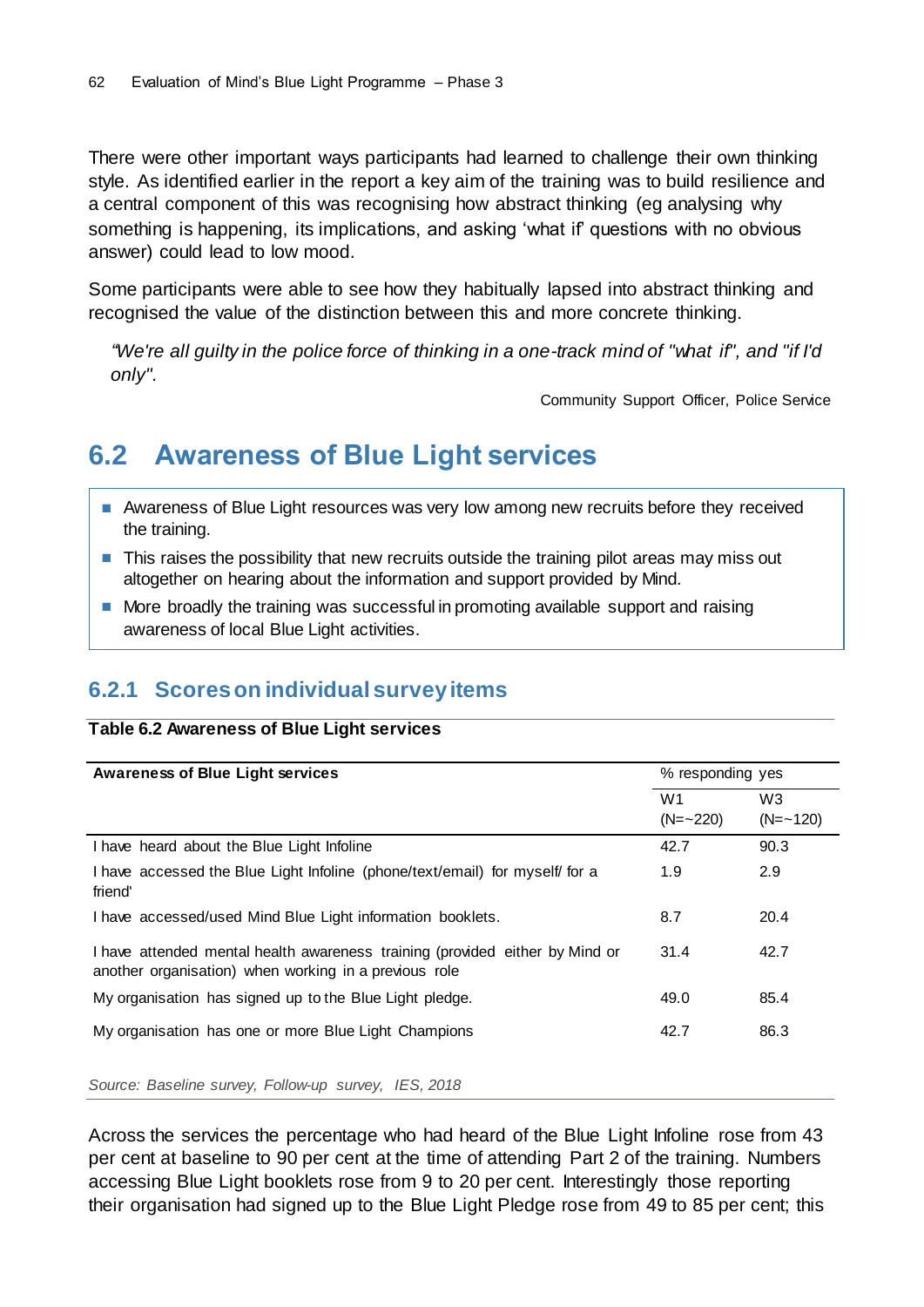There were other important ways participants had learned to challenge their own thinking style. As identified earlier in the report a key aim of the training was to build resilience and a central component of this was recognising how abstract thinking (eg analysing why something is happening, its implications, and asking 'what if' questions with no obvious answer) could lead to low mood.

Some participants were able to see how they habitually lapsed into abstract thinking and recognised the value of the distinction between this and more concrete thinking.

*"We're all guilty in the police force of thinking in a one-track mind of "what if", and "if I'd only".*

Community Support Officer, Police Service

## **6.2 Awareness of Blue Light services**

- Awareness of Blue Light resources was very low among new recruits before they received the training.
- This raises the possibility that new recruits outside the training pilot areas may miss out altogether on hearing about the information and support provided by Mind.
- More broadly the training was successful in promoting available support and raising awareness of local Blue Light activities.

### **6.2.1 Scores on individual survey items**

#### **Table 6.2 Awareness of Blue Light services**

| <b>Awareness of Blue Light services</b>                                                                                               | % responding yes              |                                |
|---------------------------------------------------------------------------------------------------------------------------------------|-------------------------------|--------------------------------|
|                                                                                                                                       | W <sub>1</sub><br>$(N = 220)$ | W <sub>3</sub><br>$(N = -120)$ |
| I have heard about the Blue Light Infoline                                                                                            | 42.7                          | 90.3                           |
| I have accessed the Blue Light Infoline (phone/text/email) for myself/ for a<br>friend'                                               | 1.9                           | 2.9                            |
| I have accessed/used Mind Blue Light information booklets.                                                                            | 8.7                           | 20.4                           |
| I have attended mental health awareness training (provided either by Mind or<br>another organisation) when working in a previous role | 31.4                          | 42.7                           |
| My organisation has signed up to the Blue Light pledge.                                                                               | 49.0                          | 85.4                           |
| My organisation has one or more Blue Light Champions                                                                                  | 42.7                          | 86.3                           |

*Source: Baseline survey, Follow-up survey, IES, 2018*

Across the services the percentage who had heard of the Blue Light Infoline rose from 43 per cent at baseline to 90 per cent at the time of attending Part 2 of the training. Numbers accessing Blue Light booklets rose from 9 to 20 per cent. Interestingly those reporting their organisation had signed up to the Blue Light Pledge rose from 49 to 85 per cent; this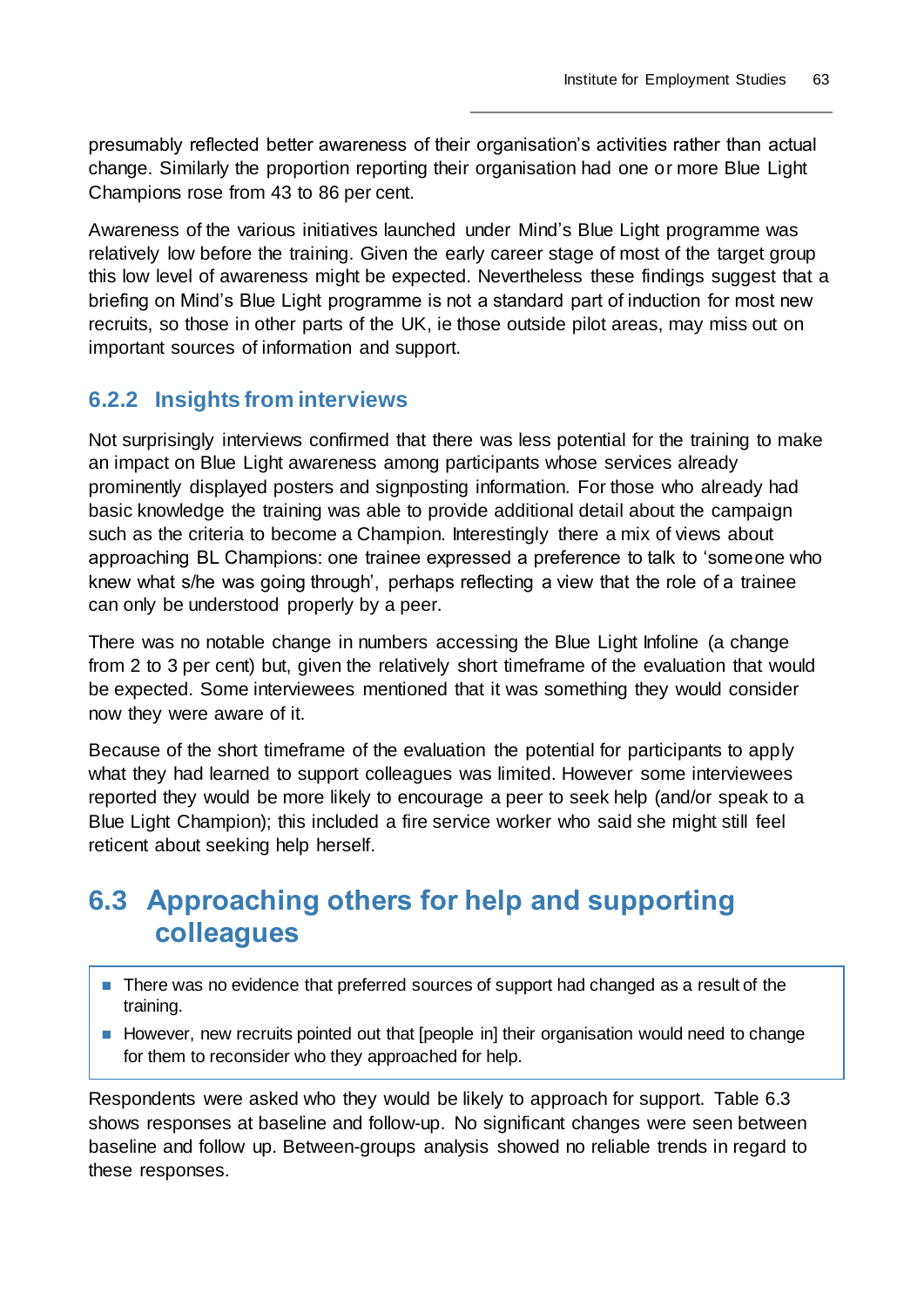presumably reflected better awareness of their organisation's activities rather than actual change. Similarly the proportion reporting their organisation had one or more Blue Light Champions rose from 43 to 86 per cent.

Awareness of the various initiatives launched under Mind's Blue Light programme was relatively low before the training. Given the early career stage of most of the target group this low level of awareness might be expected. Nevertheless these findings suggest that a briefing on Mind's Blue Light programme is not a standard part of induction for most new recruits, so those in other parts of the UK, ie those outside pilot areas, may miss out on important sources of information and support.

## **6.2.2 Insights from interviews**

Not surprisingly interviews confirmed that there was less potential for the training to make an impact on Blue Light awareness among participants whose services already prominently displayed posters and signposting information. For those who already had basic knowledge the training was able to provide additional detail about the campaign such as the criteria to become a Champion. Interestingly there a mix of views about approaching BL Champions: one trainee expressed a preference to talk to 'someone who knew what s/he was going through', perhaps reflecting a view that the role of a trainee can only be understood properly by a peer.

There was no notable change in numbers accessing the Blue Light Infoline (a change from 2 to 3 per cent) but, given the relatively short timeframe of the evaluation that would be expected. Some interviewees mentioned that it was something they would consider now they were aware of it.

Because of the short timeframe of the evaluation the potential for participants to apply what they had learned to support colleagues was limited. However some interviewees reported they would be more likely to encourage a peer to seek help (and/or speak to a Blue Light Champion); this included a fire service worker who said she might still feel reticent about seeking help herself.

## **6.3 Approaching others for help and supporting colleagues**

- There was no evidence that preferred sources of support had changed as a result of the training.
- However, new recruits pointed out that [people in] their organisation would need to change for them to reconsider who they approached for help.

Respondents were asked who they would be likely to approach for support. Table 6.3 shows responses at baseline and follow-up. No significant changes were seen between baseline and follow up. Between-groups analysis showed no reliable trends in regard to these responses.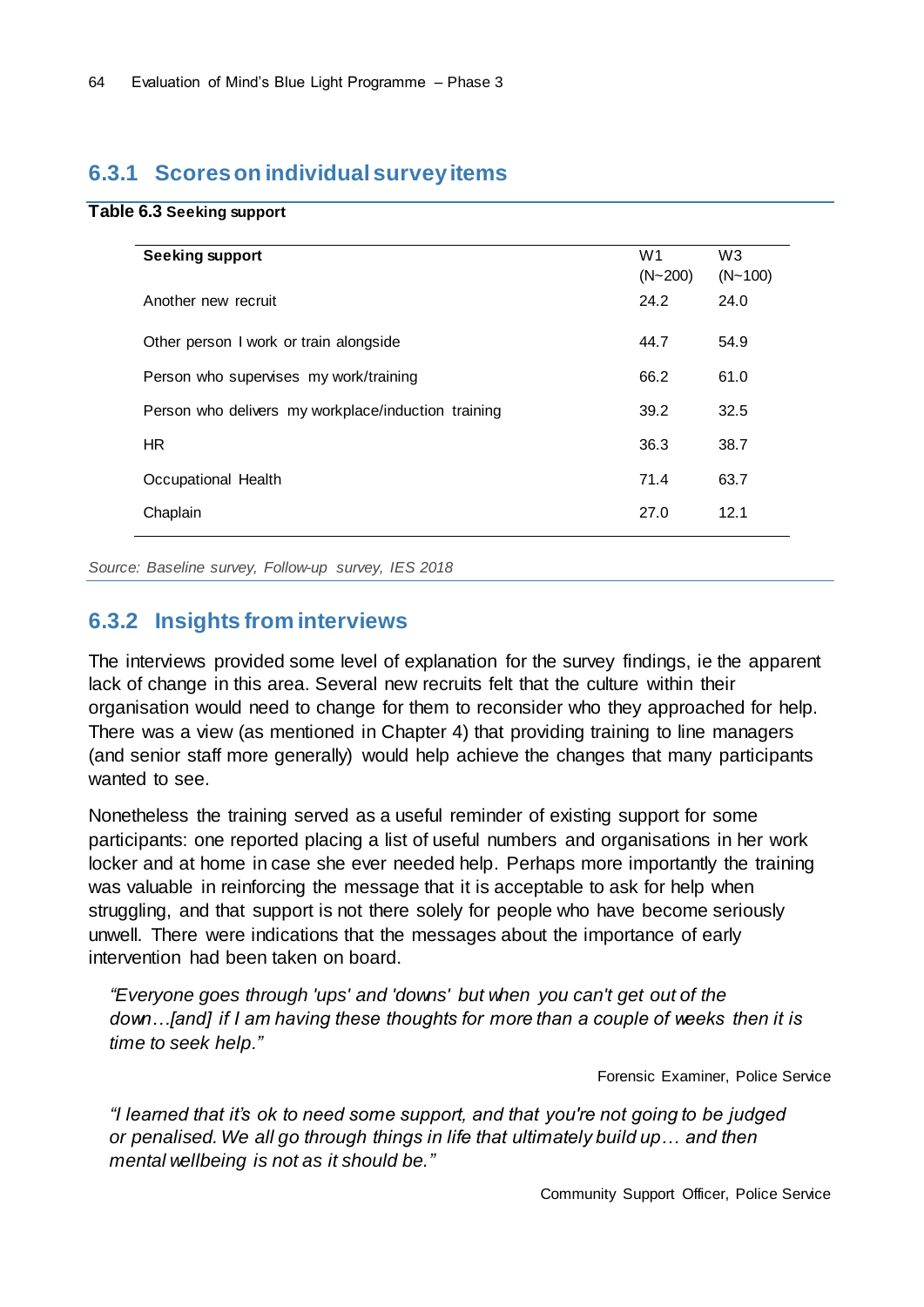### **6.3.1 Scores on individual survey items**

#### **Table 6.3 Seeking support**

| Seeking support                                     | W <sub>1</sub><br>$(N - 200)$ | W <sub>3</sub><br>$(N - 100)$ |
|-----------------------------------------------------|-------------------------------|-------------------------------|
| Another new recruit                                 | 24.2                          | 24.0                          |
| Other person I work or train alongside              | 44.7                          | 54.9                          |
| Person who supervises my work/training              | 66.2                          | 61.0                          |
| Person who delivers my workplace/induction training | 39.2                          | 32.5                          |
| HR                                                  | 36.3                          | 38.7                          |
| Occupational Health                                 | 71.4                          | 63.7                          |
| Chaplain                                            | 27.0                          | 12.1                          |

*Source: Baseline survey, Follow-up survey, IES 2018*

### **6.3.2 Insights from interviews**

The interviews provided some level of explanation for the survey findings, ie the apparent lack of change in this area. Several new recruits felt that the culture within their organisation would need to change for them to reconsider who they approached for help. There was a view (as mentioned in Chapter 4) that providing training to line managers (and senior staff more generally) would help achieve the changes that many participants wanted to see.

Nonetheless the training served as a useful reminder of existing support for some participants: one reported placing a list of useful numbers and organisations in her work locker and at home in case she ever needed help. Perhaps more importantly the training was valuable in reinforcing the message that it is acceptable to ask for help when struggling, and that support is not there solely for people who have become seriously unwell. There were indications that the messages about the importance of early intervention had been taken on board.

*"Everyone goes through 'ups' and 'downs' but when you can't get out of the down…[and] if I am having these thoughts for more than a couple of weeks then it is time to seek help."*

Forensic Examiner, Police Service

*"I learned that it's ok to need some support, and that you're not going to be judged or penalised. We all go through things in life that ultimately build up… and then mental wellbeing is not as it should be."*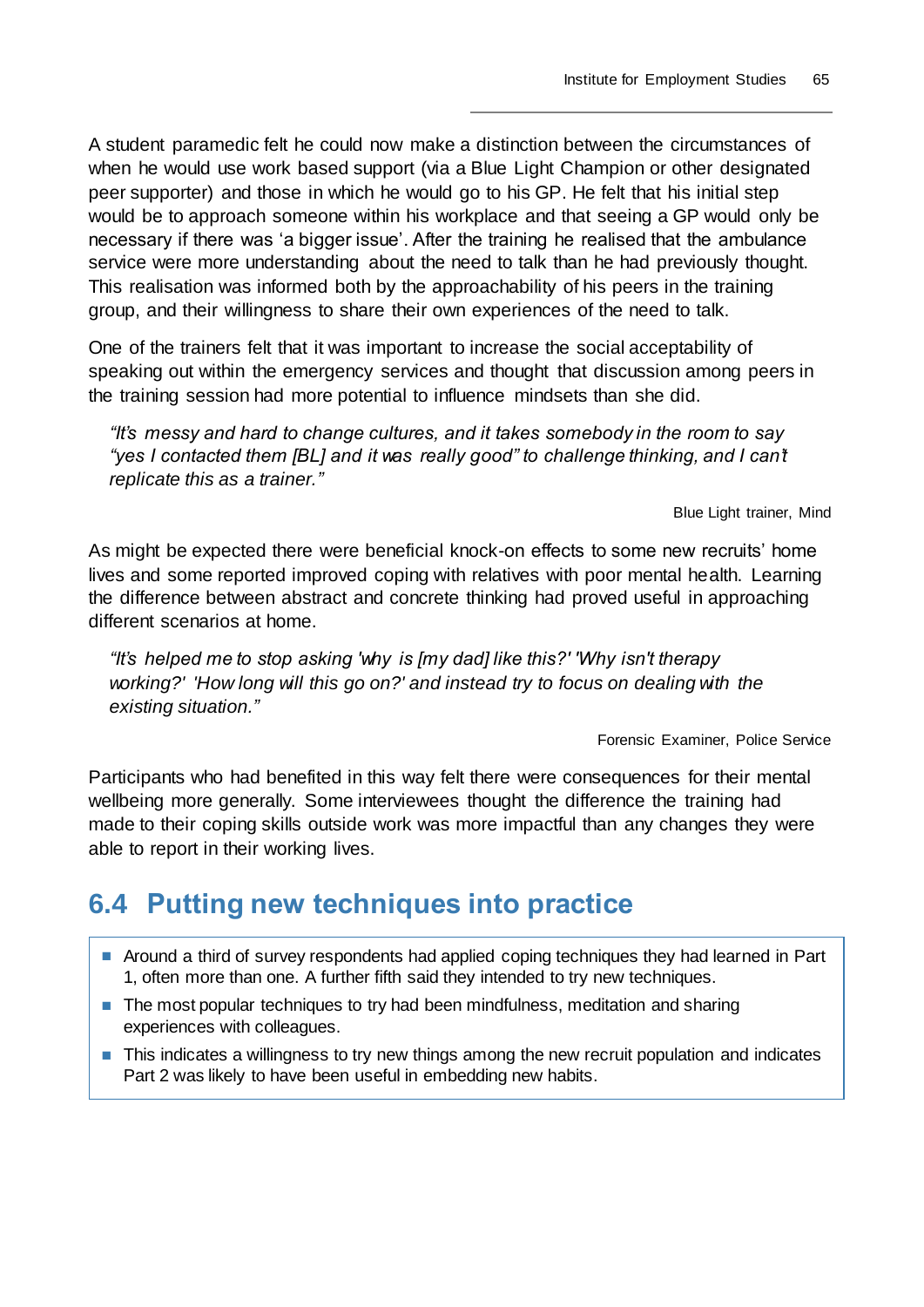A student paramedic felt he could now make a distinction between the circumstances of when he would use work based support (via a Blue Light Champion or other designated peer supporter) and those in which he would go to his GP. He felt that his initial step would be to approach someone within his workplace and that seeing a GP would only be necessary if there was 'a bigger issue'. After the training he realised that the ambulance service were more understanding about the need to talk than he had previously thought. This realisation was informed both by the approachability of his peers in the training group, and their willingness to share their own experiences of the need to talk.

One of the trainers felt that it was important to increase the social acceptability of speaking out within the emergency services and thought that discussion among peers in the training session had more potential to influence mindsets than she did.

*"It's messy and hard to change cultures, and it takes somebody in the room to say "yes I contacted them [BL] and it was really good" to challenge thinking, and I can't replicate this as a trainer."*

Blue Light trainer, Mind

As might be expected there were beneficial knock-on effects to some new recruits' home lives and some reported improved coping with relatives with poor mental health. Learning the difference between abstract and concrete thinking had proved useful in approaching different scenarios at home.

*"It's helped me to stop asking 'why is [my dad] like this?' 'Why isn't therapy working?' 'How long will this go on?' and instead try to focus on dealing with the existing situation."*

Forensic Examiner, Police Service

Participants who had benefited in this way felt there were consequences for their mental wellbeing more generally. Some interviewees thought the difference the training had made to their coping skills outside work was more impactful than any changes they were able to report in their working lives.

## **6.4 Putting new techniques into practice**

- Around a third of survey respondents had applied coping techniques they had learned in Part 1, often more than one. A further fifth said they intended to try new techniques.
- The most popular techniques to try had been mindfulness, meditation and sharing experiences with colleagues.
- This indicates a willingness to try new things among the new recruit population and indicates Part 2 was likely to have been useful in embedding new habits.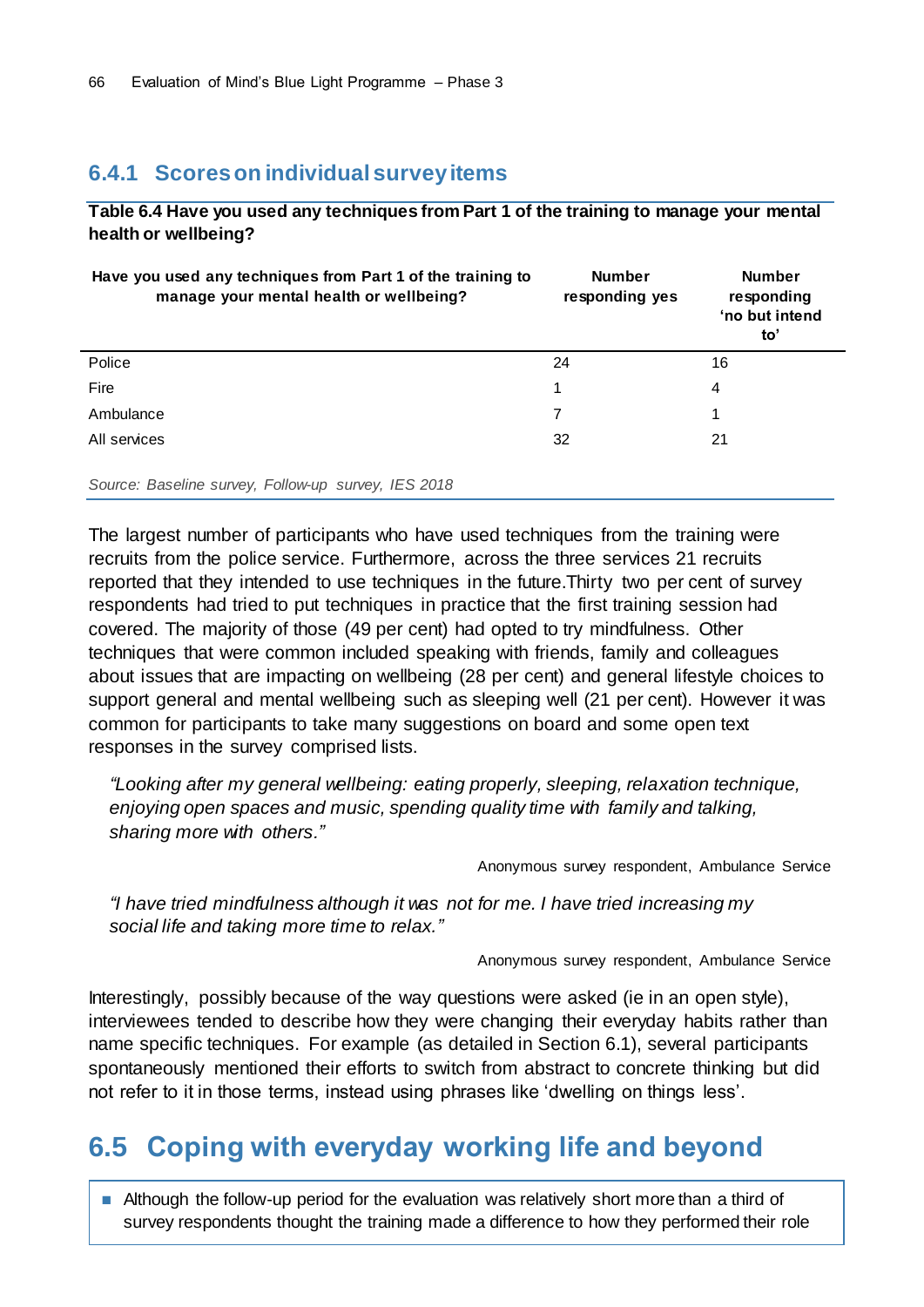### **6.4.1 Scores on individual survey items**

**Table 6.4 Have you used any techniques from Part 1 of the training to manage your mental health or wellbeing?**

| Have you used any techniques from Part 1 of the training to<br>manage your mental health or wellbeing? | <b>Number</b><br>responding yes | <b>Number</b><br>responding<br>'no but intend<br>to' |  |
|--------------------------------------------------------------------------------------------------------|---------------------------------|------------------------------------------------------|--|
| Police                                                                                                 | 24                              | 16                                                   |  |
| Fire                                                                                                   | 1                               | 4                                                    |  |
| Ambulance                                                                                              | 7                               |                                                      |  |
| All services                                                                                           | 32                              | 21                                                   |  |

*Source: Baseline survey, Follow-up survey, IES 2018*

The largest number of participants who have used techniques from the training were recruits from the police service. Furthermore, across the three services 21 recruits reported that they intended to use techniques in the future.Thirty two per cent of survey respondents had tried to put techniques in practice that the first training session had covered. The majority of those (49 per cent) had opted to try mindfulness. Other techniques that were common included speaking with friends, family and colleagues about issues that are impacting on wellbeing (28 per cent) and general lifestyle choices to support general and mental wellbeing such as sleeping well (21 per cent). However it was common for participants to take many suggestions on board and some open text responses in the survey comprised lists.

*"Looking after my general wellbeing: eating properly, sleeping, relaxation technique, enjoying open spaces and music, spending quality time with family and talking, sharing more with others."*

Anonymous survey respondent, Ambulance Service

*"I have tried mindfulness although it was not for me. I have tried increasing my social life and taking more time to relax."*

Anonymous survey respondent, Ambulance Service

Interestingly, possibly because of the way questions were asked (ie in an open style), interviewees tended to describe how they were changing their everyday habits rather than name specific techniques. For example (as detailed in Section 6.1), several participants spontaneously mentioned their efforts to switch from abstract to concrete thinking but did not refer to it in those terms, instead using phrases like 'dwelling on things less'.

## **6.5 Coping with everyday working life and beyond**

■ Although the follow-up period for the evaluation was relatively short more than a third of survey respondents thought the training made a difference to how they performed their role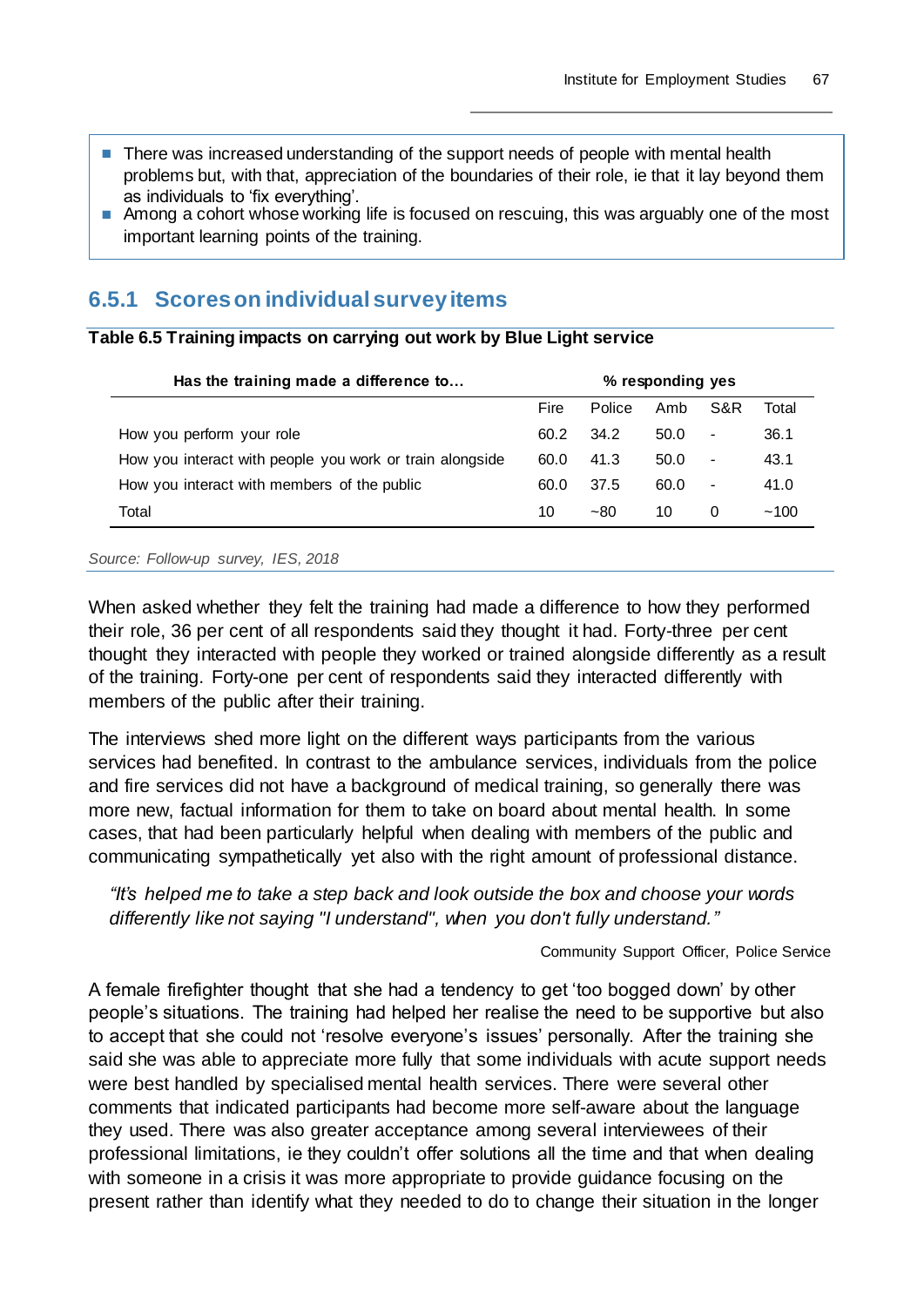- There was increased understanding of the support needs of people with mental health problems but, with that, appreciation of the boundaries of their role, ie that it lay beyond them as individuals to 'fix everything'.
- Among a cohort whose working life is focused on rescuing, this was arguably one of the most important learning points of the training.

## **6.5.1 Scores on individual survey items**

#### **Table 6.5 Training impacts on carrying out work by Blue Light service**

| Has the training made a difference to                    | % responding yes |               |      |                          |       |
|----------------------------------------------------------|------------------|---------------|------|--------------------------|-------|
|                                                          | Fire             | <b>Police</b> | Amb  | S&R                      | Total |
| How you perform your role                                | 60.2             | 34.2          | 50.0 | $\overline{a}$           | 36.1  |
| How you interact with people you work or train alongside | 60.0             | 41.3          | 50.0 | $\overline{\phantom{a}}$ | 43.1  |
| How you interact with members of the public              | 60.0             | 37.5          | 60.0 | $\blacksquare$           | 41.0  |
| Total                                                    | 10               | $-80$         | 10   | 0                        | ~100  |

#### *Source: Follow-up survey, IES, 2018*

When asked whether they felt the training had made a difference to how they performed their role, 36 per cent of all respondents said they thought it had. Forty-three per cent thought they interacted with people they worked or trained alongside differently as a result of the training. Forty-one per cent of respondents said they interacted differently with members of the public after their training.

The interviews shed more light on the different ways participants from the various services had benefited. In contrast to the ambulance services, individuals from the police and fire services did not have a background of medical training, so generally there was more new, factual information for them to take on board about mental health. In some cases, that had been particularly helpful when dealing with members of the public and communicating sympathetically yet also with the right amount of professional distance.

*"It's helped me to take a step back and look outside the box and choose your words differently like not saying "I understand", when you don't fully understand."*

#### Community Support Officer, Police Service

A female firefighter thought that she had a tendency to get 'too bogged down' by other people's situations. The training had helped her realise the need to be supportive but also to accept that she could not 'resolve everyone's issues' personally. After the training she said she was able to appreciate more fully that some individuals with acute support needs were best handled by specialised mental health services. There were several other comments that indicated participants had become more self-aware about the language they used. There was also greater acceptance among several interviewees of their professional limitations, ie they couldn't offer solutions all the time and that when dealing with someone in a crisis it was more appropriate to provide guidance focusing on the present rather than identify what they needed to do to change their situation in the longer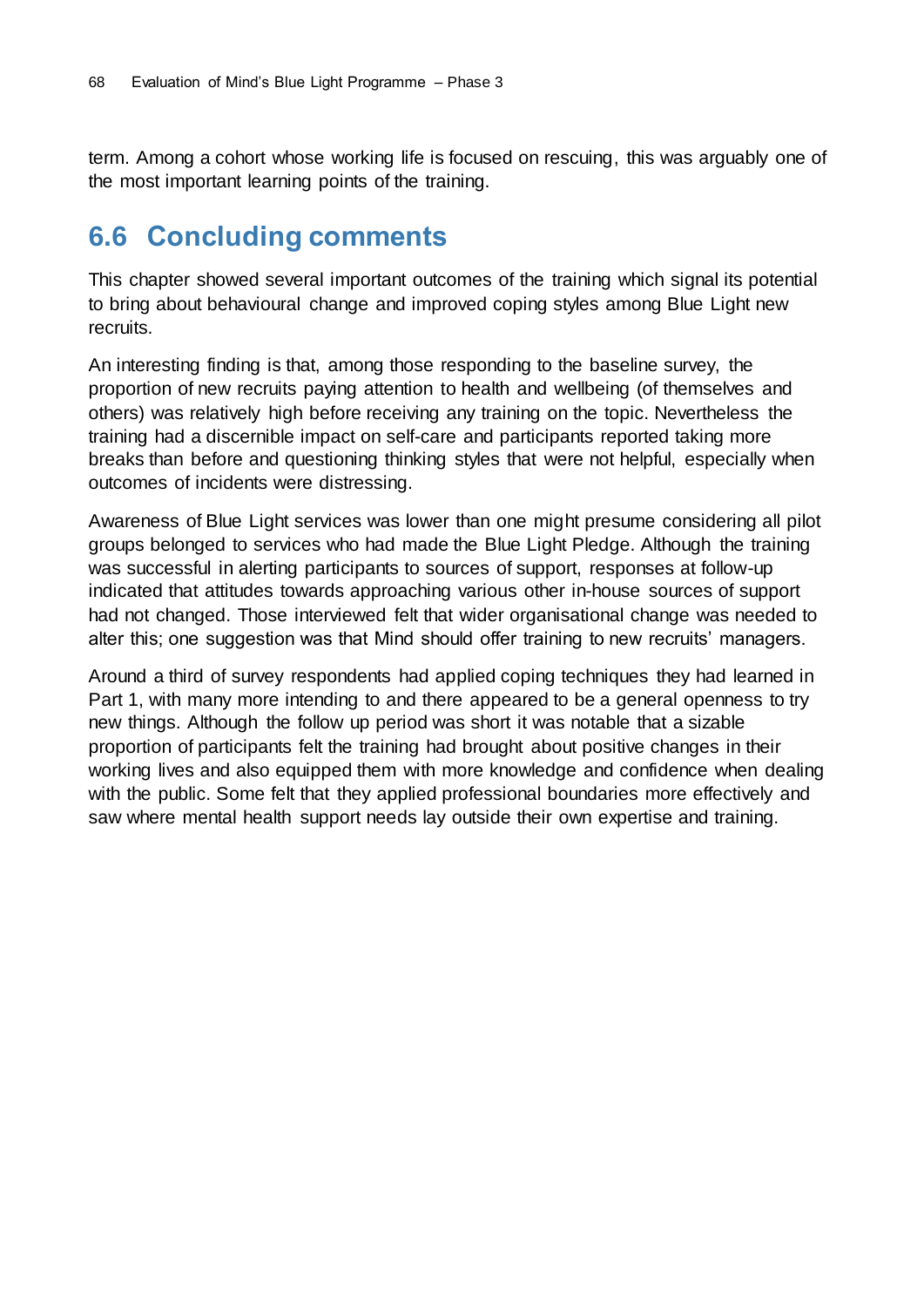term. Among a cohort whose working life is focused on rescuing, this was arguably one of the most important learning points of the training.

## **6.6 Concluding comments**

This chapter showed several important outcomes of the training which signal its potential to bring about behavioural change and improved coping styles among Blue Light new recruits.

An interesting finding is that, among those responding to the baseline survey, the proportion of new recruits paying attention to health and wellbeing (of themselves and others) was relatively high before receiving any training on the topic. Nevertheless the training had a discernible impact on self-care and participants reported taking more breaks than before and questioning thinking styles that were not helpful, especially when outcomes of incidents were distressing.

Awareness of Blue Light services was lower than one might presume considering all pilot groups belonged to services who had made the Blue Light Pledge. Although the training was successful in alerting participants to sources of support, responses at follow-up indicated that attitudes towards approaching various other in-house sources of support had not changed. Those interviewed felt that wider organisational change was needed to alter this; one suggestion was that Mind should offer training to new recruits' managers.

Around a third of survey respondents had applied coping techniques they had learned in Part 1, with many more intending to and there appeared to be a general openness to try new things. Although the follow up period was short it was notable that a sizable proportion of participants felt the training had brought about positive changes in their working lives and also equipped them with more knowledge and confidence when dealing with the public. Some felt that they applied professional boundaries more effectively and saw where mental health support needs lay outside their own expertise and training.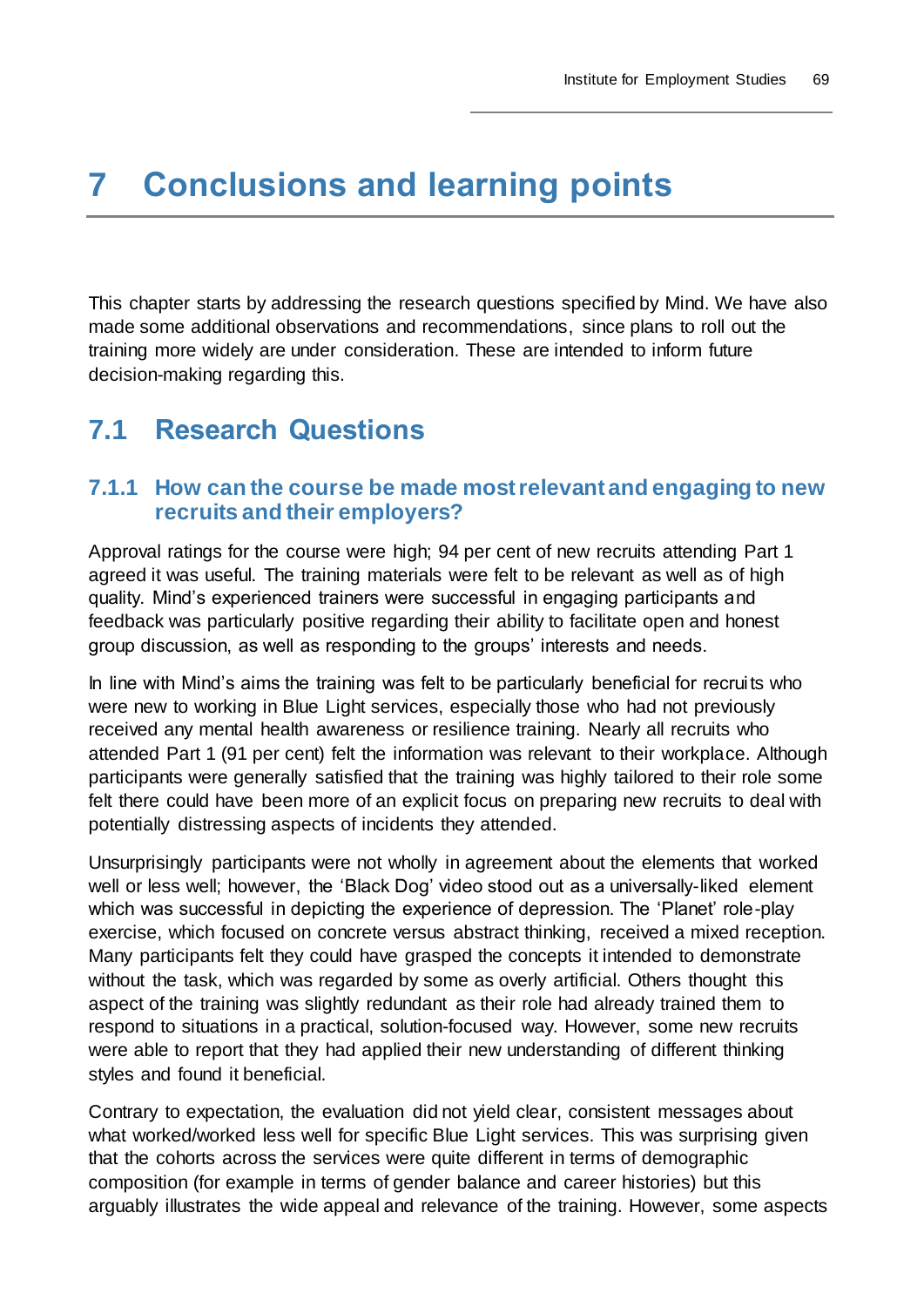# **7 Conclusions and learning points**

This chapter starts by addressing the research questions specified by Mind. We have also made some additional observations and recommendations, since plans to roll out the training more widely are under consideration. These are intended to inform future decision-making regarding this.

# **7.1 Research Questions**

### **7.1.1 How can the course be made most relevant and engaging to new recruits and their employers?**

Approval ratings for the course were high; 94 per cent of new recruits attending Part 1 agreed it was useful. The training materials were felt to be relevant as well as of high quality. Mind's experienced trainers were successful in engaging participants and feedback was particularly positive regarding their ability to facilitate open and honest group discussion, as well as responding to the groups' interests and needs.

In line with Mind's aims the training was felt to be particularly beneficial for recruits who were new to working in Blue Light services, especially those who had not previously received any mental health awareness or resilience training. Nearly all recruits who attended Part 1 (91 per cent) felt the information was relevant to their workplace. Although participants were generally satisfied that the training was highly tailored to their role some felt there could have been more of an explicit focus on preparing new recruits to deal with potentially distressing aspects of incidents they attended.

Unsurprisingly participants were not wholly in agreement about the elements that worked well or less well; however, the 'Black Dog' video stood out as a universally-liked element which was successful in depicting the experience of depression. The 'Planet' role-play exercise, which focused on concrete versus abstract thinking, received a mixed reception. Many participants felt they could have grasped the concepts it intended to demonstrate without the task, which was regarded by some as overly artificial. Others thought this aspect of the training was slightly redundant as their role had already trained them to respond to situations in a practical, solution-focused way. However, some new recruits were able to report that they had applied their new understanding of different thinking styles and found it beneficial.

Contrary to expectation, the evaluation did not yield clear, consistent messages about what worked/worked less well for specific Blue Light services. This was surprising given that the cohorts across the services were quite different in terms of demographic composition (for example in terms of gender balance and career histories) but this arguably illustrates the wide appeal and relevance of the training. However, some aspects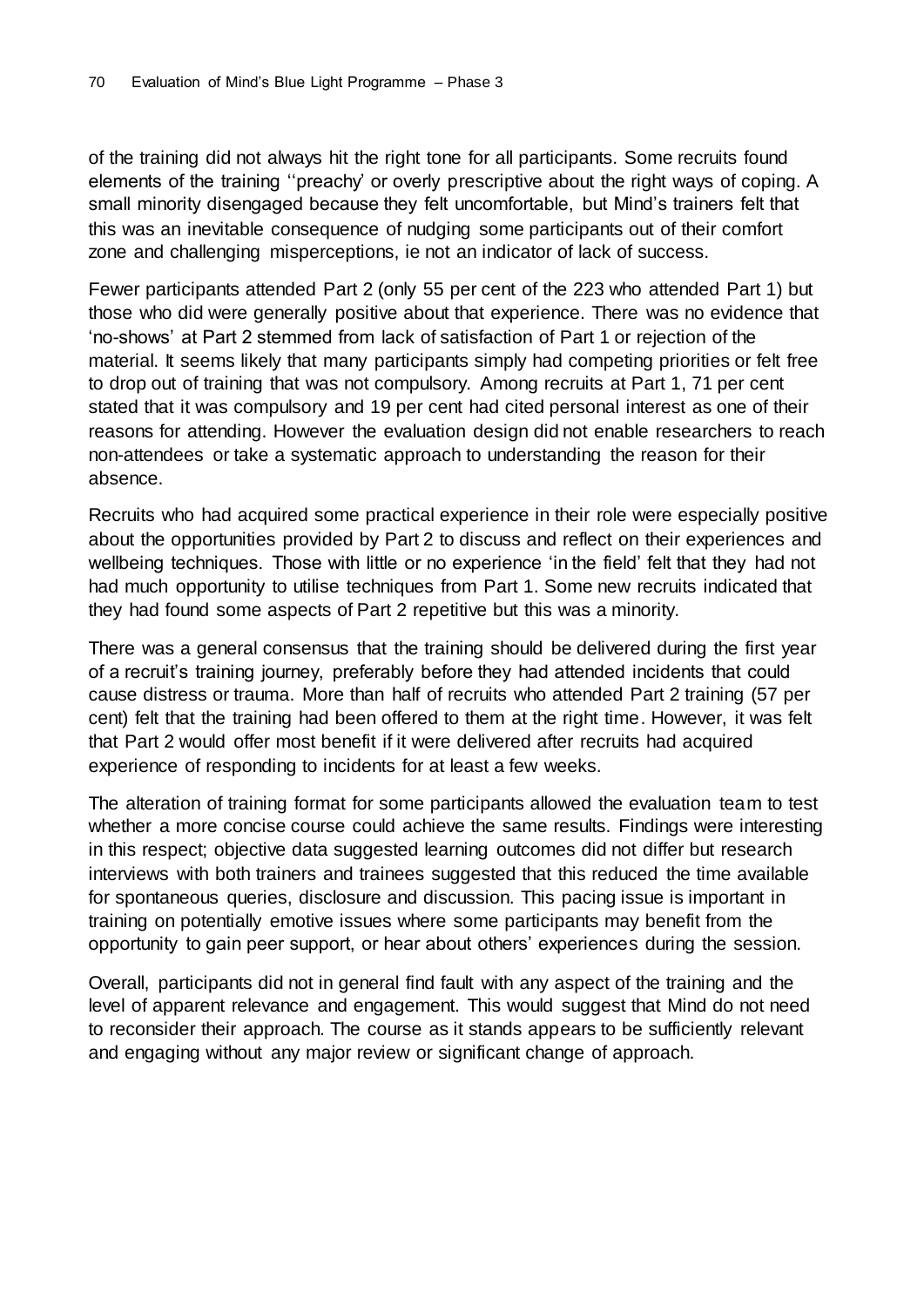of the training did not always hit the right tone for all participants. Some recruits found elements of the training ''preachy' or overly prescriptive about the right ways of coping. A small minority disengaged because they felt uncomfortable, but Mind's trainers felt that this was an inevitable consequence of nudging some participants out of their comfort zone and challenging misperceptions, ie not an indicator of lack of success.

Fewer participants attended Part 2 (only 55 per cent of the 223 who attended Part 1) but those who did were generally positive about that experience. There was no evidence that 'no-shows' at Part 2 stemmed from lack of satisfaction of Part 1 or rejection of the material. It seems likely that many participants simply had competing priorities or felt free to drop out of training that was not compulsory. Among recruits at Part 1, 71 per cent stated that it was compulsory and 19 per cent had cited personal interest as one of their reasons for attending. However the evaluation design did not enable researchers to reach non-attendees or take a systematic approach to understanding the reason for their absence.

Recruits who had acquired some practical experience in their role were especially positive about the opportunities provided by Part 2 to discuss and reflect on their experiences and wellbeing techniques. Those with little or no experience 'in the field' felt that they had not had much opportunity to utilise techniques from Part 1. Some new recruits indicated that they had found some aspects of Part 2 repetitive but this was a minority.

There was a general consensus that the training should be delivered during the first year of a recruit's training journey, preferably before they had attended incidents that could cause distress or trauma. More than half of recruits who attended Part 2 training (57 per cent) felt that the training had been offered to them at the right time. However, it was felt that Part 2 would offer most benefit if it were delivered after recruits had acquired experience of responding to incidents for at least a few weeks.

The alteration of training format for some participants allowed the evaluation team to test whether a more concise course could achieve the same results. Findings were interesting in this respect; objective data suggested learning outcomes did not differ but research interviews with both trainers and trainees suggested that this reduced the time available for spontaneous queries, disclosure and discussion. This pacing issue is important in training on potentially emotive issues where some participants may benefit from the opportunity to gain peer support, or hear about others' experiences during the session.

Overall, participants did not in general find fault with any aspect of the training and the level of apparent relevance and engagement. This would suggest that Mind do not need to reconsider their approach. The course as it stands appears to be sufficiently relevant and engaging without any major review or significant change of approach.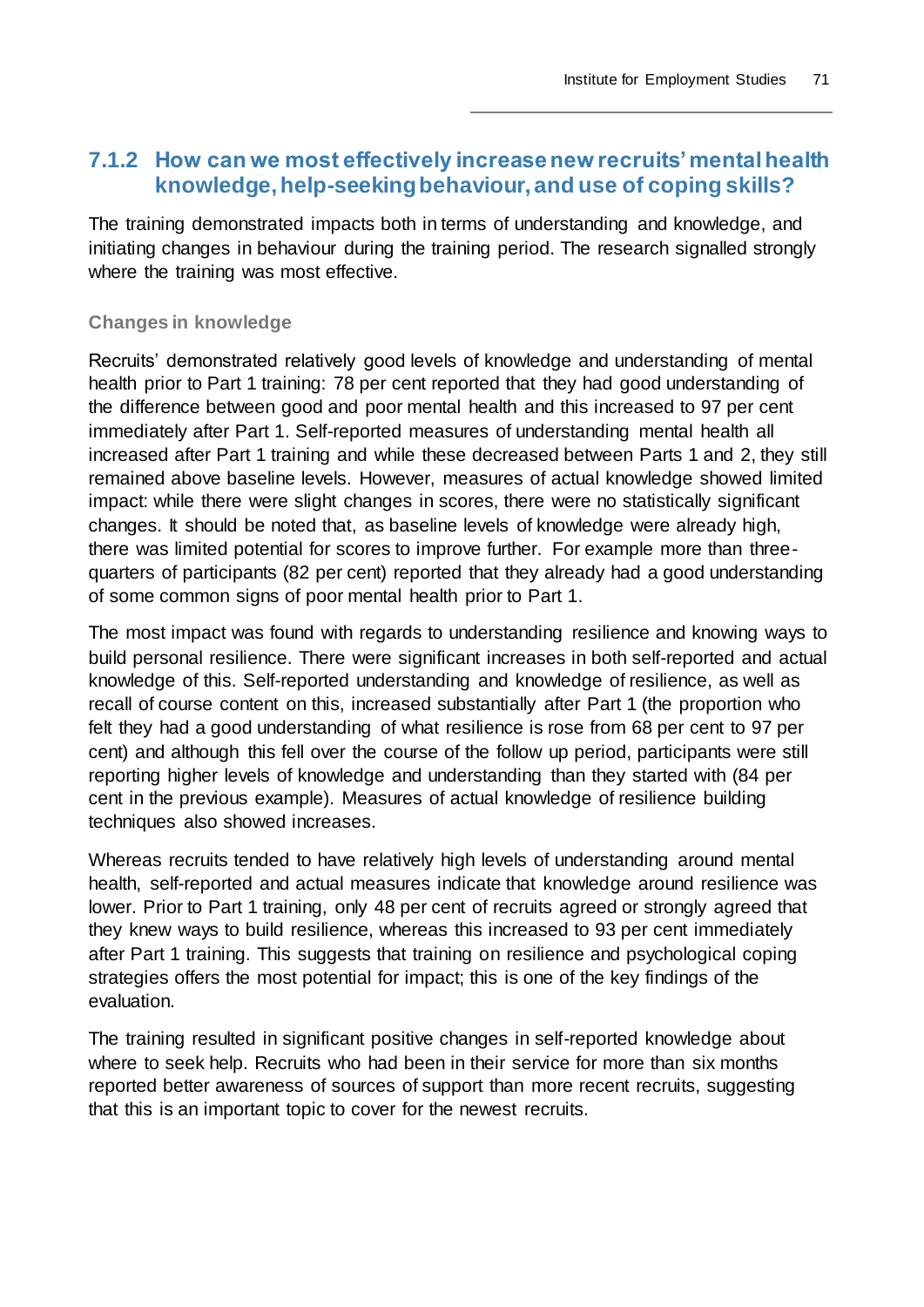## **7.1.2 How can we most effectively increase new recruits' mental health knowledge, help-seeking behaviour, and use of coping skills?**

The training demonstrated impacts both in terms of understanding and knowledge, and initiating changes in behaviour during the training period. The research signalled strongly where the training was most effective.

#### **Changes in knowledge**

Recruits' demonstrated relatively good levels of knowledge and understanding of mental health prior to Part 1 training: 78 per cent reported that they had good understanding of the difference between good and poor mental health and this increased to 97 per cent immediately after Part 1. Self-reported measures of understanding mental health all increased after Part 1 training and while these decreased between Parts 1 and 2, they still remained above baseline levels. However, measures of actual knowledge showed limited impact: while there were slight changes in scores, there were no statistically significant changes. It should be noted that, as baseline levels of knowledge were already high, there was limited potential for scores to improve further. For example more than threequarters of participants (82 per cent) reported that they already had a good understanding of some common signs of poor mental health prior to Part 1.

The most impact was found with regards to understanding resilience and knowing ways to build personal resilience. There were significant increases in both self-reported and actual knowledge of this. Self-reported understanding and knowledge of resilience, as well as recall of course content on this, increased substantially after Part 1 (the proportion who felt they had a good understanding of what resilience is rose from 68 per cent to 97 per cent) and although this fell over the course of the follow up period, participants were still reporting higher levels of knowledge and understanding than they started with (84 per cent in the previous example). Measures of actual knowledge of resilience building techniques also showed increases.

Whereas recruits tended to have relatively high levels of understanding around mental health, self-reported and actual measures indicate that knowledge around resilience was lower. Prior to Part 1 training, only 48 per cent of recruits agreed or strongly agreed that they knew ways to build resilience, whereas this increased to 93 per cent immediately after Part 1 training. This suggests that training on resilience and psychological coping strategies offers the most potential for impact; this is one of the key findings of the evaluation.

The training resulted in significant positive changes in self-reported knowledge about where to seek help. Recruits who had been in their service for more than six months reported better awareness of sources of support than more recent recruits, suggesting that this is an important topic to cover for the newest recruits.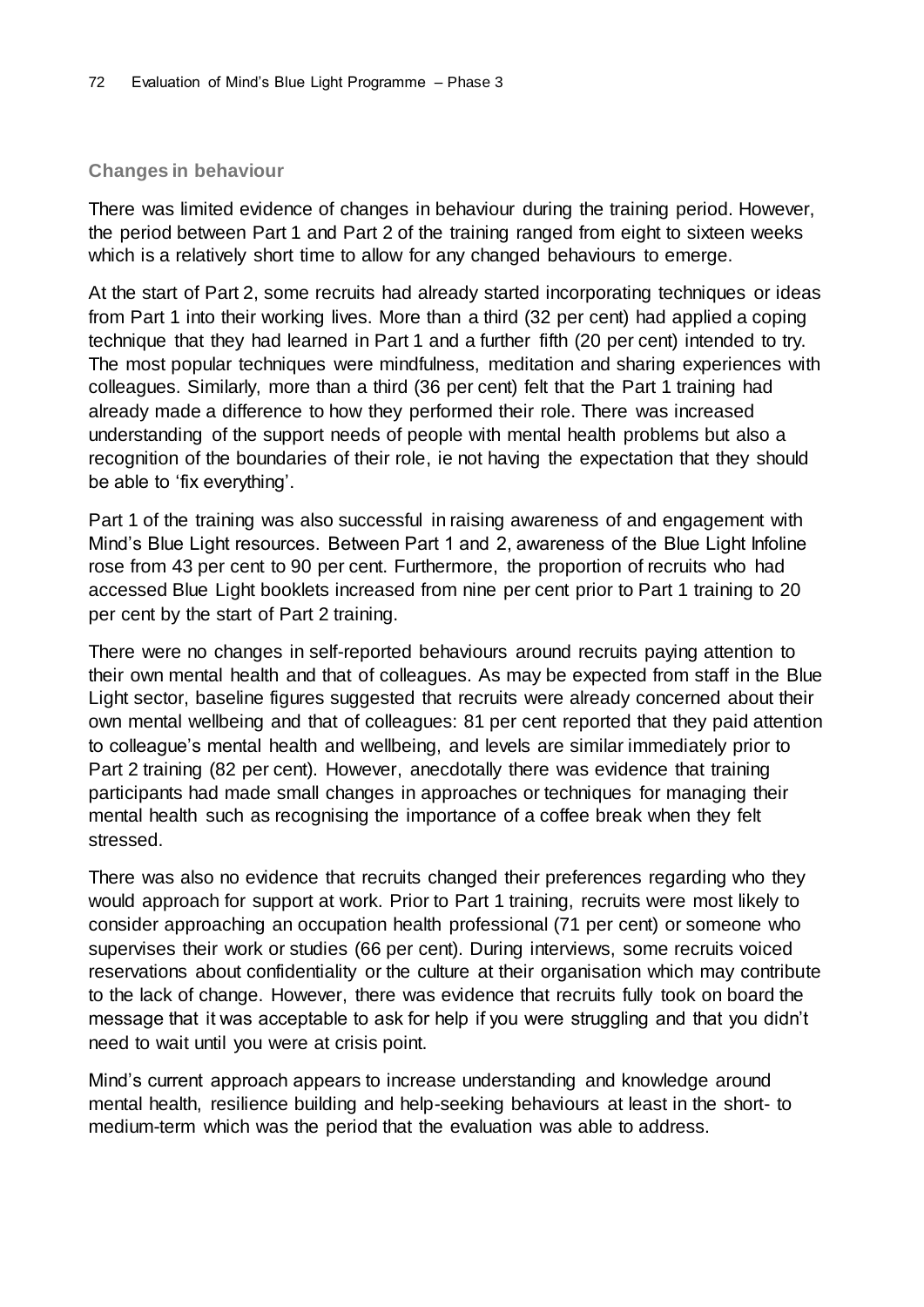#### **Changes in behaviour**

There was limited evidence of changes in behaviour during the training period. However, the period between Part 1 and Part 2 of the training ranged from eight to sixteen weeks which is a relatively short time to allow for any changed behaviours to emerge.

At the start of Part 2, some recruits had already started incorporating techniques or ideas from Part 1 into their working lives. More than a third (32 per cent) had applied a coping technique that they had learned in Part 1 and a further fifth (20 per cent) intended to try. The most popular techniques were mindfulness, meditation and sharing experiences with colleagues. Similarly, more than a third (36 per cent) felt that the Part 1 training had already made a difference to how they performed their role. There was increased understanding of the support needs of people with mental health problems but also a recognition of the boundaries of their role, ie not having the expectation that they should be able to 'fix everything'.

Part 1 of the training was also successful in raising awareness of and engagement with Mind's Blue Light resources. Between Part 1 and 2, awareness of the Blue Light Infoline rose from 43 per cent to 90 per cent. Furthermore, the proportion of recruits who had accessed Blue Light booklets increased from nine per cent prior to Part 1 training to 20 per cent by the start of Part 2 training.

There were no changes in self-reported behaviours around recruits paying attention to their own mental health and that of colleagues. As may be expected from staff in the Blue Light sector, baseline figures suggested that recruits were already concerned about their own mental wellbeing and that of colleagues: 81 per cent reported that they paid attention to colleague's mental health and wellbeing, and levels are similar immediately prior to Part 2 training (82 per cent). However, anecdotally there was evidence that training participants had made small changes in approaches or techniques for managing their mental health such as recognising the importance of a coffee break when they felt stressed.

There was also no evidence that recruits changed their preferences regarding who they would approach for support at work. Prior to Part 1 training, recruits were most likely to consider approaching an occupation health professional (71 per cent) or someone who supervises their work or studies (66 per cent). During interviews, some recruits voiced reservations about confidentiality or the culture at their organisation which may contribute to the lack of change. However, there was evidence that recruits fully took on board the message that it was acceptable to ask for help if you were struggling and that you didn't need to wait until you were at crisis point.

Mind's current approach appears to increase understanding and knowledge around mental health, resilience building and help-seeking behaviours at least in the short- to medium-term which was the period that the evaluation was able to address.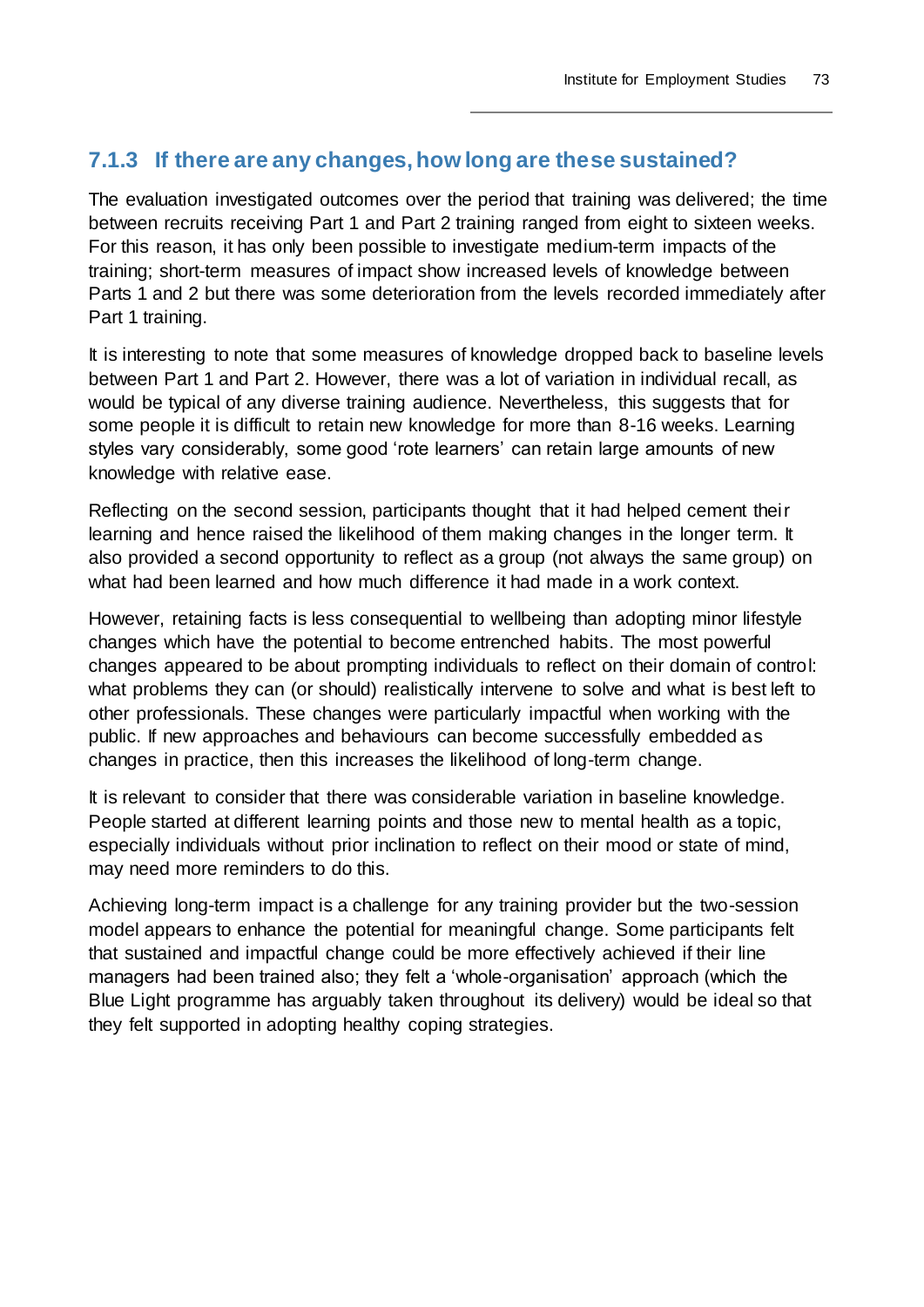### **7.1.3 If there are any changes, how long are these sustained?**

The evaluation investigated outcomes over the period that training was delivered; the time between recruits receiving Part 1 and Part 2 training ranged from eight to sixteen weeks. For this reason, it has only been possible to investigate medium-term impacts of the training; short-term measures of impact show increased levels of knowledge between Parts 1 and 2 but there was some deterioration from the levels recorded immediately after Part 1 training.

It is interesting to note that some measures of knowledge dropped back to baseline levels between Part 1 and Part 2. However, there was a lot of variation in individual recall, as would be typical of any diverse training audience. Nevertheless, this suggests that for some people it is difficult to retain new knowledge for more than 8-16 weeks. Learning styles vary considerably, some good 'rote learners' can retain large amounts of new knowledge with relative ease.

Reflecting on the second session, participants thought that it had helped cement their learning and hence raised the likelihood of them making changes in the longer term. It also provided a second opportunity to reflect as a group (not always the same group) on what had been learned and how much difference it had made in a work context.

However, retaining facts is less consequential to wellbeing than adopting minor lifestyle changes which have the potential to become entrenched habits. The most powerful changes appeared to be about prompting individuals to reflect on their domain of control: what problems they can (or should) realistically intervene to solve and what is best left to other professionals. These changes were particularly impactful when working with the public. If new approaches and behaviours can become successfully embedded as changes in practice, then this increases the likelihood of long-term change.

It is relevant to consider that there was considerable variation in baseline knowledge. People started at different learning points and those new to mental health as a topic, especially individuals without prior inclination to reflect on their mood or state of mind, may need more reminders to do this.

Achieving long-term impact is a challenge for any training provider but the two-session model appears to enhance the potential for meaningful change. Some participants felt that sustained and impactful change could be more effectively achieved if their line managers had been trained also; they felt a 'whole-organisation' approach (which the Blue Light programme has arguably taken throughout its delivery) would be ideal so that they felt supported in adopting healthy coping strategies.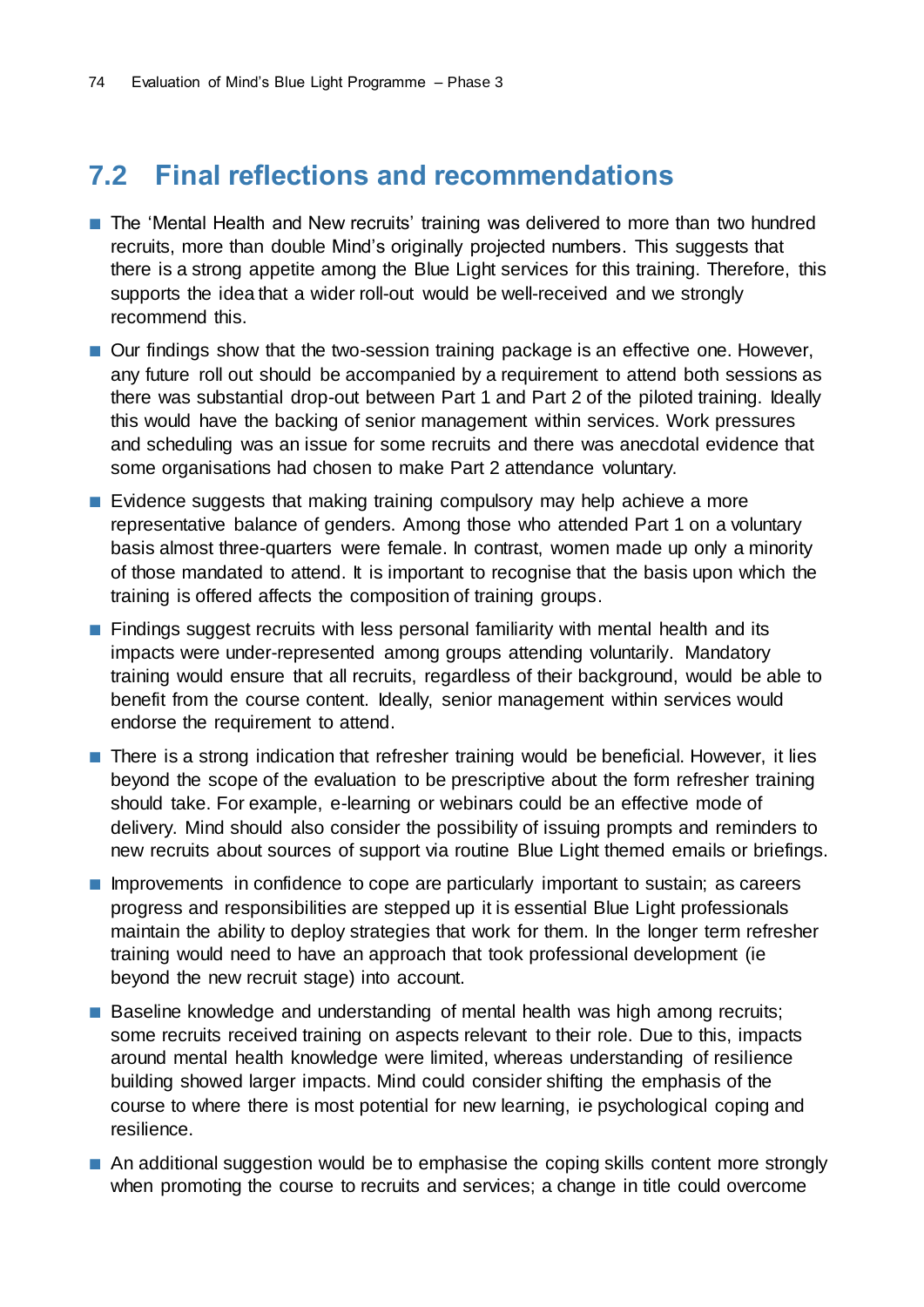# **7.2 Final reflections and recommendations**

- The 'Mental Health and New recruits' training was delivered to more than two hundred recruits, more than double Mind's originally projected numbers. This suggests that there is a strong appetite among the Blue Light services for this training. Therefore, this supports the idea that a wider roll-out would be well-received and we strongly recommend this.
- Our findings show that the two-session training package is an effective one. However, any future roll out should be accompanied by a requirement to attend both sessions as there was substantial drop-out between Part 1 and Part 2 of the piloted training. Ideally this would have the backing of senior management within services. Work pressures and scheduling was an issue for some recruits and there was anecdotal evidence that some organisations had chosen to make Part 2 attendance voluntary.
- Evidence suggests that making training compulsory may help achieve a more representative balance of genders. Among those who attended Part 1 on a voluntary basis almost three-quarters were female. In contrast, women made up only a minority of those mandated to attend. It is important to recognise that the basis upon which the training is offered affects the composition of training groups.
- Findings suggest recruits with less personal familiarity with mental health and its impacts were under-represented among groups attending voluntarily. Mandatory training would ensure that all recruits, regardless of their background, would be able to benefit from the course content. Ideally, senior management within services would endorse the requirement to attend.
- There is a strong indication that refresher training would be beneficial. However, it lies beyond the scope of the evaluation to be prescriptive about the form refresher training should take. For example, e-learning or webinars could be an effective mode of delivery. Mind should also consider the possibility of issuing prompts and reminders to new recruits about sources of support via routine Blue Light themed emails or briefings.
- Improvements in confidence to cope are particularly important to sustain; as careers progress and responsibilities are stepped up it is essential Blue Light professionals maintain the ability to deploy strategies that work for them. In the longer term refresher training would need to have an approach that took professional development (ie beyond the new recruit stage) into account.
- Baseline knowledge and understanding of mental health was high among recruits; some recruits received training on aspects relevant to their role. Due to this, impacts around mental health knowledge were limited, whereas understanding of resilience building showed larger impacts. Mind could consider shifting the emphasis of the course to where there is most potential for new learning, ie psychological coping and resilience.
- An additional suggestion would be to emphasise the coping skills content more strongly when promoting the course to recruits and services; a change in title could overcome